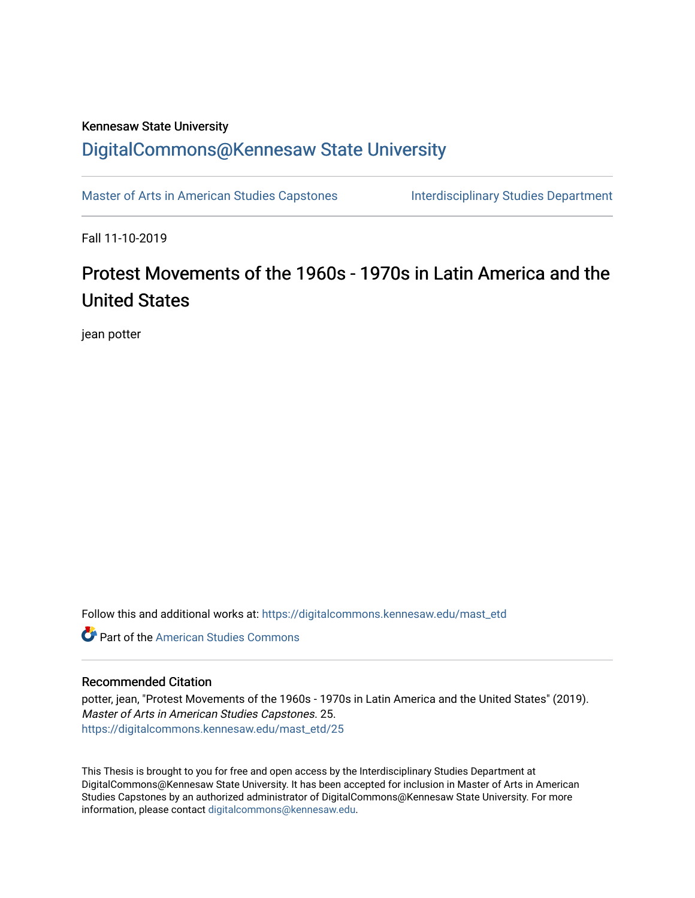## Kennesaw State University

# [DigitalCommons@Kennesaw State University](https://digitalcommons.kennesaw.edu/)

[Master of Arts in American Studies Capstones](https://digitalcommons.kennesaw.edu/mast_etd) Interdisciplinary Studies Department

Fall 11-10-2019

# Protest Movements of the 1960s - 1970s in Latin America and the United States

jean potter

Follow this and additional works at: [https://digitalcommons.kennesaw.edu/mast\\_etd](https://digitalcommons.kennesaw.edu/mast_etd?utm_source=digitalcommons.kennesaw.edu%2Fmast_etd%2F25&utm_medium=PDF&utm_campaign=PDFCoverPages) 

**C** Part of the [American Studies Commons](http://network.bepress.com/hgg/discipline/439?utm_source=digitalcommons.kennesaw.edu%2Fmast_etd%2F25&utm_medium=PDF&utm_campaign=PDFCoverPages)

#### Recommended Citation

potter, jean, "Protest Movements of the 1960s - 1970s in Latin America and the United States" (2019). Master of Arts in American Studies Capstones. 25. [https://digitalcommons.kennesaw.edu/mast\\_etd/25](https://digitalcommons.kennesaw.edu/mast_etd/25?utm_source=digitalcommons.kennesaw.edu%2Fmast_etd%2F25&utm_medium=PDF&utm_campaign=PDFCoverPages)

This Thesis is brought to you for free and open access by the Interdisciplinary Studies Department at DigitalCommons@Kennesaw State University. It has been accepted for inclusion in Master of Arts in American Studies Capstones by an authorized administrator of DigitalCommons@Kennesaw State University. For more information, please contact [digitalcommons@kennesaw.edu](mailto:digitalcommons@kennesaw.edu).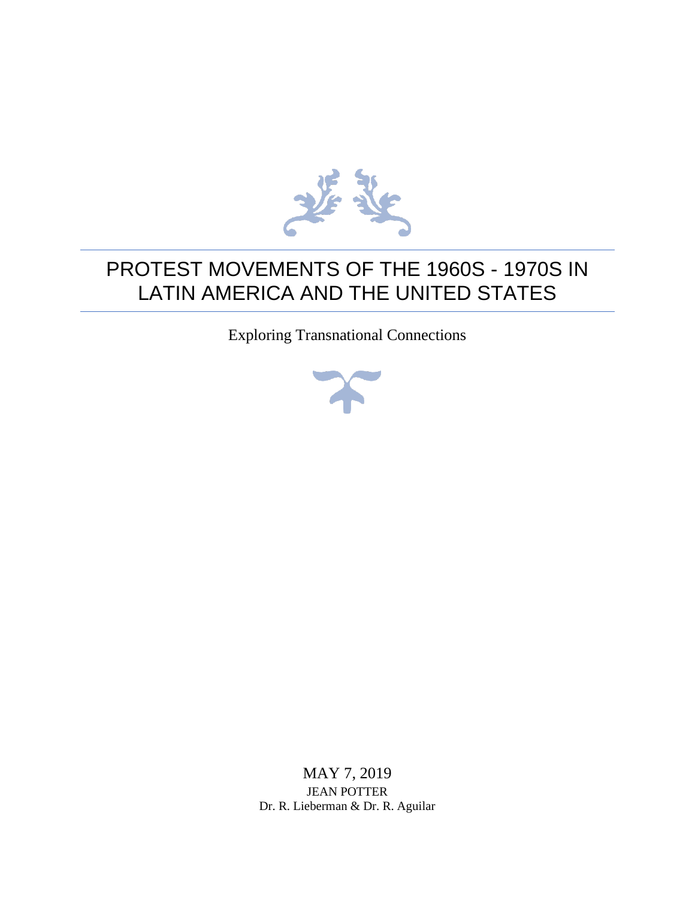

# PROTEST MOVEMENTS OF THE 1960S - 1970S IN LATIN AMERICA AND THE UNITED STATES

Exploring Transnational Connections



MAY 7, 2019 JEAN POTTER Dr. R. Lieberman & Dr. R. Aguilar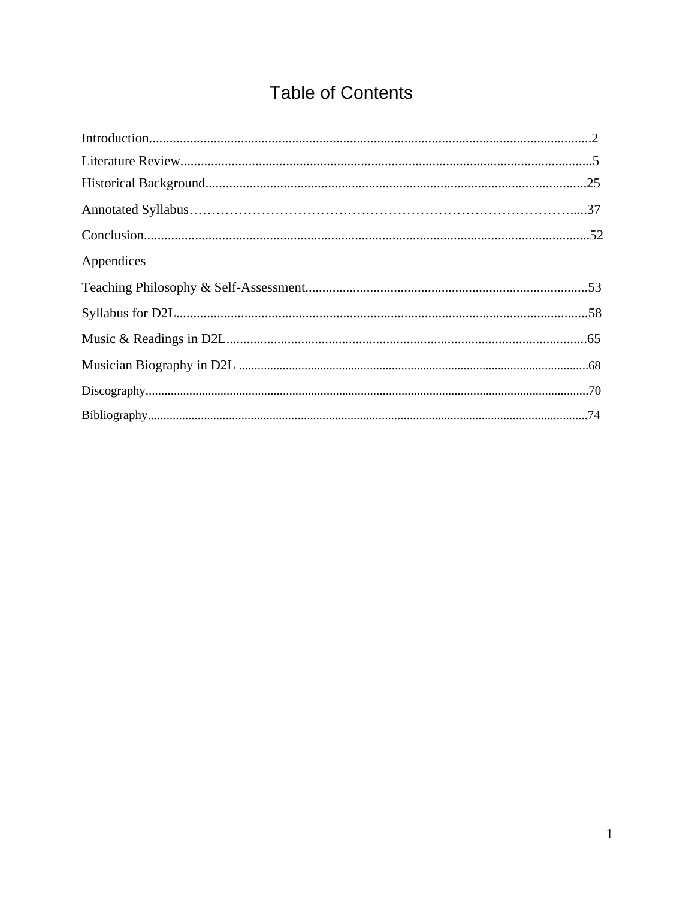# **Table of Contents**

| Appendices |  |
|------------|--|
|            |  |
|            |  |
|            |  |
|            |  |
|            |  |
|            |  |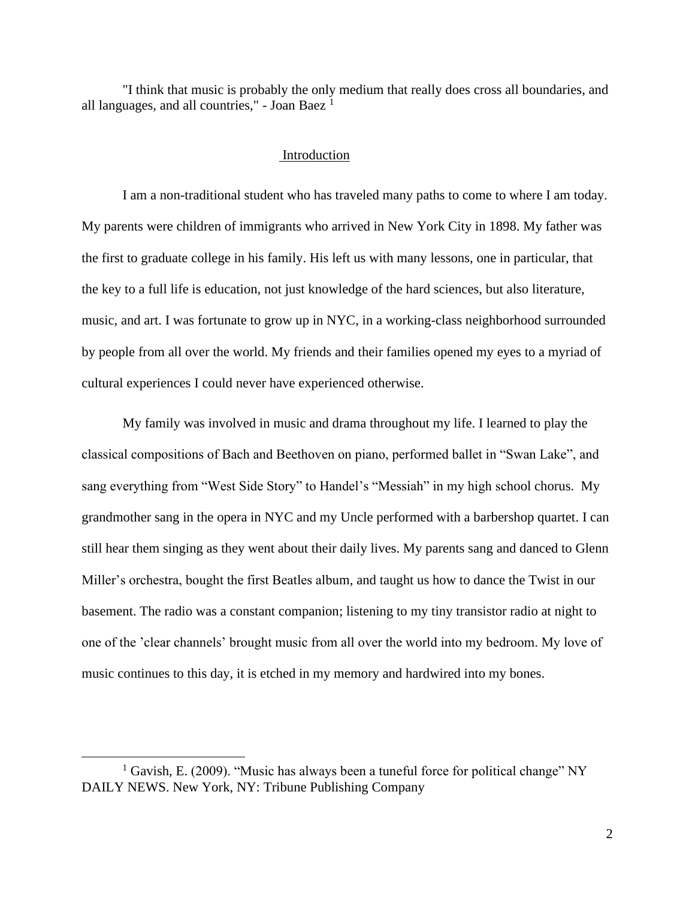"I think that music is probably the only medium that really does cross all boundaries, and all languages, and all countries," - Joan Baez  $<sup>1</sup>$ </sup>

#### Introduction

I am a non-traditional student who has traveled many paths to come to where I am today. My parents were children of immigrants who arrived in New York City in 1898. My father was the first to graduate college in his family. His left us with many lessons, one in particular, that the key to a full life is education, not just knowledge of the hard sciences, but also literature, music, and art. I was fortunate to grow up in NYC, in a working-class neighborhood surrounded by people from all over the world. My friends and their families opened my eyes to a myriad of cultural experiences I could never have experienced otherwise.

My family was involved in music and drama throughout my life. I learned to play the classical compositions of Bach and Beethoven on piano, performed ballet in "Swan Lake", and sang everything from "West Side Story" to Handel's "Messiah" in my high school chorus. My grandmother sang in the opera in NYC and my Uncle performed with a barbershop quartet. I can still hear them singing as they went about their daily lives. My parents sang and danced to Glenn Miller's orchestra, bought the first Beatles album, and taught us how to dance the Twist in our basement. The radio was a constant companion; listening to my tiny transistor radio at night to one of the 'clear channels' brought music from all over the world into my bedroom. My love of music continues to this day, it is etched in my memory and hardwired into my bones.

<sup>&</sup>lt;sup>1</sup> Gavish, E. (2009). "Music has always been a tuneful force for political change" NY DAILY NEWS. New York, NY: Tribune Publishing Company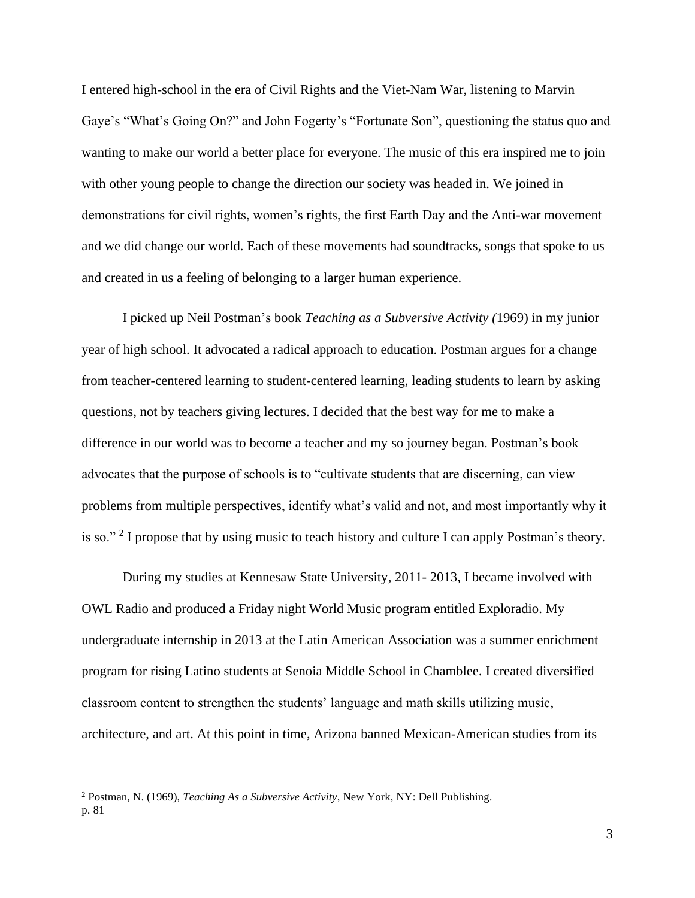I entered high-school in the era of Civil Rights and the Viet-Nam War, listening to Marvin Gaye's "What's Going On?" and John Fogerty's "Fortunate Son", questioning the status quo and wanting to make our world a better place for everyone. The music of this era inspired me to join with other young people to change the direction our society was headed in. We joined in demonstrations for civil rights, women's rights, the first Earth Day and the Anti-war movement and we did change our world. Each of these movements had soundtracks, songs that spoke to us and created in us a feeling of belonging to a larger human experience.

I picked up Neil Postman's book *Teaching as a Subversive Activity (*1969) in my junior year of high school. It advocated a radical approach to education. Postman argues for a change from teacher-centered learning to student-centered learning, leading students to learn by asking questions, not by teachers giving lectures. I decided that the best way for me to make a difference in our world was to become a teacher and my so journey began. Postman's book advocates that the purpose of schools is to "cultivate students that are discerning, can view problems from multiple perspectives, identify what's valid and not, and most importantly why it is so." <sup>2</sup> I propose that by using music to teach history and culture I can apply Postman's theory.

During my studies at Kennesaw State University, 2011- 2013, I became involved with OWL Radio and produced a Friday night World Music program entitled Exploradio. My undergraduate internship in 2013 at the Latin American Association was a summer enrichment program for rising Latino students at Senoia Middle School in Chamblee. I created diversified classroom content to strengthen the students' language and math skills utilizing music, architecture, and art. At this point in time, Arizona banned Mexican-American studies from its

<sup>2</sup> Postman, N. (1969), *Teaching As a Subversive Activity*, New York, NY: Dell Publishing. p. 81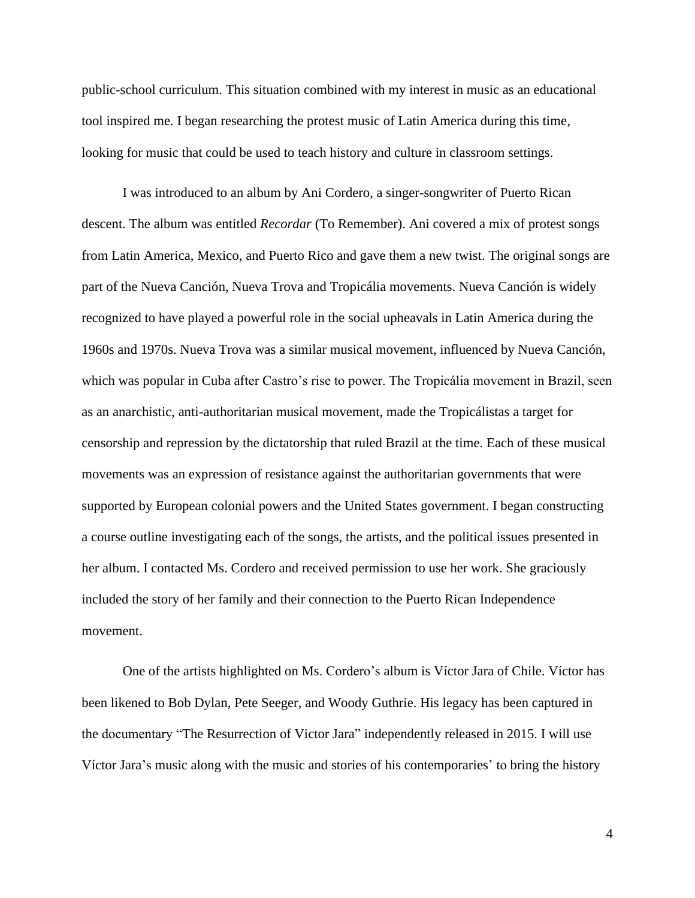public-school curriculum. This situation combined with my interest in music as an educational tool inspired me. I began researching the protest music of Latin America during this time, looking for music that could be used to teach history and culture in classroom settings.

I was introduced to an album by Ani Cordero, a singer-songwriter of Puerto Rican descent. The album was entitled *Recordar* (To Remember). Ani covered a mix of protest songs from Latin America, Mexico, and Puerto Rico and gave them a new twist. The original songs are part of the Nueva Canción, Nueva Trova and Tropicália movements. Nueva Canción is widely recognized to have played a powerful role in the social upheavals in Latin America during the 1960s and 1970s. Nueva Trova was a similar musical movement, influenced by Nueva Canción, which was popular in Cuba after Castro's rise to power. The Tropicália movement in Brazil, seen as an anarchistic, anti-authoritarian musical movement, made the Tropicálistas a target for censorship and repression by the dictatorship that ruled Brazil at the time. Each of these musical movements was an expression of resistance against the authoritarian governments that were supported by European colonial powers and the United States government. I began constructing a course outline investigating each of the songs, the artists, and the political issues presented in her album. I contacted Ms. Cordero and received permission to use her work. She graciously included the story of her family and their connection to the Puerto Rican Independence movement.

One of the artists highlighted on Ms. Cordero's album is Víctor Jara of Chile. Víctor has been likened to Bob Dylan, Pete Seeger, and Woody Guthrie. His legacy has been captured in the documentary "The Resurrection of Victor Jara" independently released in 2015. I will use Víctor Jara's music along with the music and stories of his contemporaries' to bring the history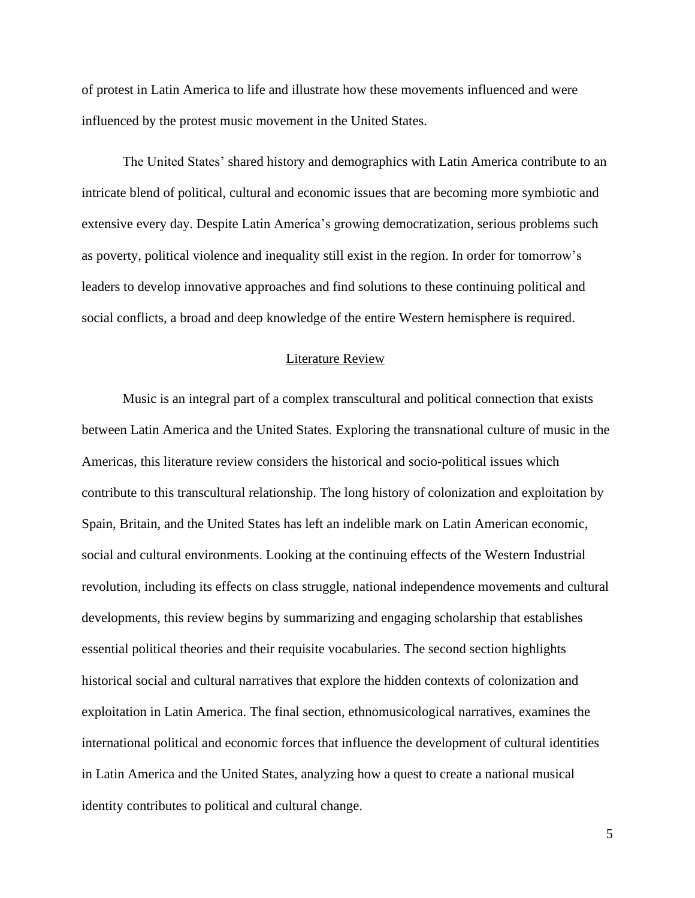of protest in Latin America to life and illustrate how these movements influenced and were influenced by the protest music movement in the United States.

The United States' shared history and demographics with Latin America contribute to an intricate blend of political, cultural and economic issues that are becoming more symbiotic and extensive every day. Despite Latin America's growing democratization, serious problems such as poverty, political violence and inequality still exist in the region. In order for tomorrow's leaders to develop innovative approaches and find solutions to these continuing political and social conflicts, a broad and deep knowledge of the entire Western hemisphere is required.

#### Literature Review

Music is an integral part of a complex transcultural and political connection that exists between Latin America and the United States. Exploring the transnational culture of music in the Americas, this literature review considers the historical and socio-political issues which contribute to this transcultural relationship. The long history of colonization and exploitation by Spain, Britain, and the United States has left an indelible mark on Latin American economic, social and cultural environments. Looking at the continuing effects of the Western Industrial revolution, including its effects on class struggle, national independence movements and cultural developments, this review begins by summarizing and engaging scholarship that establishes essential political theories and their requisite vocabularies. The second section highlights historical social and cultural narratives that explore the hidden contexts of colonization and exploitation in Latin America. The final section, ethnomusicological narratives, examines the international political and economic forces that influence the development of cultural identities in Latin America and the United States, analyzing how a quest to create a national musical identity contributes to political and cultural change.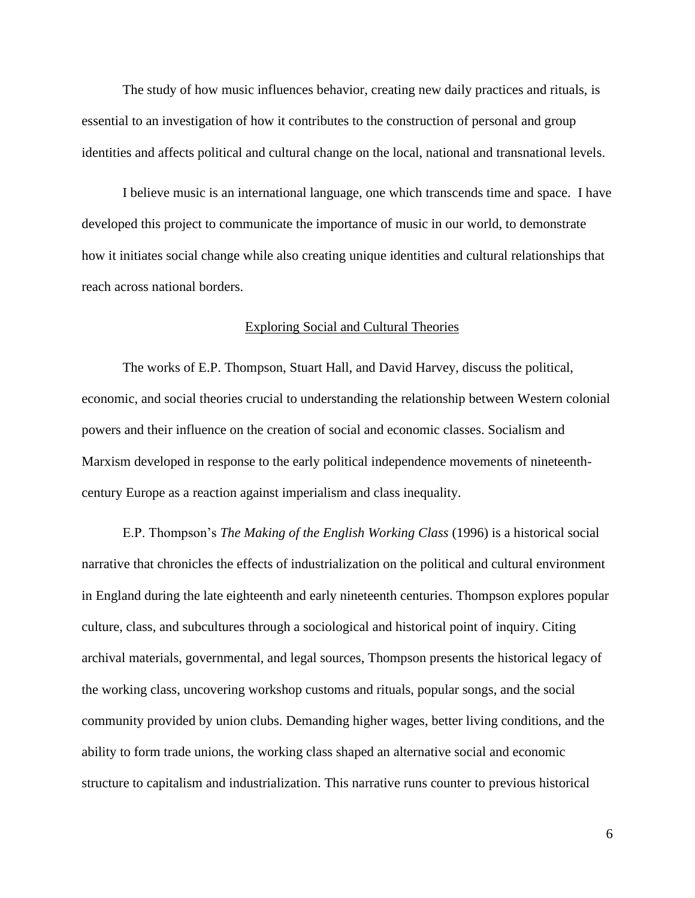The study of how music influences behavior, creating new daily practices and rituals, is essential to an investigation of how it contributes to the construction of personal and group identities and affects political and cultural change on the local, national and transnational levels.

I believe music is an international language, one which transcends time and space. I have developed this project to communicate the importance of music in our world, to demonstrate how it initiates social change while also creating unique identities and cultural relationships that reach across national borders.

#### Exploring Social and Cultural Theories

The works of E.P. Thompson, Stuart Hall, and David Harvey, discuss the political, economic, and social theories crucial to understanding the relationship between Western colonial powers and their influence on the creation of social and economic classes. Socialism and Marxism developed in response to the early political independence movements of nineteenthcentury Europe as a reaction against imperialism and class inequality.

E.P. Thompson's *The Making of the English Working Class* (1996) is a historical social narrative that chronicles the effects of industrialization on the political and cultural environment in England during the late eighteenth and early nineteenth centuries. Thompson explores popular culture, class, and subcultures through a sociological and historical point of inquiry. Citing archival materials, governmental, and legal sources, Thompson presents the historical legacy of the working class, uncovering workshop customs and rituals, popular songs, and the social community provided by union clubs. Demanding higher wages, better living conditions, and the ability to form trade unions, the working class shaped an alternative social and economic structure to capitalism and industrialization. This narrative runs counter to previous historical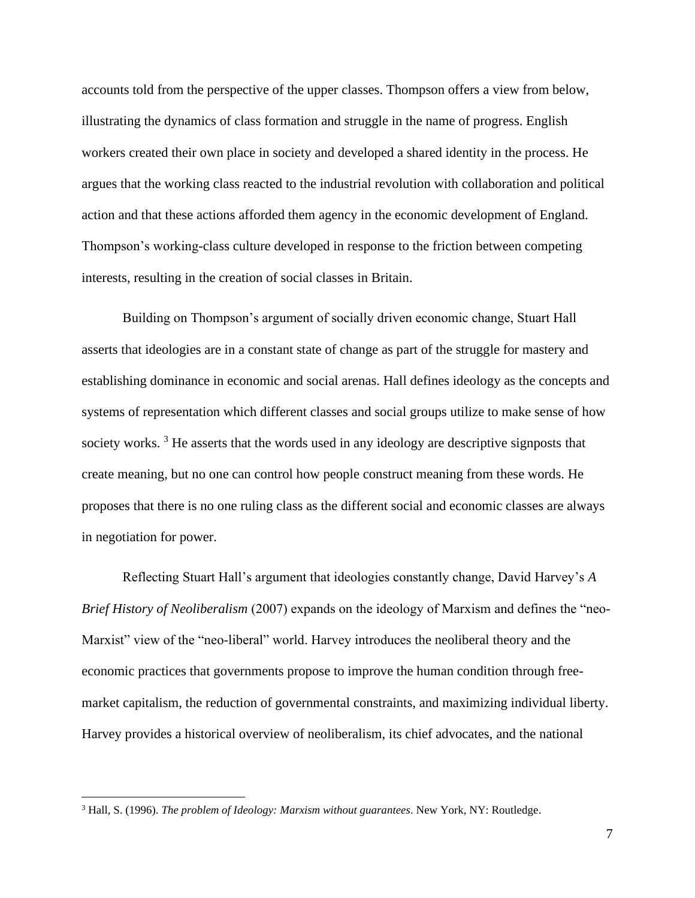accounts told from the perspective of the upper classes. Thompson offers a view from below, illustrating the dynamics of class formation and struggle in the name of progress. English workers created their own place in society and developed a shared identity in the process. He argues that the working class reacted to the industrial revolution with collaboration and political action and that these actions afforded them agency in the economic development of England. Thompson's working-class culture developed in response to the friction between competing interests, resulting in the creation of social classes in Britain.

Building on Thompson's argument of socially driven economic change, Stuart Hall asserts that ideologies are in a constant state of change as part of the struggle for mastery and establishing dominance in economic and social arenas. Hall defines ideology as the concepts and systems of representation which different classes and social groups utilize to make sense of how society works.<sup>3</sup> He asserts that the words used in any ideology are descriptive signposts that create meaning, but no one can control how people construct meaning from these words. He proposes that there is no one ruling class as the different social and economic classes are always in negotiation for power.

Reflecting Stuart Hall's argument that ideologies constantly change, David Harvey's *A Brief History of Neoliberalism* (2007) expands on the ideology of Marxism and defines the "neo-Marxist" view of the "neo-liberal" world. Harvey introduces the neoliberal theory and the economic practices that governments propose to improve the human condition through freemarket capitalism, the reduction of governmental constraints, and maximizing individual liberty. Harvey provides a historical overview of neoliberalism, its chief advocates, and the national

<sup>3</sup> Hall, S. (1996). *The problem of Ideology: Marxism without guarantees*. New York, NY: Routledge.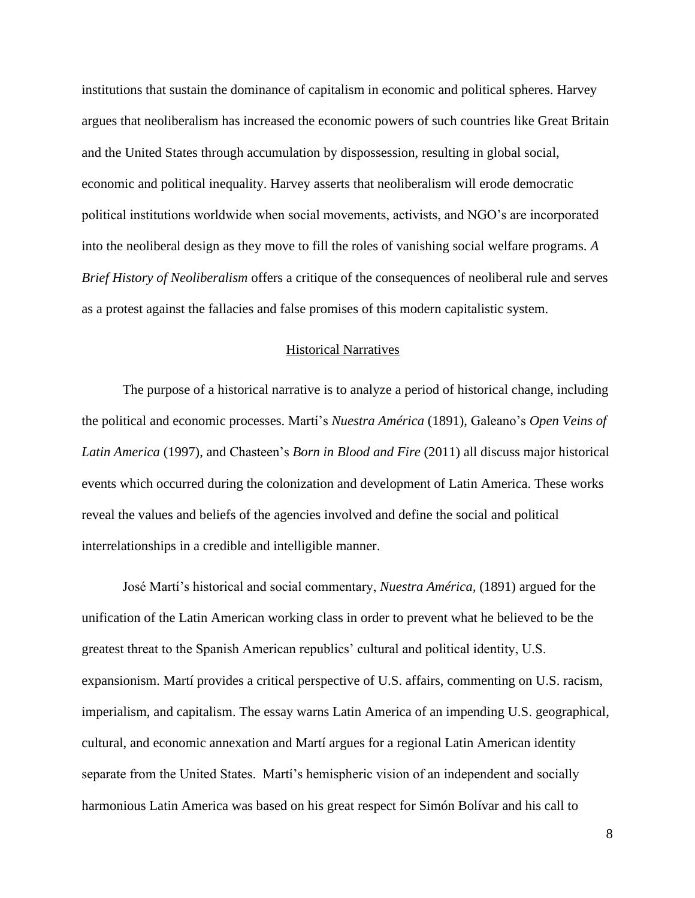institutions that sustain the dominance of capitalism in economic and political spheres. Harvey argues that neoliberalism has increased the economic powers of such countries like Great Britain and the United States through accumulation by dispossession, resulting in global social, economic and political inequality. Harvey asserts that neoliberalism will erode democratic political institutions worldwide when social movements, activists, and NGO's are incorporated into the neoliberal design as they move to fill the roles of vanishing social welfare programs. *A Brief History of Neoliberalism* offers a critique of the consequences of neoliberal rule and serves as a protest against the fallacies and false promises of this modern capitalistic system.

### Historical Narratives

The purpose of a historical narrative is to analyze a period of historical change, including the political and economic processes. Martí's *Nuestra América* (1891), Galeano's *Open Veins of Latin America* (1997), and Chasteen's *Born in Blood and Fire* (2011) all discuss major historical events which occurred during the colonization and development of Latin America. These works reveal the values and beliefs of the agencies involved and define the social and political interrelationships in a credible and intelligible manner.

José Martí's historical and social commentary, *Nuestra América,* (1891) argued for the unification of the Latin American working class in order to prevent what he believed to be the greatest threat to the Spanish American republics' cultural and political identity, U.S. expansionism. Martí provides a critical perspective of U.S. affairs, commenting on U.S. racism, imperialism, and capitalism. The essay warns Latin America of an impending U.S. geographical, cultural, and economic annexation and Martí argues for a regional Latin American identity separate from the United States. Martí's hemispheric vision of an independent and socially harmonious Latin America was based on his great respect for Simón Bolívar and his call to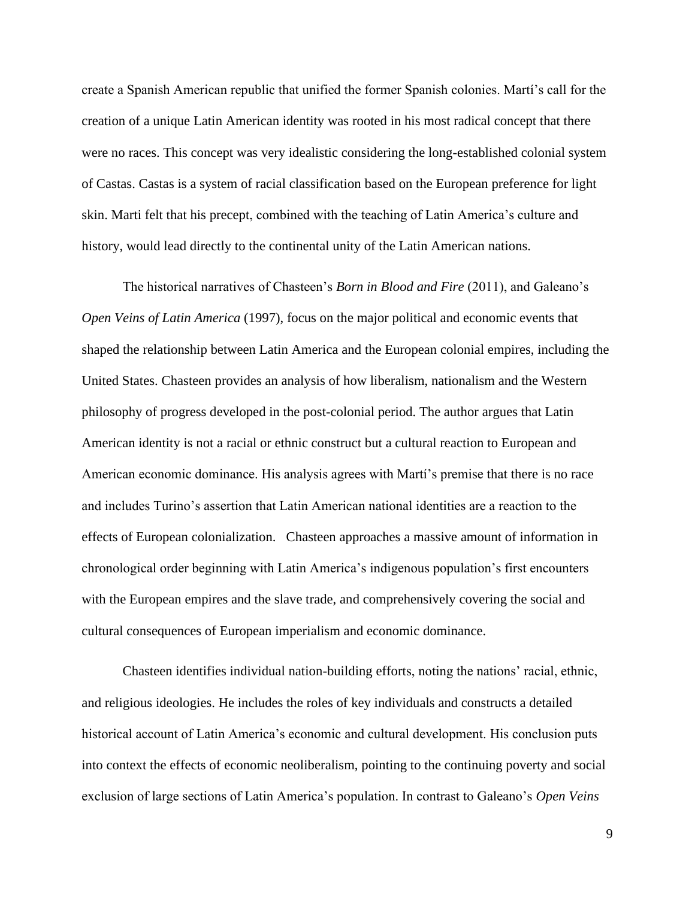create a Spanish American republic that unified the former Spanish colonies. Martí's call for the creation of a unique Latin American identity was rooted in his most radical concept that there were no races. This concept was very idealistic considering the long-established colonial system of Castas. Castas is a system of racial classification based on the European preference for light skin. Marti felt that his precept, combined with the teaching of Latin America's culture and history, would lead directly to the continental unity of the Latin American nations.

The historical narratives of Chasteen's *Born in Blood and Fire* (2011), and Galeano's *Open Veins of Latin America* (1997), focus on the major political and economic events that shaped the relationship between Latin America and the European colonial empires, including the United States. Chasteen provides an analysis of how liberalism, nationalism and the Western philosophy of progress developed in the post-colonial period. The author argues that Latin American identity is not a racial or ethnic construct but a cultural reaction to European and American economic dominance. His analysis agrees with Martí's premise that there is no race and includes Turino's assertion that Latin American national identities are a reaction to the effects of European colonialization. Chasteen approaches a massive amount of information in chronological order beginning with Latin America's indigenous population's first encounters with the European empires and the slave trade, and comprehensively covering the social and cultural consequences of European imperialism and economic dominance.

Chasteen identifies individual nation-building efforts, noting the nations' racial, ethnic, and religious ideologies. He includes the roles of key individuals and constructs a detailed historical account of Latin America's economic and cultural development. His conclusion puts into context the effects of economic neoliberalism, pointing to the continuing poverty and social exclusion of large sections of Latin America's population. In contrast to Galeano's *Open Veins*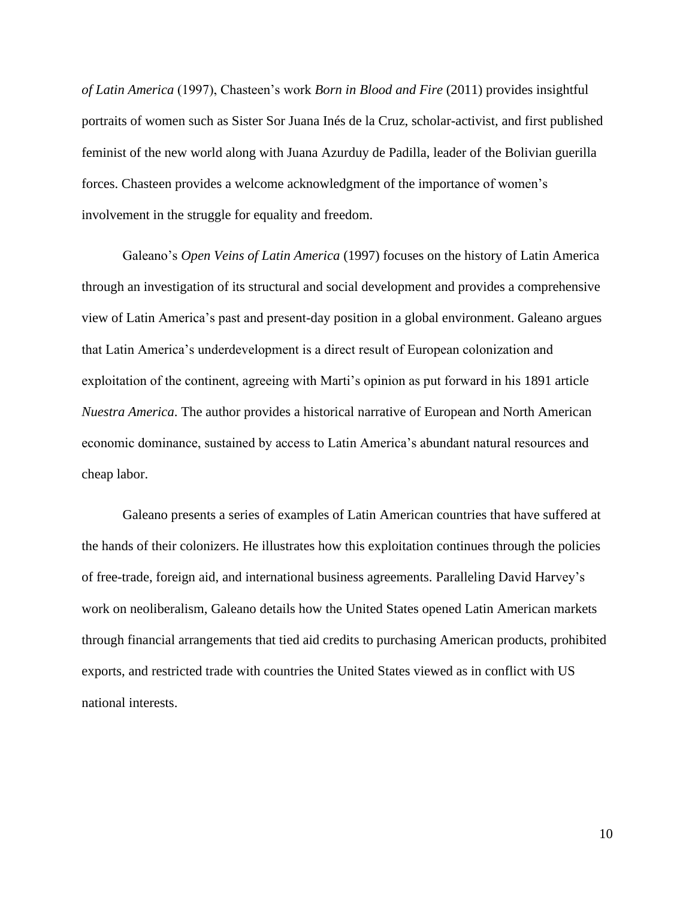*of Latin America* (1997), Chasteen's work *Born in Blood and Fire* (2011) provides insightful portraits of women such as Sister Sor Juana Inés de la Cruz, scholar-activist, and first published feminist of the new world along with Juana Azurduy de Padilla, leader of the Bolivian guerilla forces. Chasteen provides a welcome acknowledgment of the importance of women's involvement in the struggle for equality and freedom.

Galeano's *Open Veins of Latin America* (1997) focuses on the history of Latin America through an investigation of its structural and social development and provides a comprehensive view of Latin America's past and present-day position in a global environment. Galeano argues that Latin America's underdevelopment is a direct result of European colonization and exploitation of the continent, agreeing with Marti's opinion as put forward in his 1891 article *Nuestra America*. The author provides a historical narrative of European and North American economic dominance, sustained by access to Latin America's abundant natural resources and cheap labor.

Galeano presents a series of examples of Latin American countries that have suffered at the hands of their colonizers. He illustrates how this exploitation continues through the policies of free-trade, foreign aid, and international business agreements. Paralleling David Harvey's work on neoliberalism, Galeano details how the United States opened Latin American markets through financial arrangements that tied aid credits to purchasing American products, prohibited exports, and restricted trade with countries the United States viewed as in conflict with US national interests.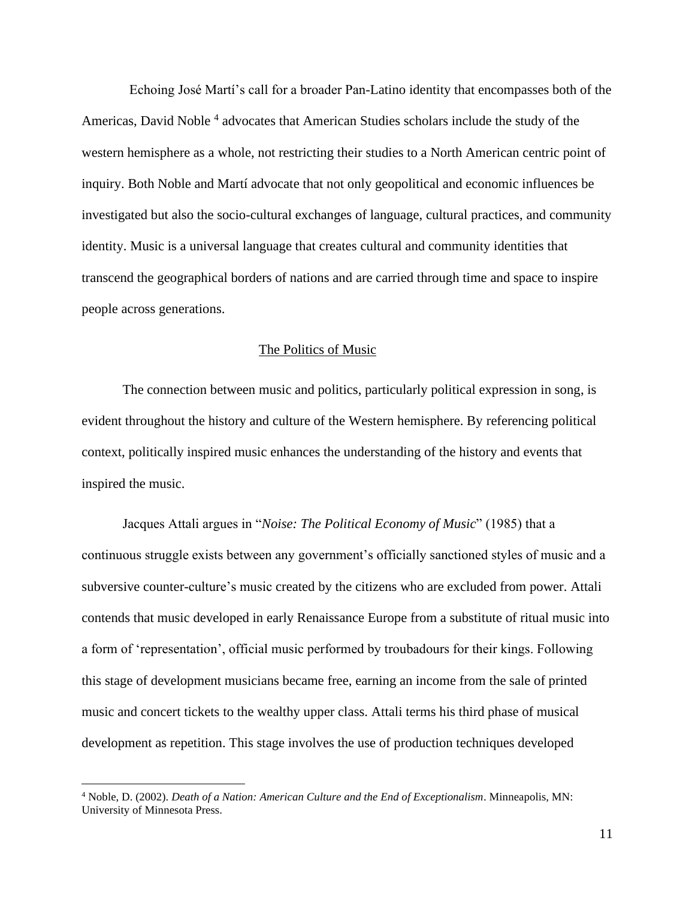Echoing José Martí's call for a broader Pan-Latino identity that encompasses both of the Americas, David Noble<sup>4</sup> advocates that American Studies scholars include the study of the western hemisphere as a whole, not restricting their studies to a North American centric point of inquiry. Both Noble and Martí advocate that not only geopolitical and economic influences be investigated but also the socio-cultural exchanges of language, cultural practices, and community identity. Music is a universal language that creates cultural and community identities that transcend the geographical borders of nations and are carried through time and space to inspire people across generations.

### The Politics of Music

The connection between music and politics, particularly political expression in song, is evident throughout the history and culture of the Western hemisphere. By referencing political context, politically inspired music enhances the understanding of the history and events that inspired the music.

Jacques Attali argues in "*Noise: The Political Economy of Music*" (1985) that a continuous struggle exists between any government's officially sanctioned styles of music and a subversive counter-culture's music created by the citizens who are excluded from power. Attali contends that music developed in early Renaissance Europe from a substitute of ritual music into a form of 'representation', official music performed by troubadours for their kings. Following this stage of development musicians became free, earning an income from the sale of printed music and concert tickets to the wealthy upper class. Attali terms his third phase of musical development as repetition. This stage involves the use of production techniques developed

<sup>4</sup> Noble, D. (2002). *Death of a Nation: American Culture and the End of Exceptionalism*. Minneapolis, MN: University of Minnesota Press.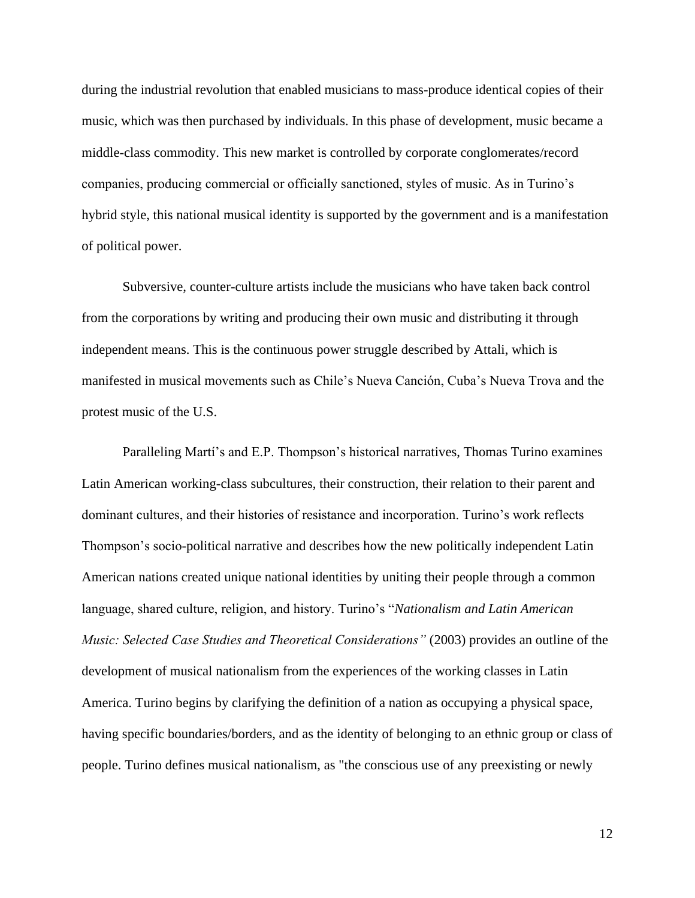during the industrial revolution that enabled musicians to mass-produce identical copies of their music, which was then purchased by individuals. In this phase of development, music became a middle-class commodity. This new market is controlled by corporate conglomerates/record companies, producing commercial or officially sanctioned, styles of music. As in Turino's hybrid style, this national musical identity is supported by the government and is a manifestation of political power.

Subversive, counter-culture artists include the musicians who have taken back control from the corporations by writing and producing their own music and distributing it through independent means. This is the continuous power struggle described by Attali, which is manifested in musical movements such as Chile's Nueva Canción, Cuba's Nueva Trova and the protest music of the U.S.

Paralleling Martí's and E.P. Thompson's historical narratives, Thomas Turino examines Latin American working-class subcultures, their construction, their relation to their parent and dominant cultures, and their histories of resistance and incorporation. Turino's work reflects Thompson's socio-political narrative and describes how the new politically independent Latin American nations created unique national identities by uniting their people through a common language, shared culture, religion, and history. Turino's "*Nationalism and Latin American Music: Selected Case Studies and Theoretical Considerations"* (2003) provides an outline of the development of musical nationalism from the experiences of the working classes in Latin America. Turino begins by clarifying the definition of a nation as occupying a physical space, having specific boundaries/borders, and as the identity of belonging to an ethnic group or class of people. Turino defines musical nationalism, as "the conscious use of any preexisting or newly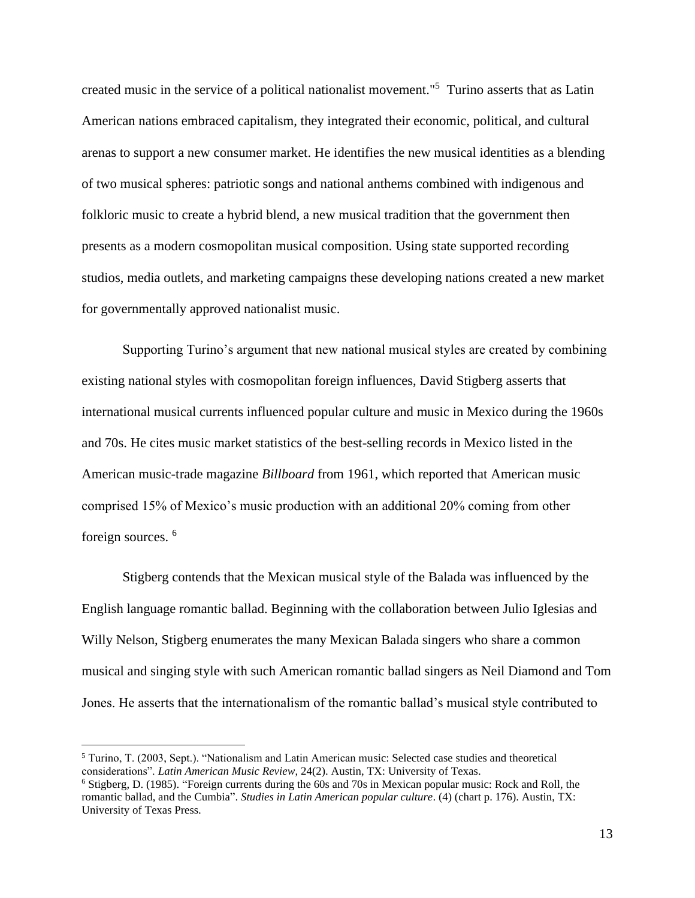created music in the service of a political nationalist movement." <sup>5</sup> Turino asserts that as Latin American nations embraced capitalism, they integrated their economic, political, and cultural arenas to support a new consumer market. He identifies the new musical identities as a blending of two musical spheres: patriotic songs and national anthems combined with indigenous and folkloric music to create a hybrid blend, a new musical tradition that the government then presents as a modern cosmopolitan musical composition. Using state supported recording studios, media outlets, and marketing campaigns these developing nations created a new market for governmentally approved nationalist music.

Supporting Turino's argument that new national musical styles are created by combining existing national styles with cosmopolitan foreign influences, David Stigberg asserts that international musical currents influenced popular culture and music in Mexico during the 1960s and 70s. He cites music market statistics of the best-selling records in Mexico listed in the American music-trade magazine *Billboard* from 1961, which reported that American music comprised 15% of Mexico's music production with an additional 20% coming from other foreign sources.<sup>6</sup>

Stigberg contends that the Mexican musical style of the Balada was influenced by the English language romantic ballad. Beginning with the collaboration between Julio Iglesias and Willy Nelson, Stigberg enumerates the many Mexican Balada singers who share a common musical and singing style with such American romantic ballad singers as Neil Diamond and Tom Jones. He asserts that the internationalism of the romantic ballad's musical style contributed to

<sup>5</sup> Turino, T. (2003, Sept.). "Nationalism and Latin American music: Selected case studies and theoretical considerations". *Latin American Music Review*, 24(2). Austin, TX: University of Texas.

<sup>6</sup> Stigberg, D. (1985). "Foreign currents during the 60s and 70s in Mexican popular music: Rock and Roll, the romantic ballad, and the Cumbia". *Studies in Latin American popular culture*. (4) (chart p. 176). Austin, TX: University of Texas Press.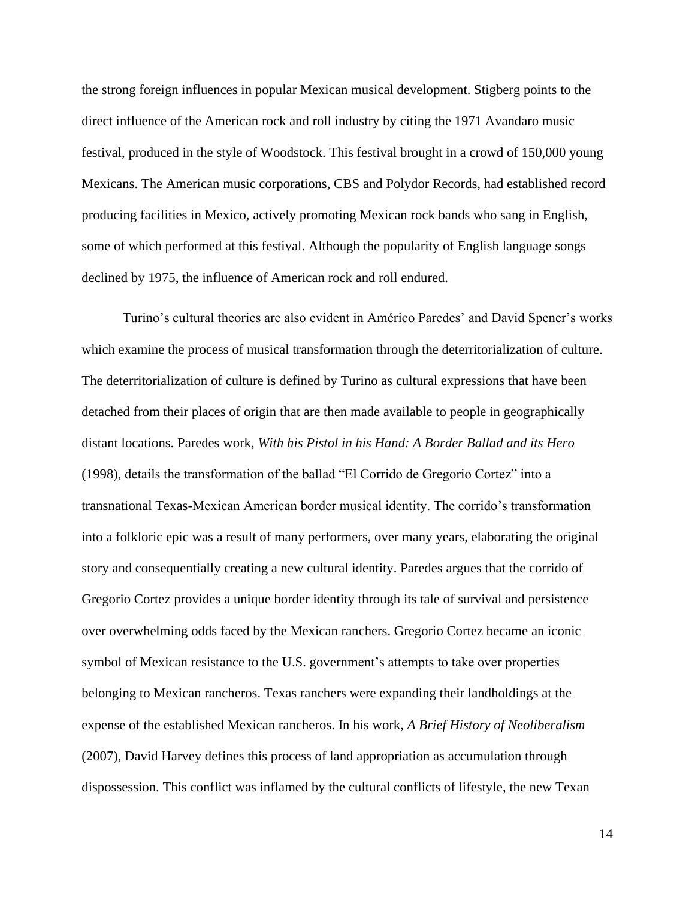the strong foreign influences in popular Mexican musical development. Stigberg points to the direct influence of the American rock and roll industry by citing the 1971 Avandaro music festival, produced in the style of Woodstock. This festival brought in a crowd of 150,000 young Mexicans. The American music corporations, CBS and Polydor Records, had established record producing facilities in Mexico, actively promoting Mexican rock bands who sang in English, some of which performed at this festival. Although the popularity of English language songs declined by 1975, the influence of American rock and roll endured.

Turino's cultural theories are also evident in Américo Paredes' and David Spener's works which examine the process of musical transformation through the deterritorialization of culture. The deterritorialization of culture is defined by Turino as cultural expressions that have been detached from their places of origin that are then made available to people in geographically distant locations. Paredes work, *With his Pistol in his Hand: A Border Ballad and its Hero* (1998)*,* details the transformation of the ballad "El Corrido de Gregorio Cortez" into a transnational Texas-Mexican American border musical identity. The corrido's transformation into a folkloric epic was a result of many performers, over many years, elaborating the original story and consequentially creating a new cultural identity. Paredes argues that the corrido of Gregorio Cortez provides a unique border identity through its tale of survival and persistence over overwhelming odds faced by the Mexican ranchers. Gregorio Cortez became an iconic symbol of Mexican resistance to the U.S. government's attempts to take over properties belonging to Mexican rancheros. Texas ranchers were expanding their landholdings at the expense of the established Mexican rancheros. In his work, *A Brief History of Neoliberalism*  (2007)*,* David Harvey defines this process of land appropriation as accumulation through dispossession. This conflict was inflamed by the cultural conflicts of lifestyle, the new Texan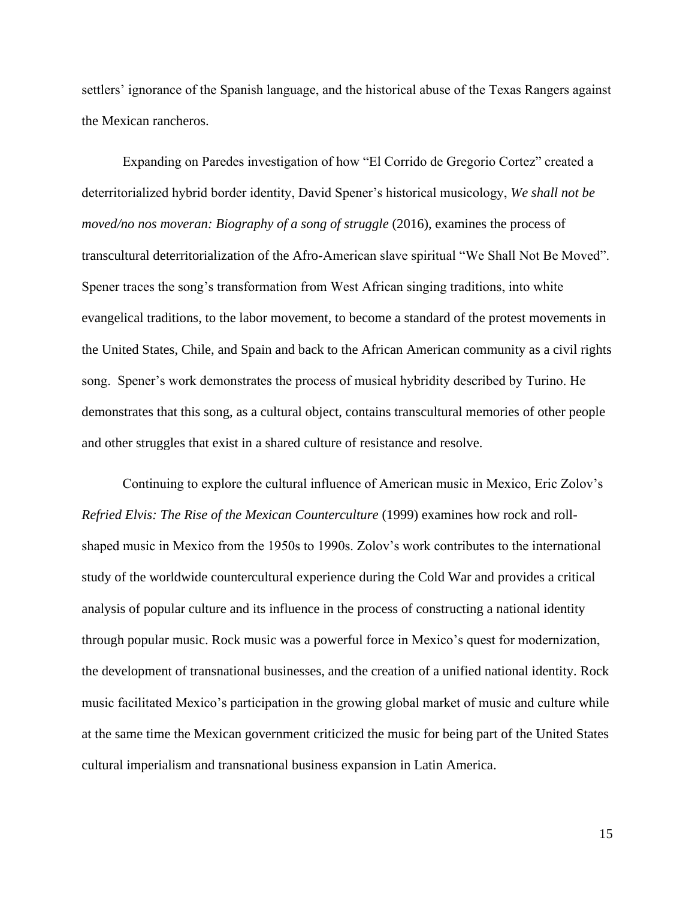settlers' ignorance of the Spanish language, and the historical abuse of the Texas Rangers against the Mexican rancheros.

Expanding on Paredes investigation of how "El Corrido de Gregorio Cortez" created a deterritorialized hybrid border identity, David Spener's historical musicology, *We shall not be moved/no nos moveran: Biography of a song of struggle* (2016), examines the process of transcultural deterritorialization of the Afro-American slave spiritual "We Shall Not Be Moved". Spener traces the song's transformation from West African singing traditions, into white evangelical traditions, to the labor movement, to become a standard of the protest movements in the United States, Chile, and Spain and back to the African American community as a civil rights song. Spener's work demonstrates the process of musical hybridity described by Turino. He demonstrates that this song, as a cultural object, contains transcultural memories of other people and other struggles that exist in a shared culture of resistance and resolve.

Continuing to explore the cultural influence of American music in Mexico, Eric Zolov's *Refried Elvis: The Rise of the Mexican Counterculture* (1999) examines how rock and rollshaped music in Mexico from the 1950s to 1990s. Zolov's work contributes to the international study of the worldwide countercultural experience during the Cold War and provides a critical analysis of popular culture and its influence in the process of constructing a national identity through popular music. Rock music was a powerful force in Mexico's quest for modernization, the development of transnational businesses, and the creation of a unified national identity. Rock music facilitated Mexico's participation in the growing global market of music and culture while at the same time the Mexican government criticized the music for being part of the United States cultural imperialism and transnational business expansion in Latin America.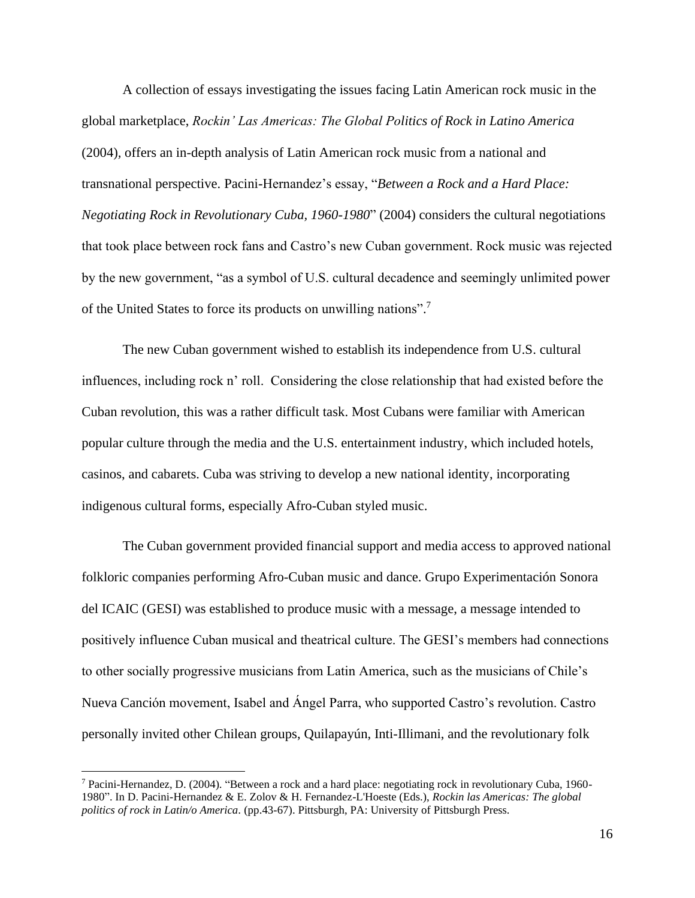A collection of essays investigating the issues facing Latin American rock music in the global marketplace, *Rockin' Las Americas: The Global Politics of Rock in Latino America*  (2004)*,* offers an in-depth analysis of Latin American rock music from a national and transnational perspective. Pacini-Hernandez's essay, "*Between a Rock and a Hard Place: Negotiating Rock in Revolutionary Cuba, 1960-1980*" (2004) considers the cultural negotiations that took place between rock fans and Castro's new Cuban government. Rock music was rejected by the new government, "as a symbol of U.S. cultural decadence and seemingly unlimited power of the United States to force its products on unwilling nations".<sup>7</sup>

The new Cuban government wished to establish its independence from U.S. cultural influences, including rock n' roll. Considering the close relationship that had existed before the Cuban revolution, this was a rather difficult task. Most Cubans were familiar with American popular culture through the media and the U.S. entertainment industry, which included hotels, casinos, and cabarets. Cuba was striving to develop a new national identity, incorporating indigenous cultural forms, especially Afro-Cuban styled music.

The Cuban government provided financial support and media access to approved national folkloric companies performing Afro-Cuban music and dance. Grupo Experimentación Sonora del ICAIC (GESI) was established to produce music with a message, a message intended to positively influence Cuban musical and theatrical culture. The GESI's members had connections to other socially progressive musicians from Latin America, such as the musicians of Chile's Nueva Canción movement, Isabel and Ángel Parra, who supported Castro's revolution. Castro personally invited other Chilean groups, Quilapayún, Inti-Illimani, and the revolutionary folk

<sup>7</sup> Pacini-Hernandez, D. (2004). "Between a rock and a hard place: negotiating rock in revolutionary Cuba, 1960- 1980". In D. Pacini-Hernandez & E. Zolov & H. Fernandez-L'Hoeste (Eds.), *Rockin las Americas: The global politics of rock in Latin/o America.* (pp.43-67). Pittsburgh, PA: University of Pittsburgh Press.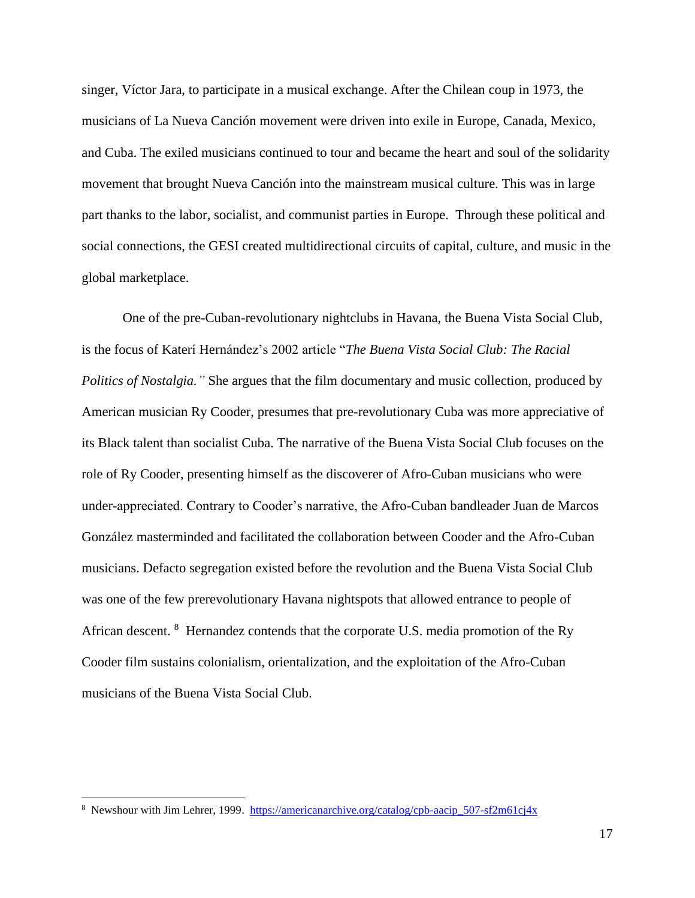singer, Víctor Jara, to participate in a musical exchange. After the Chilean coup in 1973, the musicians of La Nueva Canción movement were driven into exile in Europe, Canada, Mexico, and Cuba. The exiled musicians continued to tour and became the heart and soul of the solidarity movement that brought Nueva Canción into the mainstream musical culture. This was in large part thanks to the labor, socialist, and communist parties in Europe. Through these political and social connections, the GESI created multidirectional circuits of capital, culture, and music in the global marketplace.

One of the pre-Cuban-revolutionary nightclubs in Havana, the Buena Vista Social Club, is the focus of Katerí Hernández's 2002 article "*The Buena Vista Social Club: The Racial Politics of Nostalgia."* She argues that the film documentary and music collection, produced by American musician Ry Cooder, presumes that pre-revolutionary Cuba was more appreciative of its Black talent than socialist Cuba. The narrative of the Buena Vista Social Club focuses on the role of Ry Cooder, presenting himself as the discoverer of Afro-Cuban musicians who were under-appreciated. Contrary to Cooder's narrative, the Afro-Cuban bandleader Juan de Marcos González masterminded and facilitated the collaboration between Cooder and the Afro-Cuban musicians. Defacto segregation existed before the revolution and the Buena Vista Social Club was one of the few prerevolutionary Havana nightspots that allowed entrance to people of African descent. <sup>8</sup> Hernandez contends that the corporate U.S. media promotion of the Ry Cooder film sustains colonialism, orientalization, and the exploitation of the Afro-Cuban musicians of the Buena Vista Social Club.

<sup>&</sup>lt;sup>8</sup> Newshour with Jim Lehrer, 1999. [https://americanarchive.org/catalog/cpb-aacip\\_507-sf2m61cj4x](https://americanarchive.org/catalog/cpb-aacip_507-sf2m61cj4x)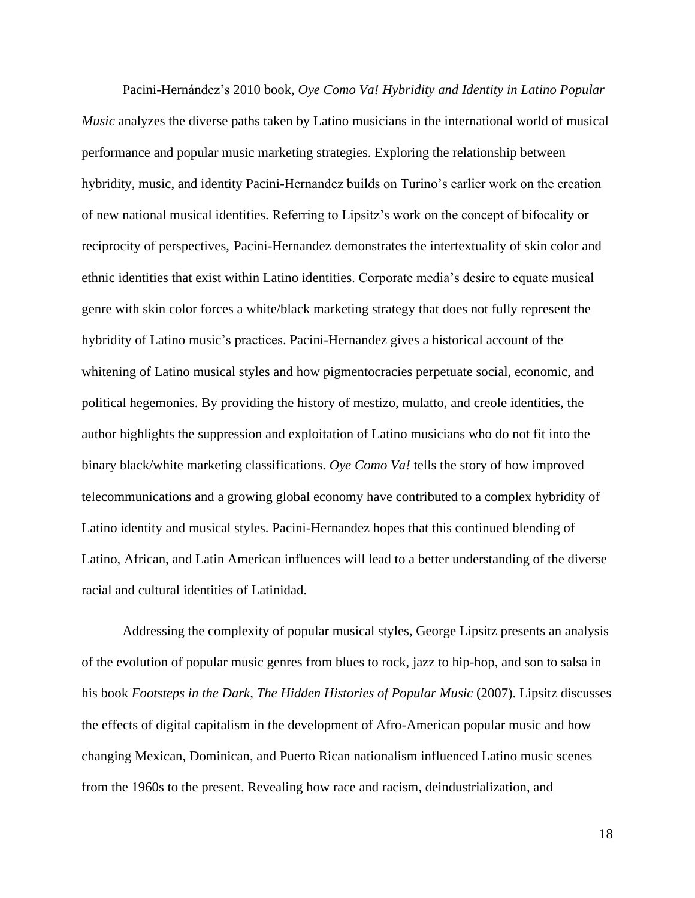Pacini-Hernández's 2010 book, *Oye Como Va! Hybridity and Identity in Latino Popular Music* analyzes the diverse paths taken by Latino musicians in the international world of musical performance and popular music marketing strategies. Exploring the relationship between hybridity, music, and identity Pacini-Hernandez builds on Turino's earlier work on the creation of new national musical identities. Referring to Lipsitz's work on the concept of bifocality or reciprocity of perspectives, Pacini-Hernandez demonstrates the intertextuality of skin color and ethnic identities that exist within Latino identities. Corporate media's desire to equate musical genre with skin color forces a white/black marketing strategy that does not fully represent the hybridity of Latino music's practices. Pacini-Hernandez gives a historical account of the whitening of Latino musical styles and how pigmentocracies perpetuate social, economic, and political hegemonies. By providing the history of mestizo, mulatto, and creole identities, the author highlights the suppression and exploitation of Latino musicians who do not fit into the binary black/white marketing classifications. *Oye Como Va!* tells the story of how improved telecommunications and a growing global economy have contributed to a complex hybridity of Latino identity and musical styles. Pacini-Hernandez hopes that this continued blending of Latino, African, and Latin American influences will lead to a better understanding of the diverse racial and cultural identities of Latinidad.

Addressing the complexity of popular musical styles, George Lipsitz presents an analysis of the evolution of popular music genres from blues to rock, jazz to hip-hop, and son to salsa in his book *Footsteps in the Dark, The Hidden Histories of Popular Music* (2007). Lipsitz discusses the effects of digital capitalism in the development of Afro-American popular music and how changing Mexican, Dominican, and Puerto Rican nationalism influenced Latino music scenes from the 1960s to the present. Revealing how race and racism, deindustrialization, and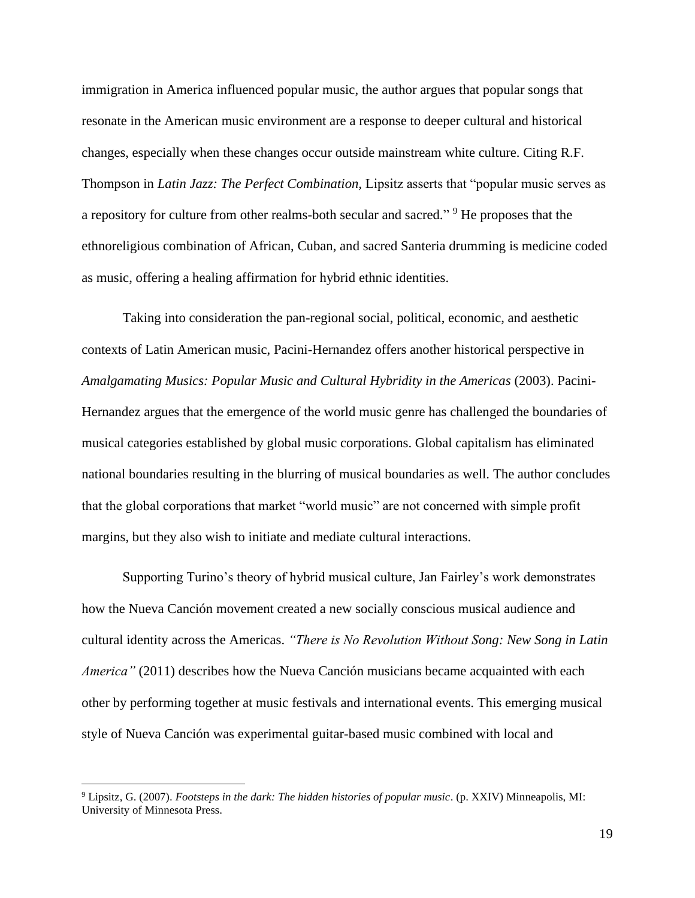immigration in America influenced popular music, the author argues that popular songs that resonate in the American music environment are a response to deeper cultural and historical changes, especially when these changes occur outside mainstream white culture. Citing R.F. Thompson in *Latin Jazz: The Perfect Combination,* Lipsitz asserts that "popular music serves as a repository for culture from other realms-both secular and sacred." <sup>9</sup> He proposes that the ethnoreligious combination of African, Cuban, and sacred Santeria drumming is medicine coded as music, offering a healing affirmation for hybrid ethnic identities.

Taking into consideration the pan-regional social, political, economic, and aesthetic contexts of Latin American music, Pacini-Hernandez offers another historical perspective in *Amalgamating Musics: Popular Music and Cultural Hybridity in the Americas* (2003). Pacini-Hernandez argues that the emergence of the world music genre has challenged the boundaries of musical categories established by global music corporations. Global capitalism has eliminated national boundaries resulting in the blurring of musical boundaries as well. The author concludes that the global corporations that market "world music" are not concerned with simple profit margins, but they also wish to initiate and mediate cultural interactions.

Supporting Turino's theory of hybrid musical culture, Jan Fairley's work demonstrates how the Nueva Canción movement created a new socially conscious musical audience and cultural identity across the Americas. *"There is No Revolution Without Song: New Song in Latin America*" (2011) describes how the Nueva Canción musicians became acquainted with each other by performing together at music festivals and international events. This emerging musical style of Nueva Canción was experimental guitar-based music combined with local and

<sup>9</sup> Lipsitz, G. (2007). *Footsteps in the dark: The hidden histories of popular music*. (p. XXIV) Minneapolis, MI: University of Minnesota Press.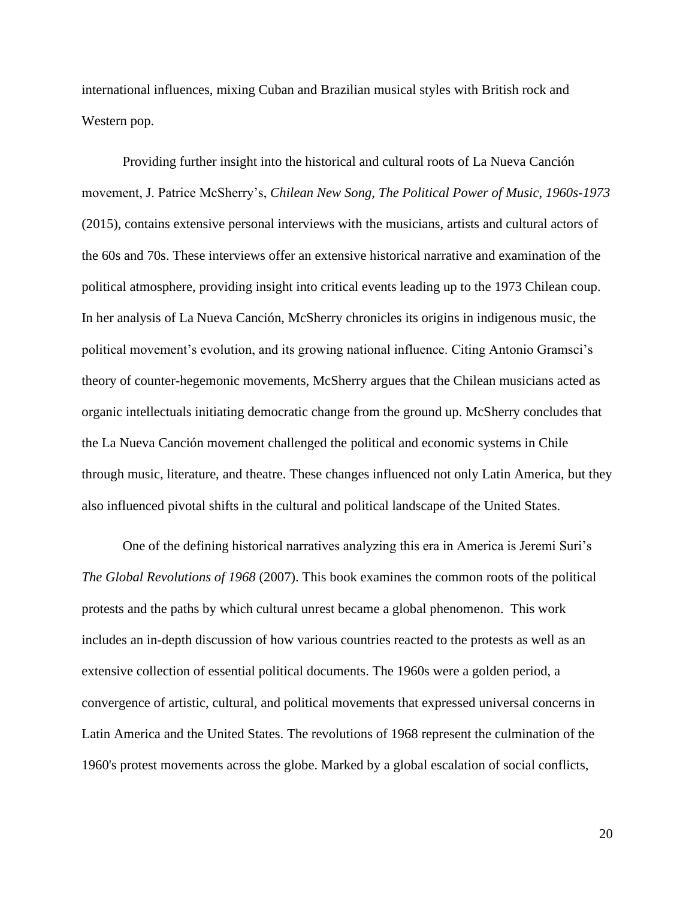international influences, mixing Cuban and Brazilian musical styles with British rock and Western pop.

Providing further insight into the historical and cultural roots of La Nueva Canción movement, J. Patrice McSherry's, *Chilean New Song, The Political Power of Music, 1960s-1973* (2015)*,* contains extensive personal interviews with the musicians, artists and cultural actors of the 60s and 70s. These interviews offer an extensive historical narrative and examination of the political atmosphere, providing insight into critical events leading up to the 1973 Chilean coup. In her analysis of La Nueva Canción, McSherry chronicles its origins in indigenous music, the political movement's evolution, and its growing national influence. Citing Antonio Gramsci's theory of counter-hegemonic movements, McSherry argues that the Chilean musicians acted as organic intellectuals initiating democratic change from the ground up. McSherry concludes that the La Nueva Canción movement challenged the political and economic systems in Chile through music, literature, and theatre. These changes influenced not only Latin America, but they also influenced pivotal shifts in the cultural and political landscape of the United States.

One of the defining historical narratives analyzing this era in America is Jeremi Suri's *The Global Revolutions of 1968* (2007). This book examines the common roots of the political protests and the paths by which cultural unrest became a global phenomenon. This work includes an in-depth discussion of how various countries reacted to the protests as well as an extensive collection of essential political documents. The 1960s were a golden period, a convergence of artistic, cultural, and political movements that expressed universal concerns in Latin America and the United States. The revolutions of 1968 represent the culmination of the 1960's protest movements across the globe. Marked by a global escalation of social conflicts,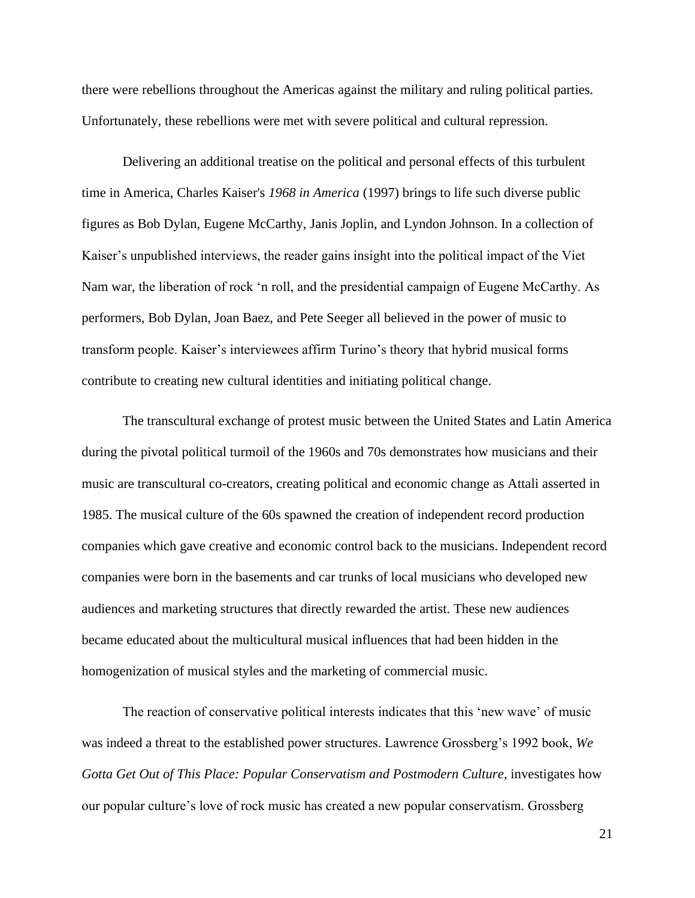there were rebellions throughout the Americas against the military and ruling political parties. Unfortunately, these rebellions were met with severe political and cultural repression.

Delivering an additional treatise on the political and personal effects of this turbulent time in America, Charles Kaiser's *1968 in America* (1997) brings to life such diverse public figures as Bob Dylan, Eugene McCarthy, Janis Joplin, and Lyndon Johnson. In a collection of Kaiser's unpublished interviews, the reader gains insight into the political impact of the Viet Nam war, the liberation of rock 'n roll, and the presidential campaign of Eugene McCarthy. As performers, Bob Dylan, Joan Baez, and Pete Seeger all believed in the power of music to transform people. Kaiser's interviewees affirm Turino's theory that hybrid musical forms contribute to creating new cultural identities and initiating political change.

The transcultural exchange of protest music between the United States and Latin America during the pivotal political turmoil of the 1960s and 70s demonstrates how musicians and their music are transcultural co-creators, creating political and economic change as Attali asserted in 1985. The musical culture of the 60s spawned the creation of independent record production companies which gave creative and economic control back to the musicians. Independent record companies were born in the basements and car trunks of local musicians who developed new audiences and marketing structures that directly rewarded the artist. These new audiences became educated about the multicultural musical influences that had been hidden in the homogenization of musical styles and the marketing of commercial music.

The reaction of conservative political interests indicates that this 'new wave' of music was indeed a threat to the established power structures. Lawrence Grossberg's 1992 book, *We Gotta Get Out of This Place: Popular Conservatism and Postmodern Culture,* investigates how our popular culture's love of rock music has created a new popular conservatism. Grossberg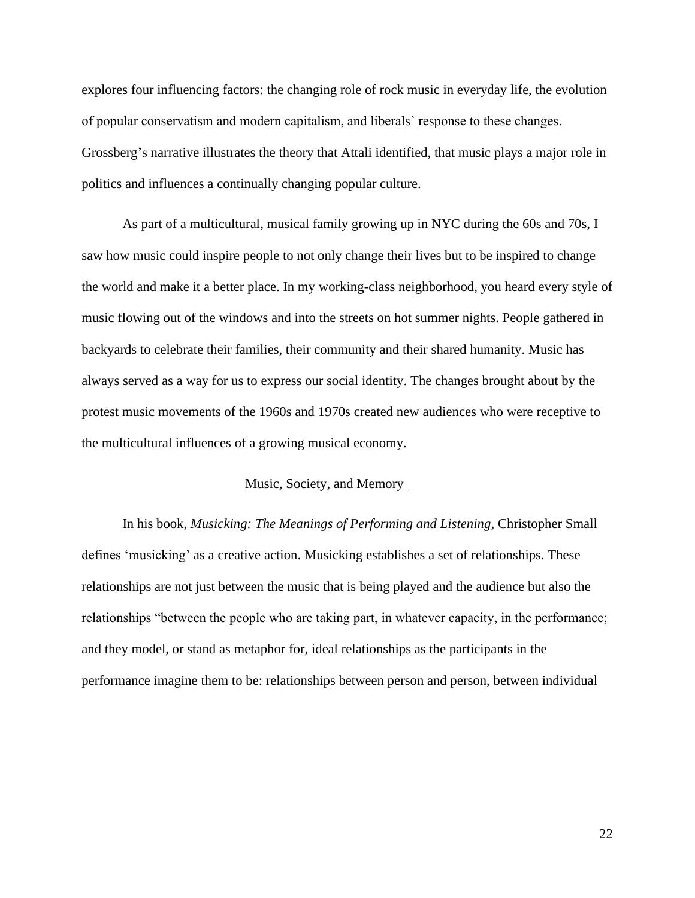explores four influencing factors: the changing role of rock music in everyday life, the evolution of popular conservatism and modern capitalism, and liberals' response to these changes. Grossberg's narrative illustrates the theory that Attali identified, that music plays a major role in politics and influences a continually changing popular culture.

As part of a multicultural, musical family growing up in NYC during the 60s and 70s, I saw how music could inspire people to not only change their lives but to be inspired to change the world and make it a better place. In my working-class neighborhood, you heard every style of music flowing out of the windows and into the streets on hot summer nights. People gathered in backyards to celebrate their families, their community and their shared humanity. Music has always served as a way for us to express our social identity. The changes brought about by the protest music movements of the 1960s and 1970s created new audiences who were receptive to the multicultural influences of a growing musical economy.

### Music, Society, and Memory

In his book, *Musicking: The Meanings of Performing and Listening,* Christopher Small defines 'musicking' as a creative action. Musicking establishes a set of relationships. These relationships are not just between the music that is being played and the audience but also the relationships "between the people who are taking part, in whatever capacity, in the performance; and they model, or stand as metaphor for, ideal relationships as the participants in the performance imagine them to be: relationships between person and person, between individual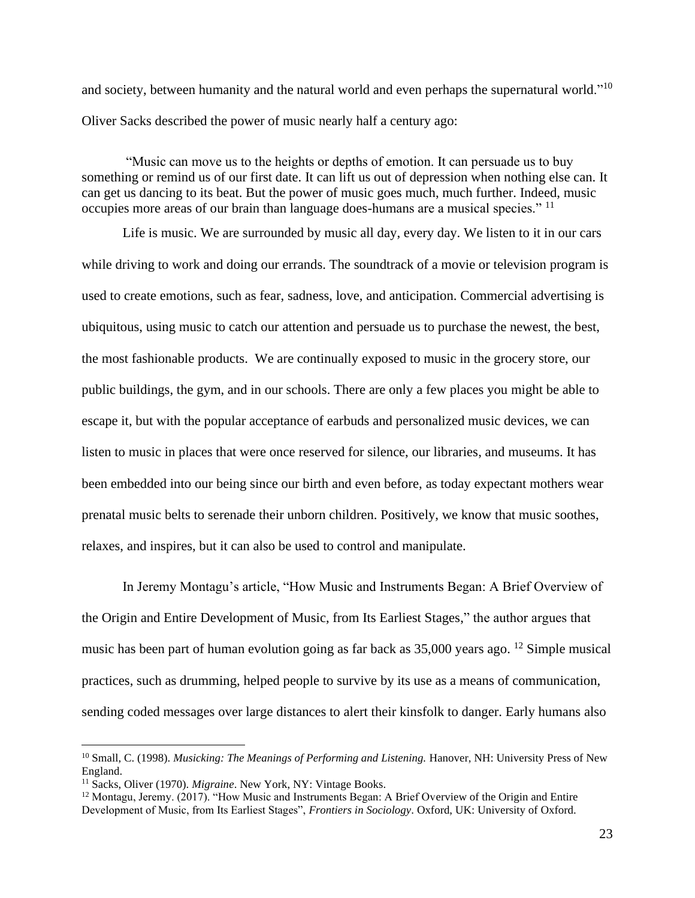and society, between humanity and the natural world and even perhaps the supernatural world."<sup>10</sup> Oliver Sacks described the power of music nearly half a century ago:

"Music can move us to the heights or depths of emotion. It can persuade us to buy something or remind us of our first date. It can lift us out of depression when nothing else can. It can get us dancing to its beat. But the power of music goes much, much further. Indeed, music occupies more areas of our brain than language does-humans are a musical species." <sup>11</sup>

Life is music. We are surrounded by music all day, every day. We listen to it in our cars while driving to work and doing our errands. The soundtrack of a movie or television program is used to create emotions, such as fear, sadness, love, and anticipation. Commercial advertising is ubiquitous, using music to catch our attention and persuade us to purchase the newest, the best, the most fashionable products. We are continually exposed to music in the grocery store, our public buildings, the gym, and in our schools. There are only a few places you might be able to escape it, but with the popular acceptance of earbuds and personalized music devices, we can listen to music in places that were once reserved for silence, our libraries, and museums. It has been embedded into our being since our birth and even before, as today expectant mothers wear prenatal music belts to serenade their unborn children. Positively, we know that music soothes, relaxes, and inspires, but it can also be used to control and manipulate.

In Jeremy Montagu's article, "How Music and Instruments Began: A Brief Overview of the Origin and Entire Development of Music, from Its Earliest Stages," the author argues that music has been part of human evolution going as far back as 35,000 years ago. <sup>12</sup> Simple musical practices, such as drumming, helped people to survive by its use as a means of communication, sending coded messages over large distances to alert their kinsfolk to danger. Early humans also

<sup>&</sup>lt;sup>10</sup> Small, C. (1998). *Musicking: The Meanings of Performing and Listening*. Hanover, NH: University Press of New England.

<sup>11</sup> Sacks, Oliver (1970). *Migraine*. New York, NY: Vintage Books.

<sup>&</sup>lt;sup>12</sup> Montagu, Jeremy. (2017). "How Music and Instruments Began: A Brief Overview of the Origin and Entire Development of Music, from Its Earliest Stages", *Frontiers in Sociology*. Oxford, UK: University of Oxford.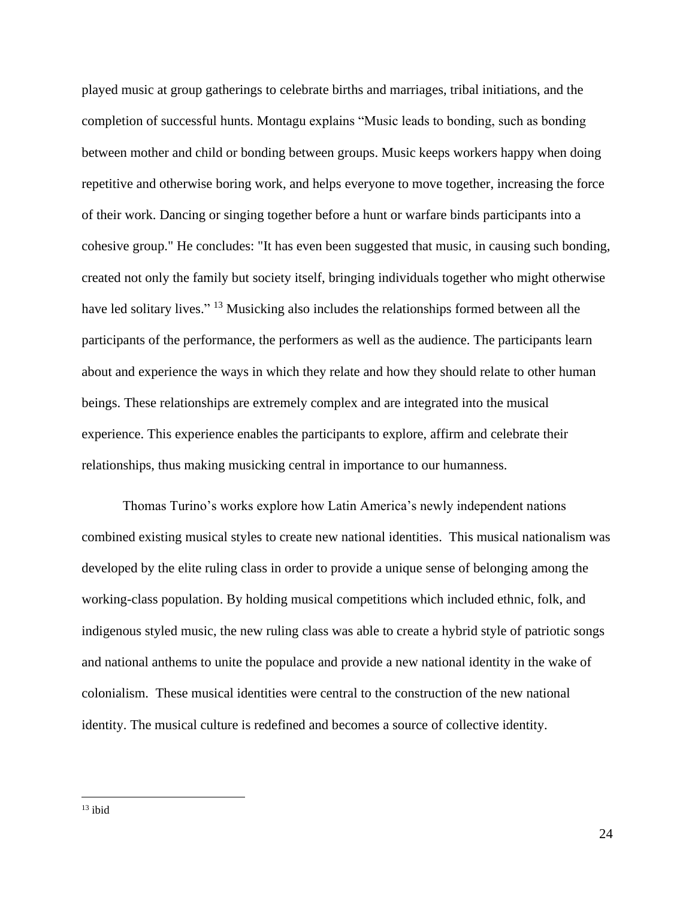played music at group gatherings to celebrate births and marriages, tribal initiations, and the completion of successful hunts. Montagu explains "Music leads to bonding, such as bonding between mother and child or bonding between groups. Music keeps workers happy when doing repetitive and otherwise boring work, and helps everyone to move together, increasing the force of their work. Dancing or singing together before a hunt or warfare binds participants into a cohesive group." He concludes: "It has even been suggested that music, in causing such bonding, created not only the family but society itself, bringing individuals together who might otherwise have led solitary lives."<sup>13</sup> Musicking also includes the relationships formed between all the participants of the performance, the performers as well as the audience. The participants learn about and experience the ways in which they relate and how they should relate to other human beings. These relationships are extremely complex and are integrated into the musical experience. This experience enables the participants to explore, affirm and celebrate their relationships, thus making musicking central in importance to our humanness.

Thomas Turino's works explore how Latin America's newly independent nations combined existing musical styles to create new national identities. This musical nationalism was developed by the elite ruling class in order to provide a unique sense of belonging among the working-class population. By holding musical competitions which included ethnic, folk, and indigenous styled music, the new ruling class was able to create a hybrid style of patriotic songs and national anthems to unite the populace and provide a new national identity in the wake of colonialism. These musical identities were central to the construction of the new national identity. The musical culture is redefined and becomes a source of collective identity.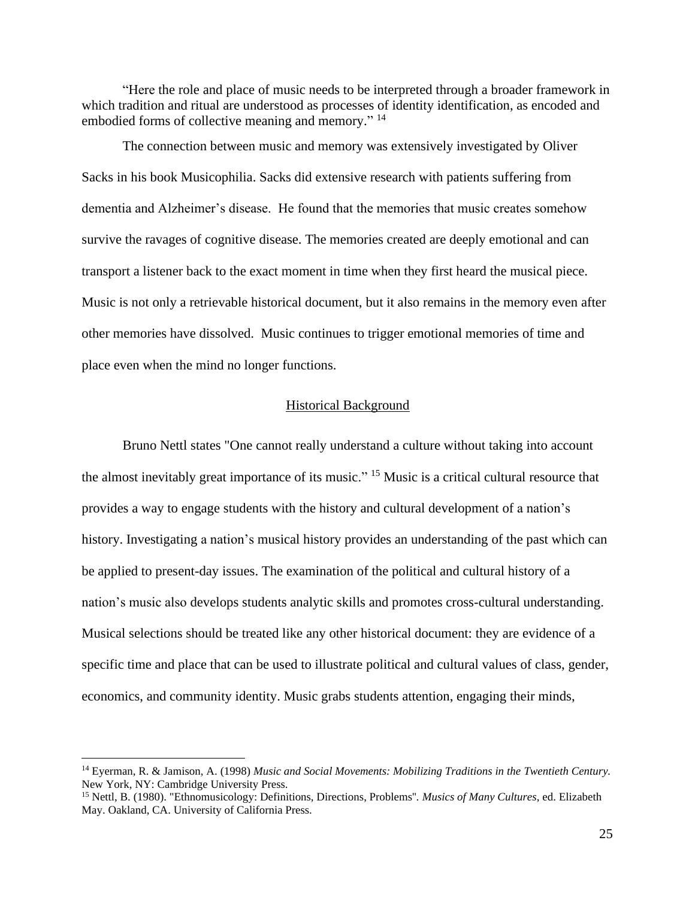"Here the role and place of music needs to be interpreted through a broader framework in which tradition and ritual are understood as processes of identity identification, as encoded and embodied forms of collective meaning and memory."<sup>14</sup>

The connection between music and memory was extensively investigated by Oliver Sacks in his book Musicophilia. Sacks did extensive research with patients suffering from dementia and Alzheimer's disease. He found that the memories that music creates somehow survive the ravages of cognitive disease. The memories created are deeply emotional and can transport a listener back to the exact moment in time when they first heard the musical piece. Music is not only a retrievable historical document, but it also remains in the memory even after other memories have dissolved. Music continues to trigger emotional memories of time and place even when the mind no longer functions.

#### Historical Background

Bruno Nettl states "One cannot really understand a culture without taking into account the almost inevitably great importance of its music." <sup>15</sup> Music is a critical cultural resource that provides a way to engage students with the history and cultural development of a nation's history. Investigating a nation's musical history provides an understanding of the past which can be applied to present-day issues. The examination of the political and cultural history of a nation's music also develops students analytic skills and promotes cross-cultural understanding. Musical selections should be treated like any other historical document: they are evidence of a specific time and place that can be used to illustrate political and cultural values of class, gender, economics, and community identity. Music grabs students attention, engaging their minds,

<sup>14</sup> Eyerman, R. & Jamison, A. (1998) *Music and Social Movements: Mobilizing Traditions in the Twentieth Century.* New York, NY: Cambridge University Press.

<sup>15</sup> Nettl, B. (1980). "Ethnomusicology: Definitions, Directions, Problems''. *Musics of Many Cultures*, ed. Elizabeth May. Oakland, CA. University of California Press.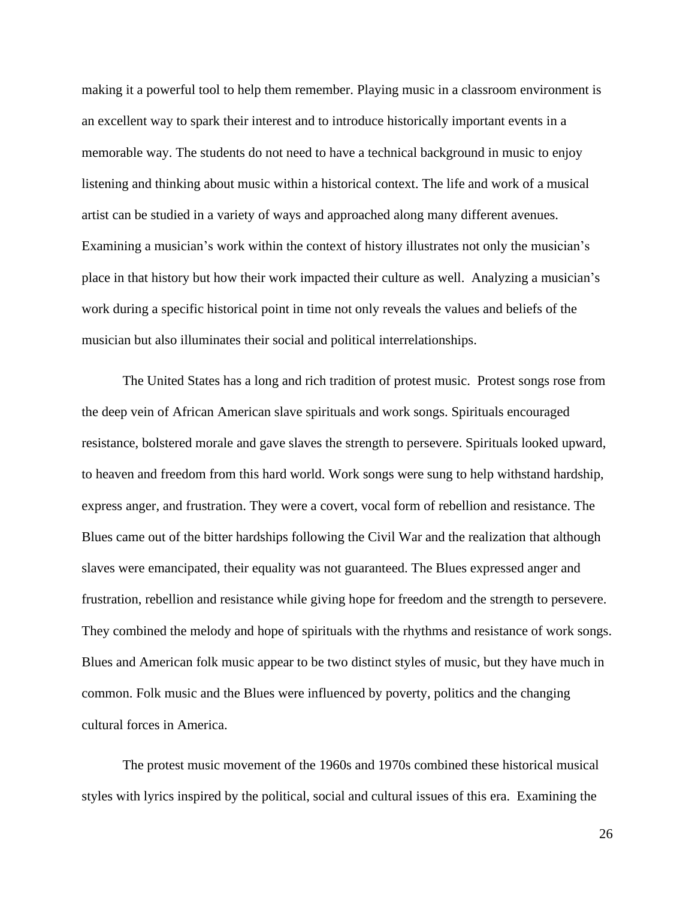making it a powerful tool to help them remember. Playing music in a classroom environment is an excellent way to spark their interest and to introduce historically important events in a memorable way. The students do not need to have a technical background in music to enjoy listening and thinking about music within a historical context. The life and work of a musical artist can be studied in a variety of ways and approached along many different avenues. Examining a musician's work within the context of history illustrates not only the musician's place in that history but how their work impacted their culture as well. Analyzing a musician's work during a specific historical point in time not only reveals the values and beliefs of the musician but also illuminates their social and political interrelationships.

The United States has a long and rich tradition of protest music. Protest songs rose from the deep vein of African American slave spirituals and work songs. Spirituals encouraged resistance, bolstered morale and gave slaves the strength to persevere. Spirituals looked upward, to heaven and freedom from this hard world. Work songs were sung to help withstand hardship, express anger, and frustration. They were a covert, vocal form of rebellion and resistance. The Blues came out of the bitter hardships following the Civil War and the realization that although slaves were emancipated, their equality was not guaranteed. The Blues expressed anger and frustration, rebellion and resistance while giving hope for freedom and the strength to persevere. They combined the melody and hope of spirituals with the rhythms and resistance of work songs. Blues and American folk music appear to be two distinct styles of music, but they have much in common. Folk music and the Blues were influenced by poverty, politics and the changing cultural forces in America.

The protest music movement of the 1960s and 1970s combined these historical musical styles with lyrics inspired by the political, social and cultural issues of this era. Examining the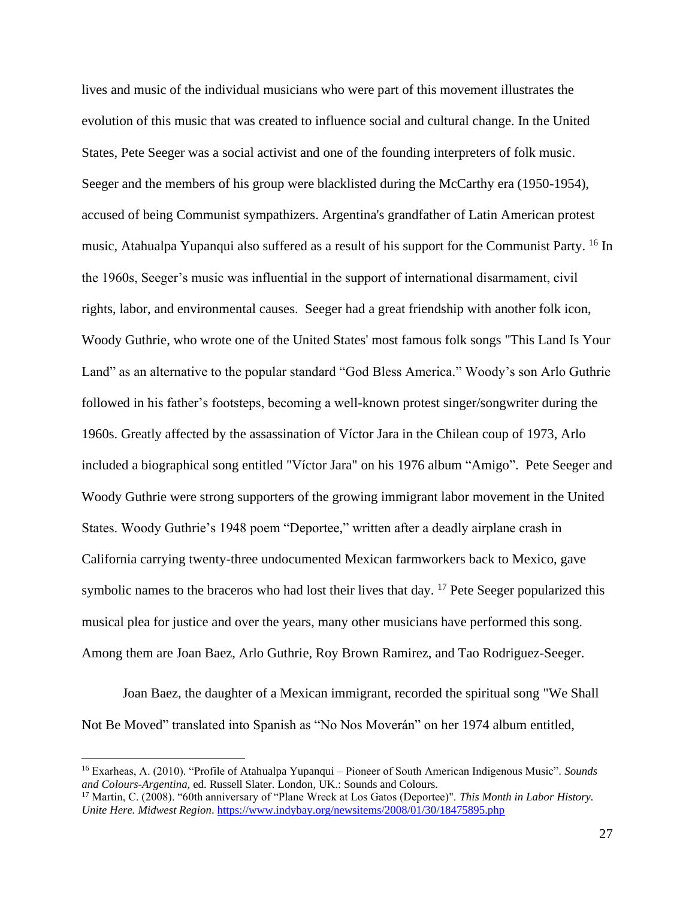lives and music of the individual musicians who were part of this movement illustrates the evolution of this music that was created to influence social and cultural change. In the United States, Pete Seeger was a social activist and one of the founding interpreters of folk music. Seeger and the members of his group were blacklisted during the McCarthy era (1950-1954), accused of being Communist sympathizers. Argentina's grandfather of Latin American protest music, Atahualpa Yupanqui also suffered as a result of his support for the Communist Party. <sup>16</sup> In the 1960s, Seeger's music was influential in the support of international disarmament, civil rights, labor, and environmental causes. Seeger had a great friendship with another folk icon, Woody Guthrie, who wrote one of the United States' most famous folk songs "This Land Is Your Land" as an alternative to the popular standard "God Bless America." Woody's son Arlo Guthrie followed in his father's footsteps, becoming a well-known protest singer/songwriter during the 1960s. Greatly affected by the assassination of Víctor Jara in the Chilean coup of 1973, Arlo included a biographical song entitled "Víctor Jara" on his 1976 album "Amigo". Pete Seeger and Woody Guthrie were strong supporters of the growing immigrant labor movement in the United States. Woody Guthrie's 1948 poem "Deportee," written after a deadly airplane crash in California carrying twenty-three undocumented Mexican farmworkers back to Mexico, gave symbolic names to the braceros who had lost their lives that day.  $17$  Pete Seeger popularized this musical plea for justice and over the years, many other musicians have performed this song. Among them are Joan Baez, Arlo Guthrie, Roy Brown Ramirez, and Tao Rodriguez-Seeger.

Joan Baez, the daughter of a Mexican immigrant, recorded the spiritual song "We Shall Not Be Moved" translated into Spanish as "No Nos Moverán" on her 1974 album entitled,

<sup>16</sup> Exarheas, A. (2010). "Profile of Atahualpa Yupanqui – Pioneer of South American Indigenous Music". *Sounds and Colours-Argentina,* ed. Russell Slater. London, UK.: Sounds and Colours.

<sup>17</sup> Martin, C. (2008). "60th anniversary of "Plane Wreck at Los Gatos (Deportee)". *This Month in Labor History. Unite Here. Midwest Region*.<https://www.indybay.org/newsitems/2008/01/30/18475895.php>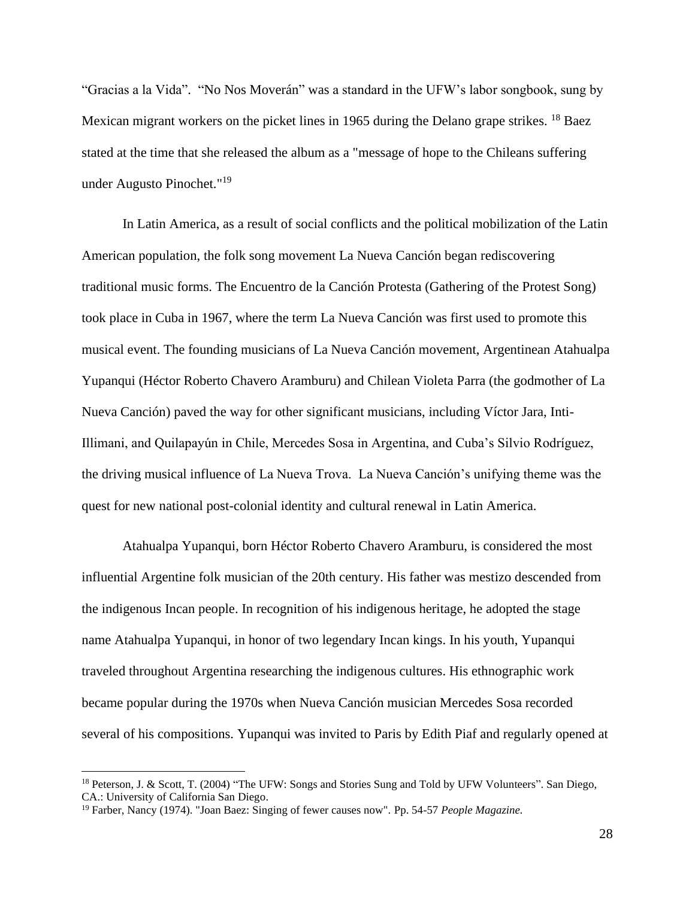"Gracias a la Vida". "No Nos Moverán" was a standard in the UFW's labor songbook, sung by Mexican migrant workers on the picket lines in 1965 during the Delano grape strikes. <sup>18</sup> Baez stated at the time that she released the album as a "message of hope to the Chileans suffering under Augusto Pinochet." 19

In Latin America, as a result of social conflicts and the political mobilization of the Latin American population, the folk song movement La Nueva Canción began rediscovering traditional music forms. The Encuentro de la Canción Protesta (Gathering of the Protest Song) took place in Cuba in 1967, where the term La Nueva Canción was first used to promote this musical event. The founding musicians of La Nueva Canción movement, Argentinean Atahualpa Yupanqui (Héctor Roberto Chavero Aramburu) and Chilean Violeta Parra (the godmother of La Nueva Canción) paved the way for other significant musicians, including Víctor Jara, Inti-Illimani, and Quilapayún in Chile, Mercedes Sosa in Argentina, and Cuba's Silvio Rodríguez, the driving musical influence of La Nueva Trova. La Nueva Canción's unifying theme was the quest for new national post-colonial identity and cultural renewal in Latin America.

Atahualpa Yupanqui, born Héctor Roberto Chavero Aramburu, is considered the most influential Argentine folk musician of the 20th century. His father was mestizo descended from the indigenous Incan people. In recognition of his indigenous heritage, he adopted the stage name Atahualpa Yupanqui, in honor of two legendary Incan kings. In his youth, Yupanqui traveled throughout Argentina researching the indigenous cultures. His ethnographic work became popular during the 1970s when Nueva Canción musician Mercedes Sosa recorded several of his compositions. Yupanqui was invited to Paris by Edith Piaf and regularly opened at

<sup>18</sup> Peterson, J. & Scott, T. (2004) "The UFW: Songs and Stories Sung and Told by UFW Volunteers". San Diego, CA.: University of California San Diego.

<sup>19</sup> Farber, Nancy (1974). "Joan Baez: Singing of fewer causes now". Pp. 54-57 *People Magazine.*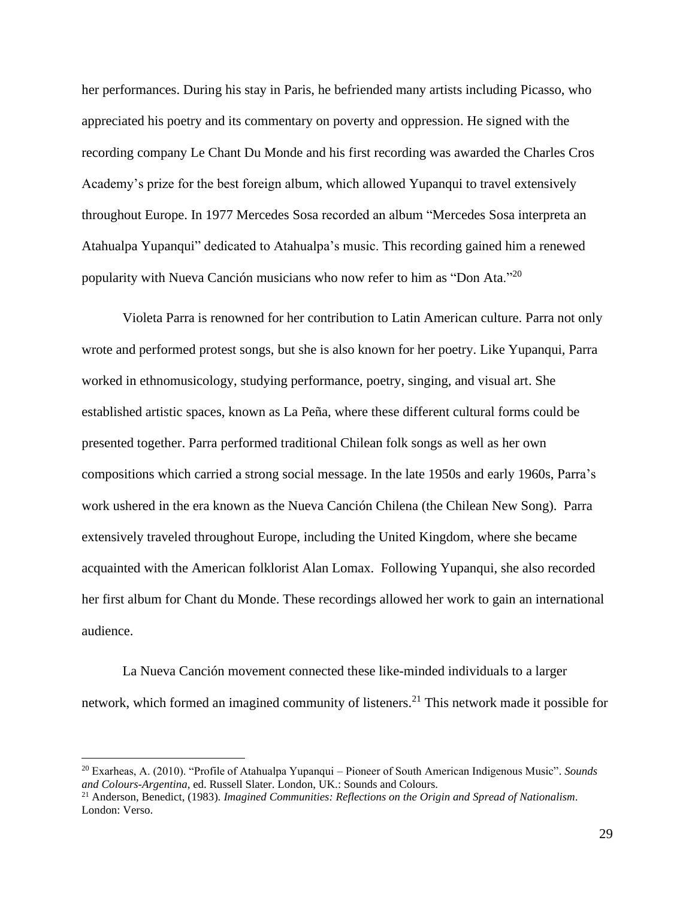her performances. During his stay in Paris, he befriended many artists including Picasso, who appreciated his poetry and its commentary on poverty and oppression. He signed with the recording company Le Chant Du Monde and his first recording was awarded the Charles Cros Academy's prize for the best foreign album, which allowed Yupanqui to travel extensively throughout Europe. In 1977 Mercedes Sosa recorded an album "Mercedes Sosa interpreta an Atahualpa Yupanqui" dedicated to Atahualpa's music. This recording gained him a renewed popularity with Nueva Canción musicians who now refer to him as "Don Ata."<sup>20</sup>

Violeta Parra is renowned for her contribution to Latin American culture. Parra not only wrote and performed protest songs, but she is also known for her poetry. Like Yupanqui, Parra worked in ethnomusicology, studying performance, poetry, singing, and visual art. She established artistic spaces, known as La Peña, where these different cultural forms could be presented together. Parra performed traditional Chilean folk songs as well as her own compositions which carried a strong social message. In the late 1950s and early 1960s, Parra's work ushered in the era known as the Nueva Canción Chilena (the Chilean New Song). Parra extensively traveled throughout Europe, including the United Kingdom, where she became acquainted with the American folklorist Alan Lomax. Following Yupanqui, she also recorded her first album for Chant du Monde. These recordings allowed her work to gain an international audience.

La Nueva Canción movement connected these like-minded individuals to a larger network, which formed an imagined community of listeners.<sup>21</sup> This network made it possible for

<sup>20</sup> Exarheas, A. (2010). "Profile of Atahualpa Yupanqui – Pioneer of South American Indigenous Music". *Sounds and Colours-Argentina*, ed. Russell Slater. London, UK.: Sounds and Colours.

<sup>21</sup> Anderson, Benedict, (1983). *Imagined Communities: Reflections on the Origin and Spread of Nationalism*. London: Verso.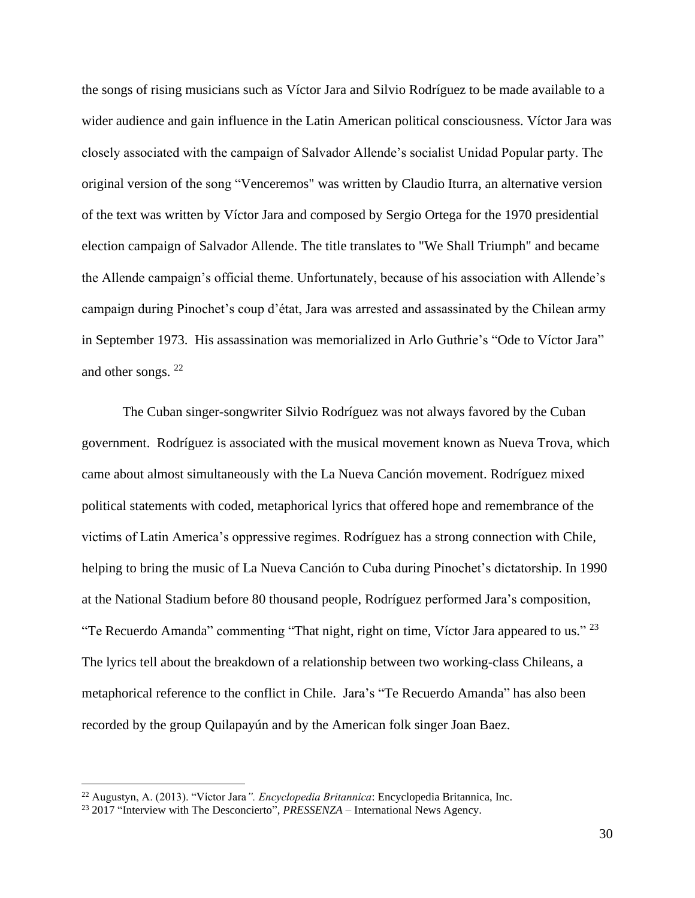the songs of rising musicians such as Víctor Jara and Silvio Rodríguez to be made available to a wider audience and gain influence in the Latin American political consciousness. Víctor Jara was closely associated with the campaign of Salvador Allende's socialist Unidad Popular party. The original version of the song "Venceremos" was written by Claudio Iturra, an alternative version of the text was written by Víctor Jara and composed by Sergio Ortega for the 1970 presidential election campaign of Salvador Allende. The title translates to "We Shall Triumph" and became the Allende campaign's official theme. Unfortunately, because of his association with Allende's campaign during Pinochet's coup d'état, Jara was arrested and assassinated by the Chilean army in September 1973. His assassination was memorialized in Arlo Guthrie's "Ode to Víctor Jara" and other songs. <sup>22</sup>

The Cuban singer-songwriter Silvio Rodríguez was not always favored by the Cuban government. Rodríguez is associated with the musical movement known as Nueva Trova, which came about almost simultaneously with the La Nueva Canción movement. Rodríguez mixed political statements with coded, metaphorical lyrics that offered hope and remembrance of the victims of Latin America's oppressive regimes. Rodríguez has a strong connection with Chile, helping to bring the music of La Nueva Canción to Cuba during Pinochet's dictatorship. In 1990 at the National Stadium before 80 thousand people, Rodríguez performed Jara's composition, "Te Recuerdo Amanda" commenting "That night, right on time, Víctor Jara appeared to us."  $^{23}$ The lyrics tell about the breakdown of a relationship between two working-class Chileans, a metaphorical reference to the conflict in Chile. Jara's "Te Recuerdo Amanda" has also been recorded by the group Quilapayún and by the American folk singer Joan Baez.

<sup>22</sup> Augustyn, A. (2013). "Víctor Jara*". Encyclopedia Britannica*: Encyclopedia Britannica, Inc.

<sup>&</sup>lt;sup>23</sup> 2017 "Interview with The Desconcierto", *PRESSENZA* – International News Agency.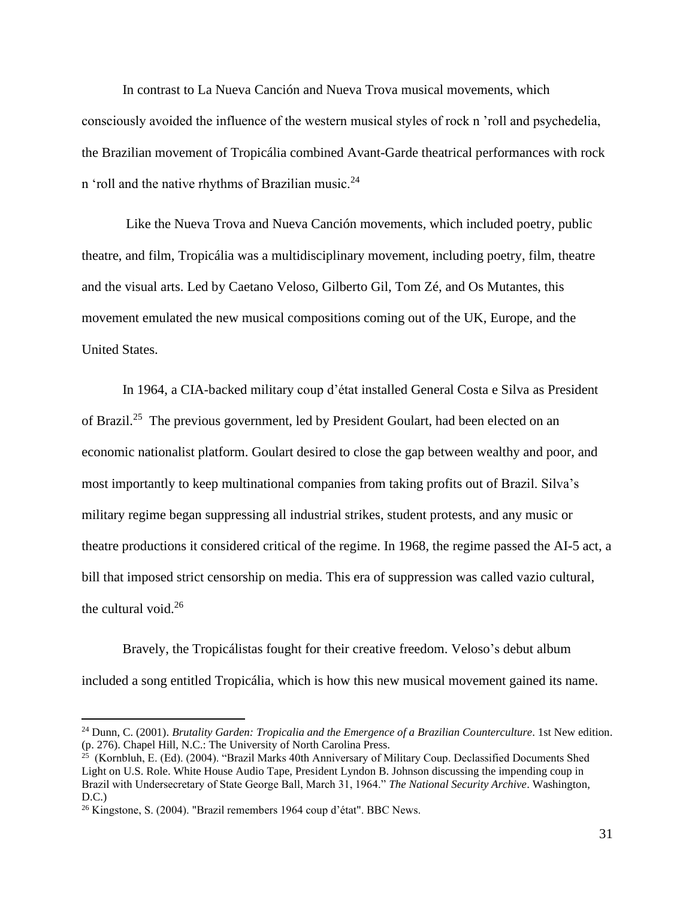In contrast to La Nueva Canción and Nueva Trova musical movements, which consciously avoided the influence of the western musical styles of rock n 'roll and psychedelia, the Brazilian movement of Tropicália combined Avant-Garde theatrical performances with rock n 'roll and the native rhythms of Brazilian music. $24$ 

Like the Nueva Trova and Nueva Canción movements, which included poetry, public theatre, and film, Tropicália was a multidisciplinary movement, including poetry, film, theatre and the visual arts. Led by Caetano Veloso, Gilberto Gil, Tom Zé, and Os Mutantes, this movement emulated the new musical compositions coming out of the UK, Europe, and the United States.

In 1964, a CIA-backed military coup d'état installed General Costa e Silva as President of Brazil.<sup>25</sup> The previous government, led by President Goulart, had been elected on an economic nationalist platform. Goulart desired to close the gap between wealthy and poor, and most importantly to keep multinational companies from taking profits out of Brazil. Silva's military regime began suppressing all industrial strikes, student protests, and any music or theatre productions it considered critical of the regime. In 1968, the regime passed the AI-5 act, a bill that imposed strict censorship on media. This era of suppression was called vazio cultural, the cultural void.<sup>26</sup>

Bravely, the Tropicálistas fought for their creative freedom. Veloso's debut album included a song entitled Tropicália, which is how this new musical movement gained its name.

<sup>&</sup>lt;sup>24</sup> Dunn, C. (2001). *Brutality Garden: Tropicalia and the Emergence of a Brazilian Counterculture*. 1st New edition. (p. 276). Chapel Hill, N.C.: The University of North Carolina Press.

<sup>&</sup>lt;sup>25</sup> (Kornbluh, E. (Ed). (2004). "Brazil Marks 40th Anniversary of Military Coup. Declassified Documents Shed Light on U.S. Role. White House Audio Tape, President Lyndon B. Johnson discussing the impending coup in Brazil with Undersecretary of State George Ball, March 31, 1964." *The National Security Archive*. Washington,  $D.C.$ )

<sup>26</sup> Kingstone, S. (2004). "Brazil remembers 1964 coup d'état". BBC News.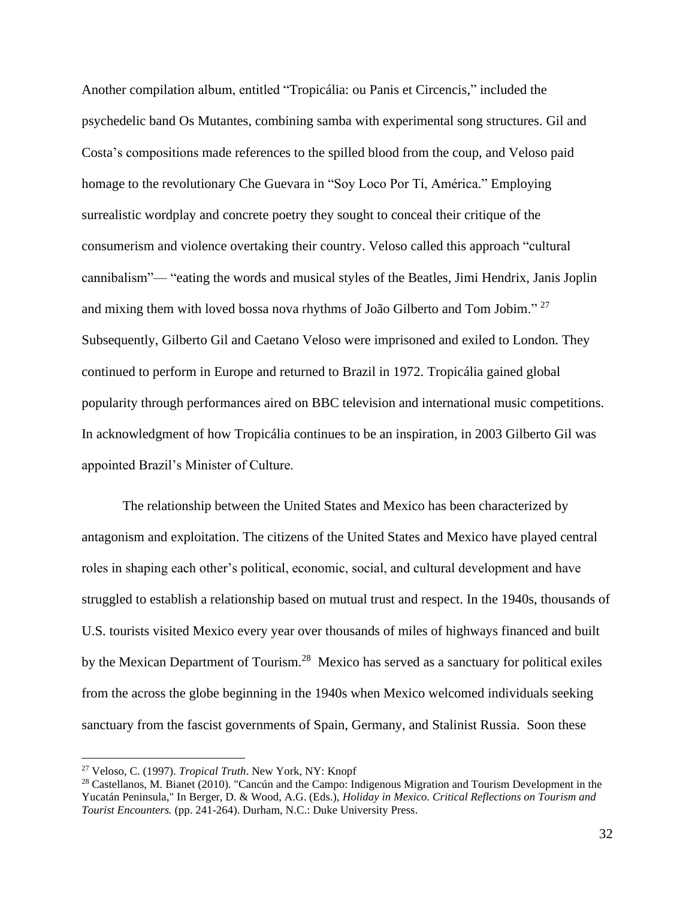Another compilation album, entitled "Tropicália: ou Panis et Circencis," included the psychedelic band Os Mutantes, combining samba with experimental song structures. Gil and Costa's compositions made references to the spilled blood from the coup, and Veloso paid homage to the revolutionary Che Guevara in "Soy Loco Por Tí, América." Employing surrealistic wordplay and concrete poetry they sought to conceal their critique of the consumerism and violence overtaking their country. Veloso called this approach "cultural cannibalism"— "eating the words and musical styles of the Beatles, Jimi Hendrix, Janis Joplin and mixing them with loved bossa nova rhythms of João Gilberto and Tom Jobim." <sup>27</sup> Subsequently, Gilberto Gil and Caetano Veloso were imprisoned and exiled to London. They continued to perform in Europe and returned to Brazil in 1972. Tropicália gained global popularity through performances aired on BBC television and international music competitions. In acknowledgment of how Tropicália continues to be an inspiration, in 2003 Gilberto Gil was appointed Brazil's Minister of Culture.

The relationship between the United States and Mexico has been characterized by antagonism and exploitation. The citizens of the United States and Mexico have played central roles in shaping each other's political, economic, social, and cultural development and have struggled to establish a relationship based on mutual trust and respect. In the 1940s, thousands of U.S. tourists visited Mexico every year over thousands of miles of highways financed and built by the Mexican Department of Tourism.<sup>28</sup> Mexico has served as a sanctuary for political exiles from the across the globe beginning in the 1940s when Mexico welcomed individuals seeking sanctuary from the fascist governments of Spain, Germany, and Stalinist Russia. Soon these

<sup>27</sup> Veloso, C. (1997). *Tropical Truth*. New York, NY: Knopf

<sup>&</sup>lt;sup>28</sup> Castellanos, M. Bianet (2010). "Cancún and the Campo: Indigenous Migration and Tourism Development in the Yucatán Peninsula," In Berger, D. & Wood, A.G. (Eds.), *Holiday in Mexico. Critical Reflections on Tourism and Tourist Encounters.* (pp. 241-264). Durham, N.C.: Duke University Press.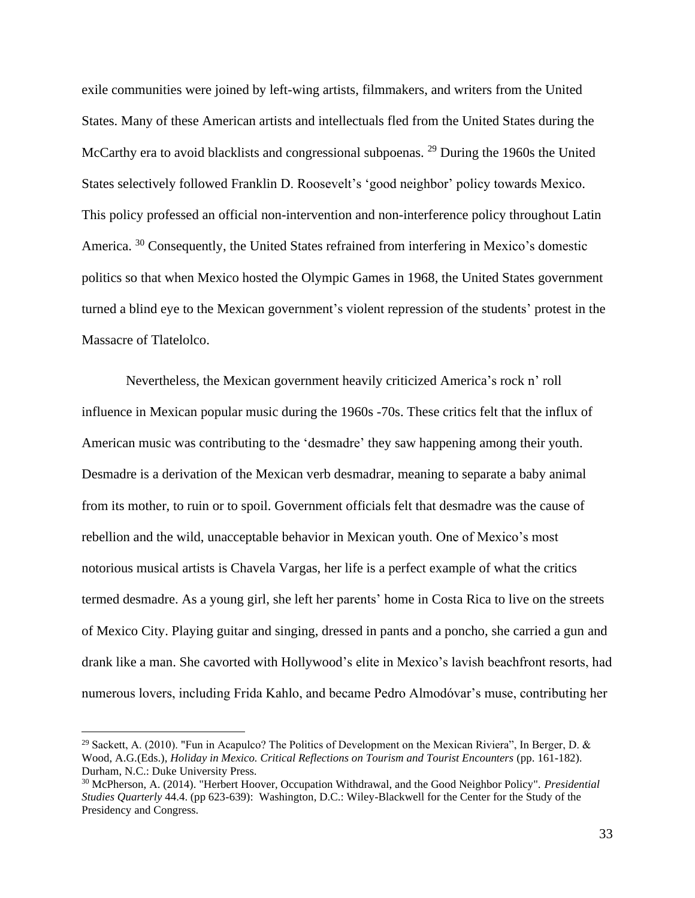exile communities were joined by left-wing artists, filmmakers, and writers from the United States. Many of these American artists and intellectuals fled from the United States during the McCarthy era to avoid blacklists and congressional subpoenas. <sup>29</sup> During the 1960s the United States selectively followed Franklin D. Roosevelt's 'good neighbor' policy towards Mexico. This policy professed an official non-intervention and non-interference policy throughout Latin America.<sup>30</sup> Consequently, the United States refrained from interfering in Mexico's domestic politics so that when Mexico hosted the Olympic Games in 1968, the United States government turned a blind eye to the Mexican government's violent repression of the students' protest in the Massacre of Tlatelolco.

Nevertheless, the Mexican government heavily criticized America's rock n' roll influence in Mexican popular music during the 1960s -70s. These critics felt that the influx of American music was contributing to the 'desmadre' they saw happening among their youth. Desmadre is a derivation of the Mexican verb desmadrar, meaning to separate a baby animal from its mother, to ruin or to spoil. Government officials felt that desmadre was the cause of rebellion and the wild, unacceptable behavior in Mexican youth. One of Mexico's most notorious musical artists is Chavela Vargas, her life is a perfect example of what the critics termed desmadre. As a young girl, she left her parents' home in Costa Rica to live on the streets of Mexico City. Playing guitar and singing, dressed in pants and a poncho, she carried a gun and drank like a man. She cavorted with Hollywood's elite in Mexico's lavish beachfront resorts, had numerous lovers, including Frida Kahlo, and became Pedro Almodóvar's muse, contributing her

<sup>&</sup>lt;sup>29</sup> Sackett, A. (2010). "Fun in Acapulco? The Politics of Development on the Mexican Riviera", In Berger, D. & Wood, A.G.(Eds.), *Holiday in Mexico. Critical Reflections on Tourism and Tourist Encounters* (pp. 161-182). Durham, N.C.: Duke University Press.

<sup>30</sup> McPherson, A. (2014). "Herbert Hoover, Occupation Withdrawal, and the Good Neighbor Policy". *Presidential Studies Quarterly* 44.4. (pp 623-639): Washington, D.C.: Wiley-Blackwell for the Center for the Study of the Presidency and Congress.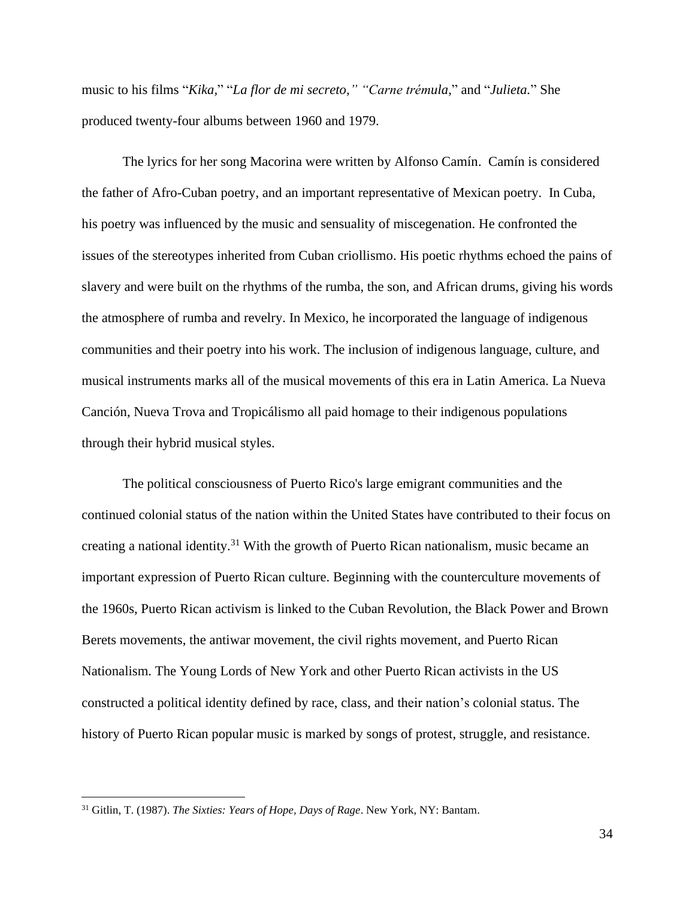music to his films "*Kika,*" "*La flor de mi secreto," "Carne trémula,*" and "*Julieta.*" She produced twenty-four albums between 1960 and 1979.

The lyrics for her song Macorina were written by Alfonso Camín. Camín is considered the father of Afro-Cuban poetry, and an important representative of Mexican poetry. In Cuba, his poetry was influenced by the music and sensuality of miscegenation. He confronted the issues of the stereotypes inherited from Cuban criollismo. His poetic rhythms echoed the pains of slavery and were built on the rhythms of the rumba, the son, and African drums, giving his words the atmosphere of rumba and revelry. In Mexico, he incorporated the language of indigenous communities and their poetry into his work. The inclusion of indigenous language, culture, and musical instruments marks all of the musical movements of this era in Latin America. La Nueva Canción, Nueva Trova and Tropicálismo all paid homage to their indigenous populations through their hybrid musical styles.

The political consciousness of Puerto Rico's large emigrant communities and the continued colonial status of the nation within the United States have contributed to their focus on creating a national identity.<sup>31</sup> With the growth of Puerto Rican nationalism, music became an important expression of Puerto Rican culture. Beginning with the counterculture movements of the 1960s, Puerto Rican activism is linked to the Cuban Revolution, the Black Power and Brown Berets movements, the antiwar movement, the civil rights movement, and Puerto Rican Nationalism. The Young Lords of New York and other Puerto Rican activists in the US constructed a political identity defined by race, class, and their nation's colonial status. The history of Puerto Rican popular music is marked by songs of protest, struggle, and resistance.

<sup>31</sup> Gitlin, T. (1987). *The Sixties: Years of Hope, Days of Rage*. New York, NY: Bantam.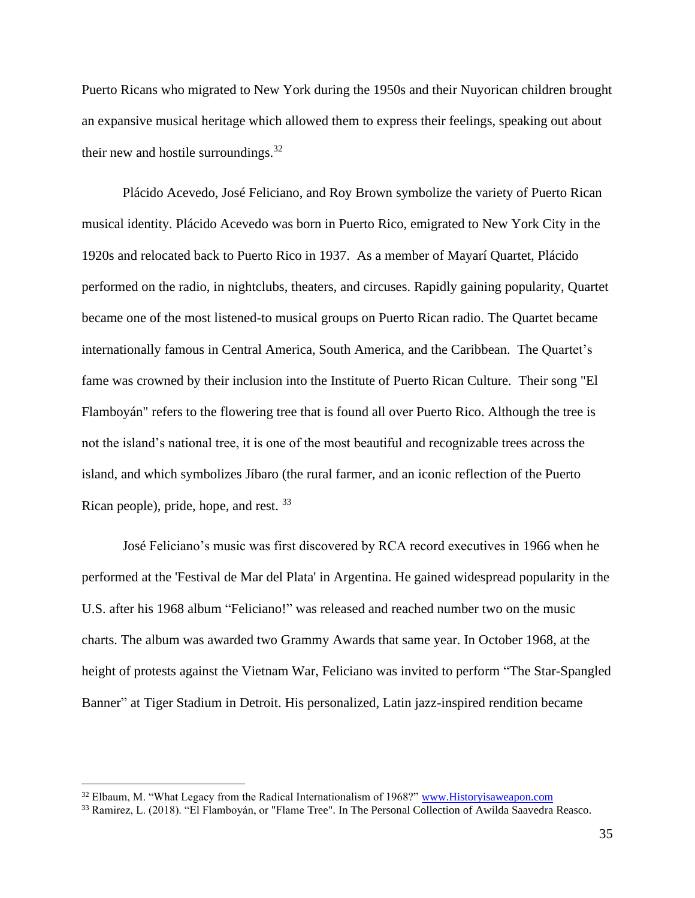Puerto Ricans who migrated to New York during the 1950s and their Nuyorican children brought an expansive musical heritage which allowed them to express their feelings, speaking out about their new and hostile surroundings. $32$ 

Plácido Acevedo, José Feliciano, and Roy Brown symbolize the variety of Puerto Rican musical identity. Plácido Acevedo was born in Puerto Rico, emigrated to New York City in the 1920s and relocated back to Puerto Rico in 1937. As a member of Mayarí Quartet, Plácido performed on the radio, in nightclubs, theaters, and circuses. Rapidly gaining popularity, Quartet became one of the most listened-to musical groups on Puerto Rican radio. The Quartet became internationally famous in Central America, South America, and the Caribbean. The Quartet's fame was crowned by their inclusion into the Institute of Puerto Rican Culture. Their song "El Flamboyán" refers to the flowering tree that is found all over Puerto Rico. Although the tree is not the island's national tree, it is one of the most beautiful and recognizable trees across the island, and which symbolizes Jíbaro (the rural farmer, and an iconic reflection of the Puerto Rican people), pride, hope, and rest. 33

José Feliciano's music was first discovered by RCA record executives in 1966 when he performed at the 'Festival de Mar del Plata' in Argentina. He gained widespread popularity in the U.S. after his 1968 album "Feliciano!" was released and reached number two on the music charts. The album was awarded two Grammy Awards that same year. In October 1968, at the height of protests against the Vietnam War, Feliciano was invited to perform "The Star-Spangled Banner" at Tiger Stadium in Detroit. His personalized, Latin jazz-inspired rendition became

<sup>&</sup>lt;sup>32</sup> Elbaum, M. "What Legacy from the Radical Internationalism of 1968?" [www.Historyisaweapon.com](http://www.historyisaweapon.com/)

<sup>33</sup> Ramirez, L. (2018). "El Flamboyán, or "Flame Tree". In The Personal Collection of Awilda Saavedra Reasco.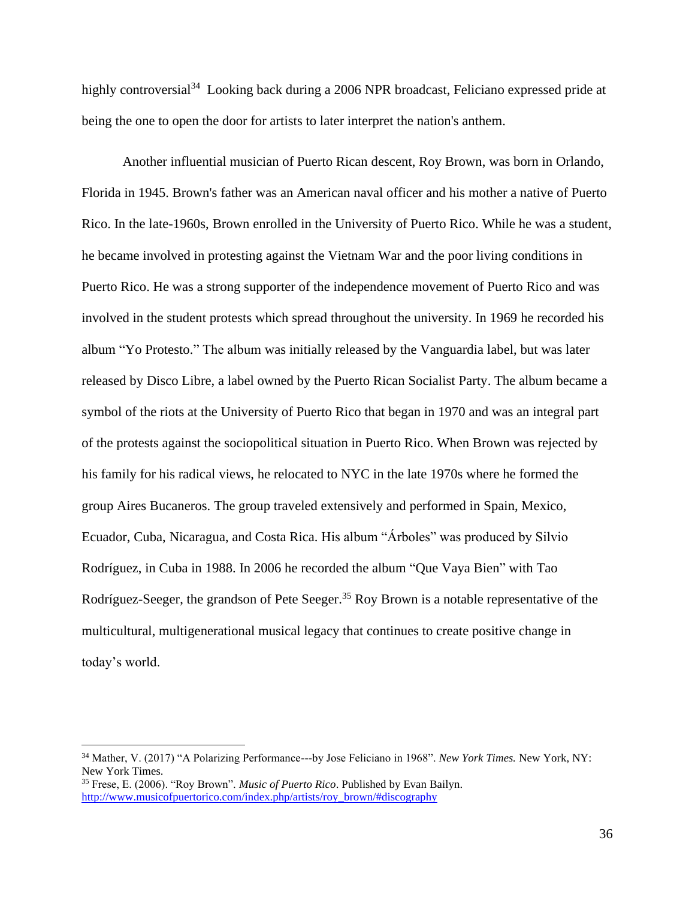highly controversial<sup>34</sup> Looking back during a 2006 NPR broadcast, Feliciano expressed pride at being the one to open the door for artists to later interpret the nation's anthem.

Another influential musician of Puerto Rican descent, Roy Brown, was born in Orlando, Florida in 1945. Brown's father was an American naval officer and his mother a native of Puerto Rico. In the late-1960s, Brown enrolled in the University of Puerto Rico. While he was a student, he became involved in protesting against the Vietnam War and the poor living conditions in Puerto Rico. He was a strong supporter of the independence movement of Puerto Rico and was involved in the student protests which spread throughout the university. In 1969 he recorded his album "Yo Protesto." The album was initially released by the Vanguardia label, but was later released by Disco Libre, a label owned by the Puerto Rican Socialist Party. The album became a symbol of the riots at the University of Puerto Rico that began in 1970 and was an integral part of the protests against the sociopolitical situation in Puerto Rico. When Brown was rejected by his family for his radical views, he relocated to NYC in the late 1970s where he formed the group Aires Bucaneros. The group traveled extensively and performed in Spain, Mexico, Ecuador, Cuba, Nicaragua, and Costa Rica. His album "Árboles" was produced by Silvio Rodríguez, in Cuba in 1988. In 2006 he recorded the album "Que Vaya Bien" with Tao Rodríguez-Seeger, the grandson of Pete Seeger.<sup>35</sup> Roy Brown is a notable representative of the multicultural, multigenerational musical legacy that continues to create positive change in today's world.

<sup>34</sup> Mather, V. (2017) "A Polarizing Performance---by Jose Feliciano in 1968". *New York Times.* New York, NY: New York Times.

<sup>35</sup> Frese, E. (2006). "Roy Brown". *Music of Puerto Rico*. Published by Evan Bailyn. [http://www.musicofpuertorico.com/index.php/artists/roy\\_brown/#discography](http://www.musicofpuertorico.com/index.php/artists/roy_brown/#discography)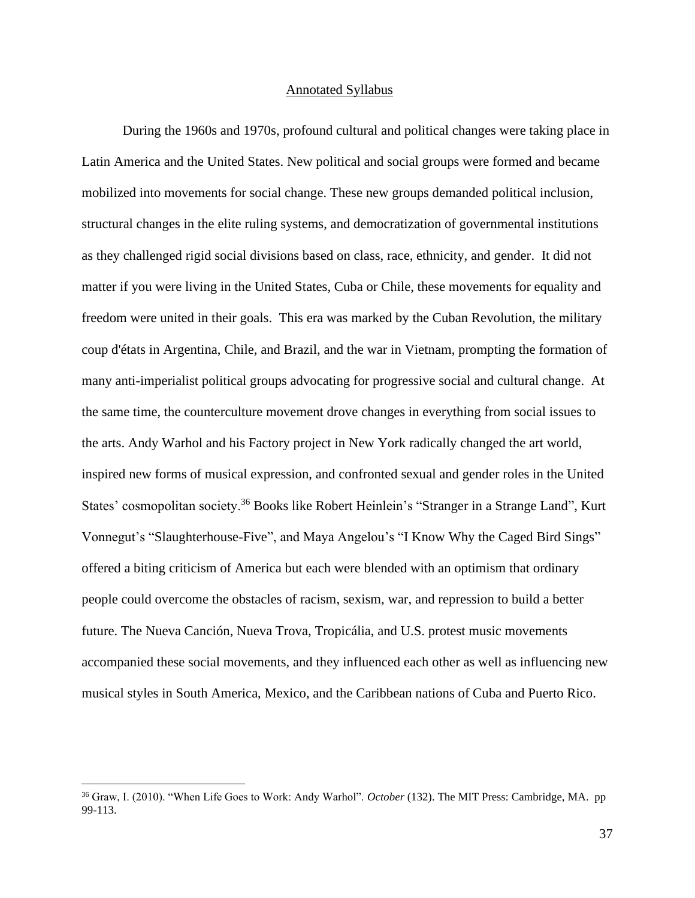#### Annotated Syllabus

During the 1960s and 1970s, profound cultural and political changes were taking place in Latin America and the United States. New political and social groups were formed and became mobilized into movements for social change. These new groups demanded political inclusion, structural changes in the elite ruling systems, and democratization of governmental institutions as they challenged rigid social divisions based on class, race, ethnicity, and gender. It did not matter if you were living in the United States, Cuba or Chile, these movements for equality and freedom were united in their goals. This era was marked by the Cuban Revolution, the military coup d'états in Argentina, Chile, and Brazil, and the war in Vietnam, prompting the formation of many anti-imperialist political groups advocating for progressive social and cultural change. At the same time, the counterculture movement drove changes in everything from social issues to the arts. Andy Warhol and his Factory project in New York radically changed the art world, inspired new forms of musical expression, and confronted sexual and gender roles in the United States' cosmopolitan society.<sup>36</sup> Books like Robert Heinlein's "Stranger in a Strange Land", Kurt Vonnegut's "Slaughterhouse-Five", and Maya Angelou's "I Know Why the Caged Bird Sings" offered a biting criticism of America but each were blended with an optimism that ordinary people could overcome the obstacles of racism, sexism, war, and repression to build a better future. The Nueva Canción, Nueva Trova, Tropicália, and U.S. protest music movements accompanied these social movements, and they influenced each other as well as influencing new musical styles in South America, Mexico, and the Caribbean nations of Cuba and Puerto Rico.

<sup>36</sup> Graw, I. (2010). "When Life Goes to Work: Andy Warhol". *October* (132). The MIT Press: Cambridge, MA. pp 99-113.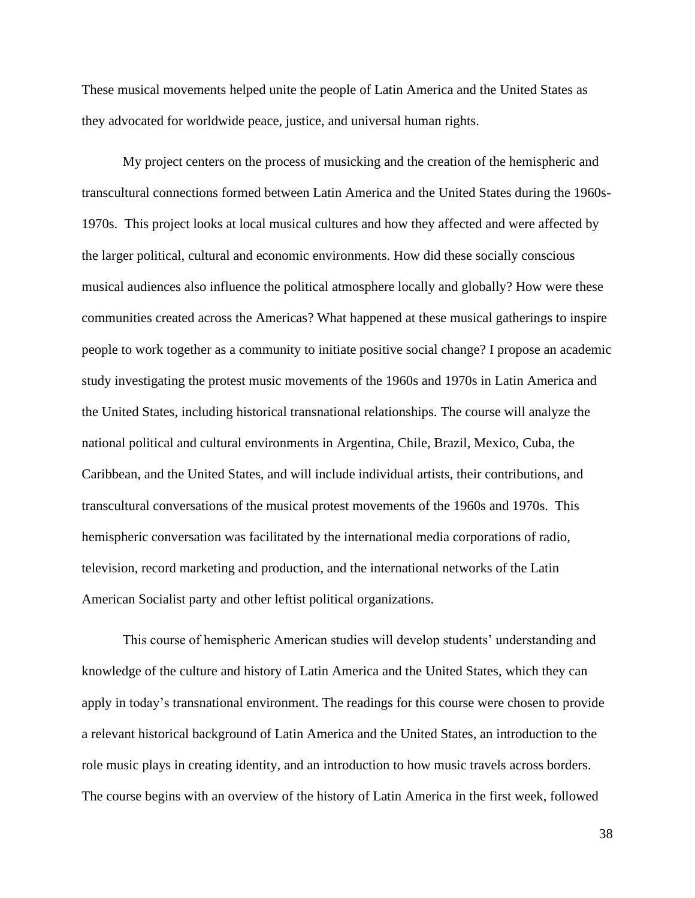These musical movements helped unite the people of Latin America and the United States as they advocated for worldwide peace, justice, and universal human rights.

My project centers on the process of musicking and the creation of the hemispheric and transcultural connections formed between Latin America and the United States during the 1960s-1970s. This project looks at local musical cultures and how they affected and were affected by the larger political, cultural and economic environments. How did these socially conscious musical audiences also influence the political atmosphere locally and globally? How were these communities created across the Americas? What happened at these musical gatherings to inspire people to work together as a community to initiate positive social change? I propose an academic study investigating the protest music movements of the 1960s and 1970s in Latin America and the United States, including historical transnational relationships. The course will analyze the national political and cultural environments in Argentina, Chile, Brazil, Mexico, Cuba, the Caribbean, and the United States, and will include individual artists, their contributions, and transcultural conversations of the musical protest movements of the 1960s and 1970s. This hemispheric conversation was facilitated by the international media corporations of radio, television, record marketing and production, and the international networks of the Latin American Socialist party and other leftist political organizations.

This course of hemispheric American studies will develop students' understanding and knowledge of the culture and history of Latin America and the United States, which they can apply in today's transnational environment. The readings for this course were chosen to provide a relevant historical background of Latin America and the United States, an introduction to the role music plays in creating identity, and an introduction to how music travels across borders. The course begins with an overview of the history of Latin America in the first week, followed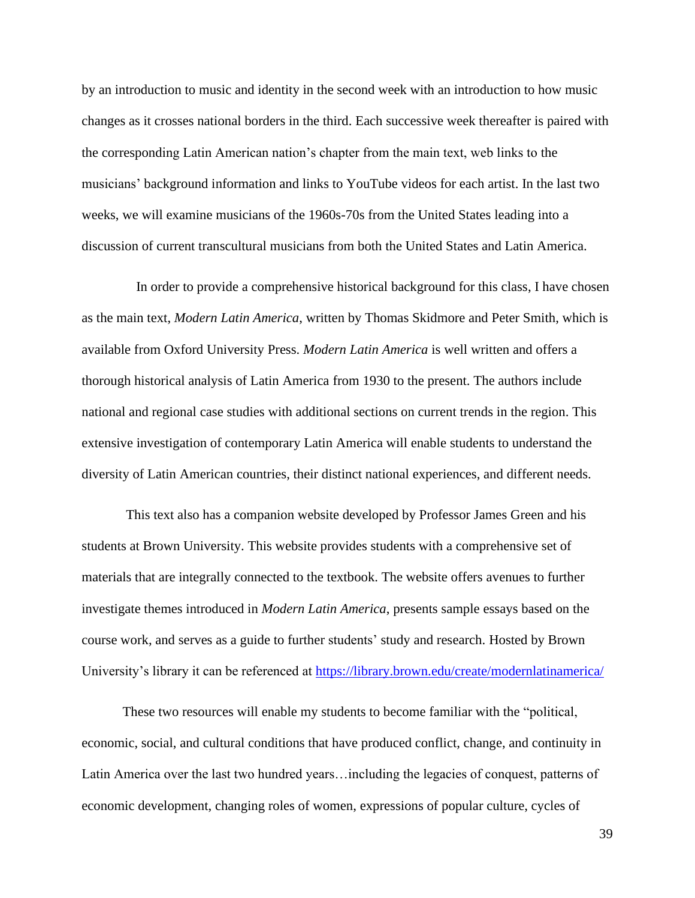by an introduction to music and identity in the second week with an introduction to how music changes as it crosses national borders in the third. Each successive week thereafter is paired with the corresponding Latin American nation's chapter from the main text, web links to the musicians' background information and links to YouTube videos for each artist. In the last two weeks, we will examine musicians of the 1960s-70s from the United States leading into a discussion of current transcultural musicians from both the United States and Latin America.

 In order to provide a comprehensive historical background for this class, I have chosen as the main text, *Modern Latin America*, written by Thomas Skidmore and Peter Smith, which is available from Oxford University Press. *Modern Latin America* is well written and offers a thorough historical analysis of Latin America from 1930 to the present. The authors include national and regional case studies with additional sections on current trends in the region. This extensive investigation of contemporary Latin America will enable students to understand the diversity of Latin American countries, their distinct national experiences, and different needs.

This text also has a companion website developed by Professor James Green and his students at Brown University. This website provides students with a comprehensive set of materials that are integrally connected to the textbook. The website offers avenues to further investigate themes introduced in *Modern Latin America*, presents sample essays based on the course work, and serves as a guide to further students' study and research. Hosted by Brown University's library it can be referenced at<https://library.brown.edu/create/modernlatinamerica/>

These two resources will enable my students to become familiar with the "political, economic, social, and cultural conditions that have produced conflict, change, and continuity in Latin America over the last two hundred years…including the legacies of conquest, patterns of economic development, changing roles of women, expressions of popular culture, cycles of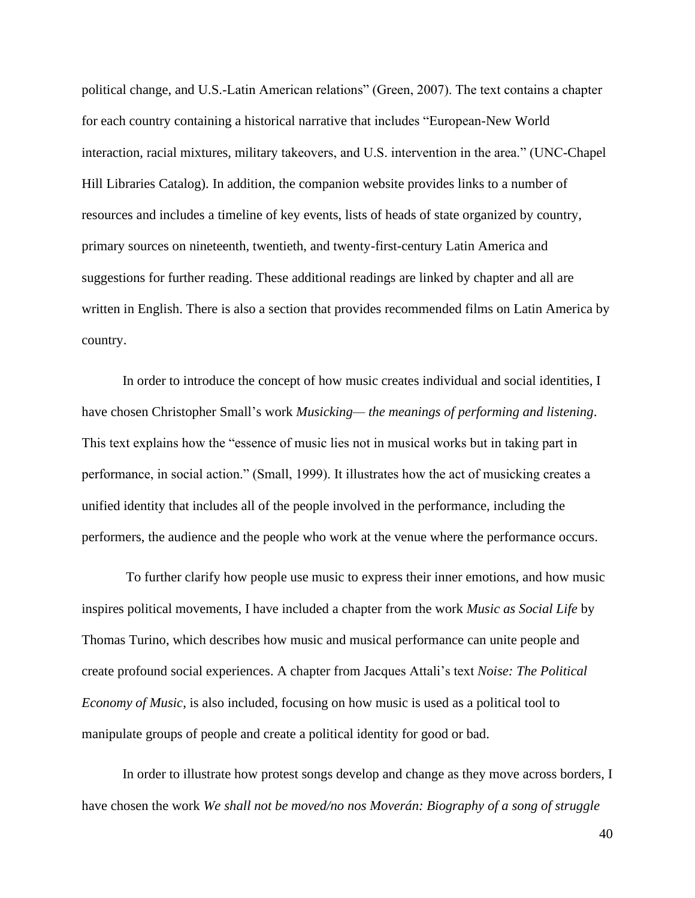political change, and U.S.-Latin American relations" (Green, 2007). The text contains a chapter for each country containing a historical narrative that includes "European-New World interaction, racial mixtures, military takeovers, and U.S. intervention in the area." (UNC-Chapel Hill Libraries Catalog). In addition, the companion website provides links to a number of resources and includes a timeline of key events, lists of heads of state organized by country, primary sources on nineteenth, twentieth, and twenty-first-century Latin America and suggestions for further reading. These additional readings are linked by chapter and all are written in English. There is also a section that provides recommended films on Latin America by country.

In order to introduce the concept of how music creates individual and social identities, I have chosen Christopher Small's work *Musicking— the meanings of performing and listening*. This text explains how the "essence of music lies not in musical works but in taking part in performance, in social action." (Small, 1999). It illustrates how the act of musicking creates a unified identity that includes all of the people involved in the performance, including the performers, the audience and the people who work at the venue where the performance occurs.

To further clarify how people use music to express their inner emotions, and how music inspires political movements, I have included a chapter from the work *Music as Social Life* by Thomas Turino, which describes how music and musical performance can unite people and create profound social experiences. A chapter from Jacques Attali's text *Noise: The Political Economy of Music*, is also included, focusing on how music is used as a political tool to manipulate groups of people and create a political identity for good or bad.

In order to illustrate how protest songs develop and change as they move across borders, I have chosen the work *We shall not be moved/no nos Moverán: Biography of a song of struggle*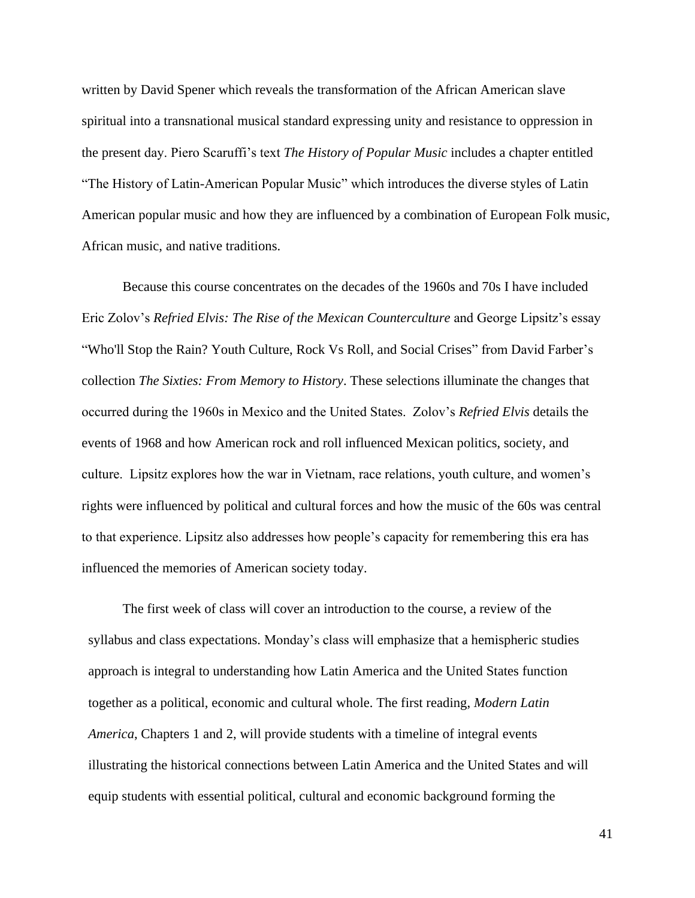written by David Spener which reveals the transformation of the African American slave spiritual into a transnational musical standard expressing unity and resistance to oppression in the present day. Piero Scaruffi's text *The History of Popular Music* includes a chapter entitled "The History of Latin-American Popular Music" which introduces the diverse styles of Latin American popular music and how they are influenced by a combination of European Folk music, African music, and native traditions.

Because this course concentrates on the decades of the 1960s and 70s I have included Eric Zolov's *Refried Elvis: The Rise of the Mexican Counterculture* and George Lipsitz's essay "Who'll Stop the Rain? Youth Culture, Rock Vs Roll, and Social Crises" from David Farber's collection *The Sixties: From Memory to History*. These selections illuminate the changes that occurred during the 1960s in Mexico and the United States. Zolov's *Refried Elvis* details the events of 1968 and how American rock and roll influenced Mexican politics, society, and culture. Lipsitz explores how the war in Vietnam, race relations, youth culture, and women's rights were influenced by political and cultural forces and how the music of the 60s was central to that experience. Lipsitz also addresses how people's capacity for remembering this era has influenced the memories of American society today.

The first week of class will cover an introduction to the course, a review of the syllabus and class expectations. Monday's class will emphasize that a hemispheric studies approach is integral to understanding how Latin America and the United States function together as a political, economic and cultural whole. The first reading, *Modern Latin America*, Chapters 1 and 2, will provide students with a timeline of integral events illustrating the historical connections between Latin America and the United States and will equip students with essential political, cultural and economic background forming the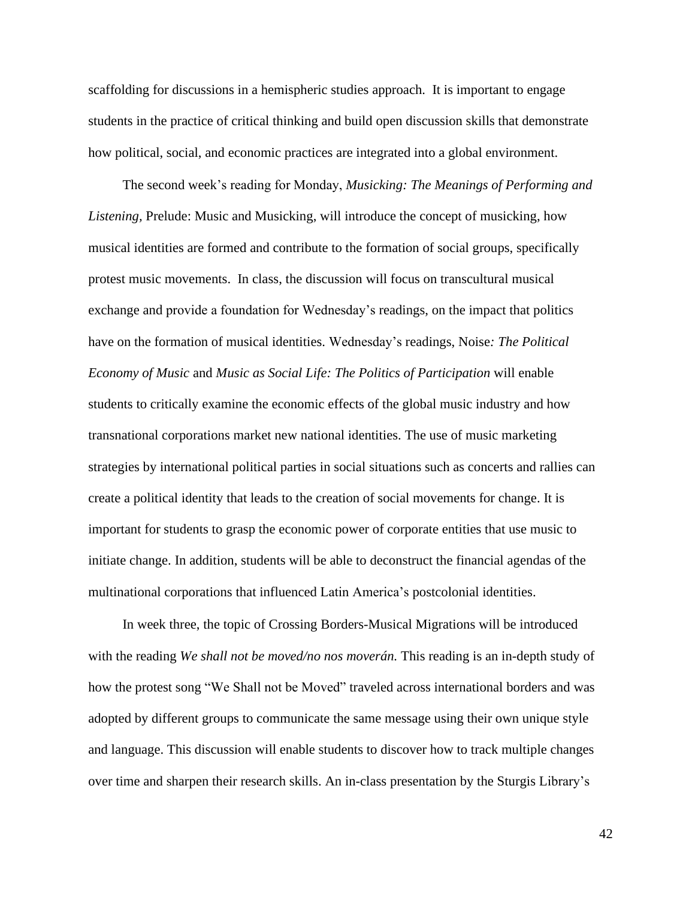scaffolding for discussions in a hemispheric studies approach. It is important to engage students in the practice of critical thinking and build open discussion skills that demonstrate how political, social, and economic practices are integrated into a global environment.

The second week's reading for Monday, *Musicking: The Meanings of Performing and Listening,* Prelude: Music and Musicking, will introduce the concept of musicking, how musical identities are formed and contribute to the formation of social groups, specifically protest music movements. In class, the discussion will focus on transcultural musical exchange and provide a foundation for Wednesday's readings, on the impact that politics have on the formation of musical identities. Wednesday's readings, Noise*: The Political Economy of Music* and *Music as Social Life: The Politics of Participation* will enable students to critically examine the economic effects of the global music industry and how transnational corporations market new national identities. The use of music marketing strategies by international political parties in social situations such as concerts and rallies can create a political identity that leads to the creation of social movements for change. It is important for students to grasp the economic power of corporate entities that use music to initiate change. In addition, students will be able to deconstruct the financial agendas of the multinational corporations that influenced Latin America's postcolonial identities.

In week three, the topic of Crossing Borders-Musical Migrations will be introduced with the reading *We shall not be moved/no nos moverán.* This reading is an in-depth study of how the protest song "We Shall not be Moved" traveled across international borders and was adopted by different groups to communicate the same message using their own unique style and language. This discussion will enable students to discover how to track multiple changes over time and sharpen their research skills. An in-class presentation by the Sturgis Library's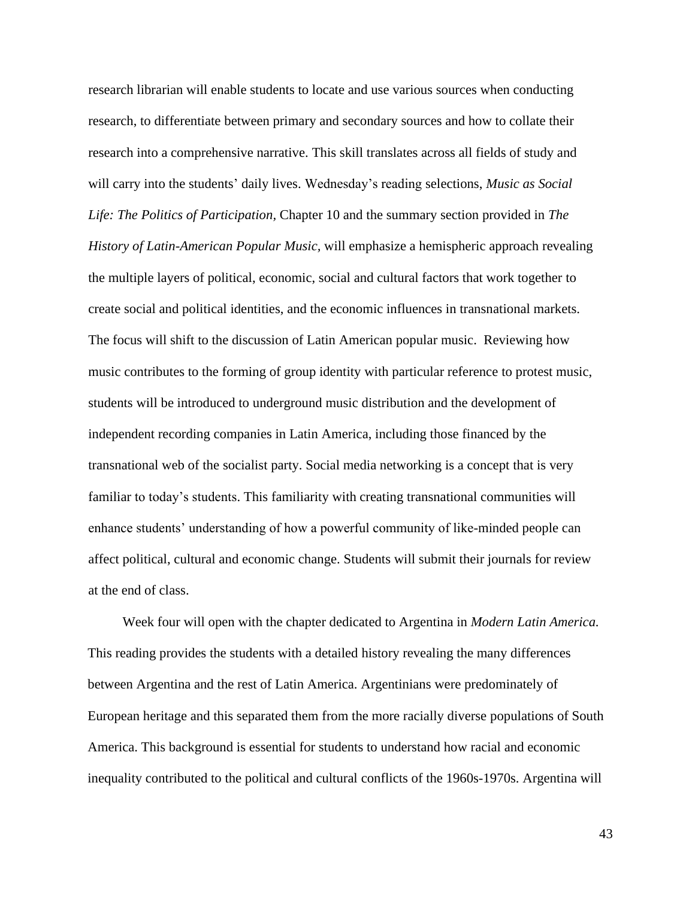research librarian will enable students to locate and use various sources when conducting research, to differentiate between primary and secondary sources and how to collate their research into a comprehensive narrative. This skill translates across all fields of study and will carry into the students' daily lives. Wednesday's reading selections, *Music as Social Life: The Politics of Participation,* Chapter 10 and the summary section provided in *The History of Latin-American Popular Music,* will emphasize a hemispheric approach revealing the multiple layers of political, economic, social and cultural factors that work together to create social and political identities, and the economic influences in transnational markets. The focus will shift to the discussion of Latin American popular music. Reviewing how music contributes to the forming of group identity with particular reference to protest music, students will be introduced to underground music distribution and the development of independent recording companies in Latin America, including those financed by the transnational web of the socialist party. Social media networking is a concept that is very familiar to today's students. This familiarity with creating transnational communities will enhance students' understanding of how a powerful community of like-minded people can affect political, cultural and economic change. Students will submit their journals for review at the end of class.

Week four will open with the chapter dedicated to Argentina in *Modern Latin America.*  This reading provides the students with a detailed history revealing the many differences between Argentina and the rest of Latin America. Argentinians were predominately of European heritage and this separated them from the more racially diverse populations of South America. This background is essential for students to understand how racial and economic inequality contributed to the political and cultural conflicts of the 1960s-1970s. Argentina will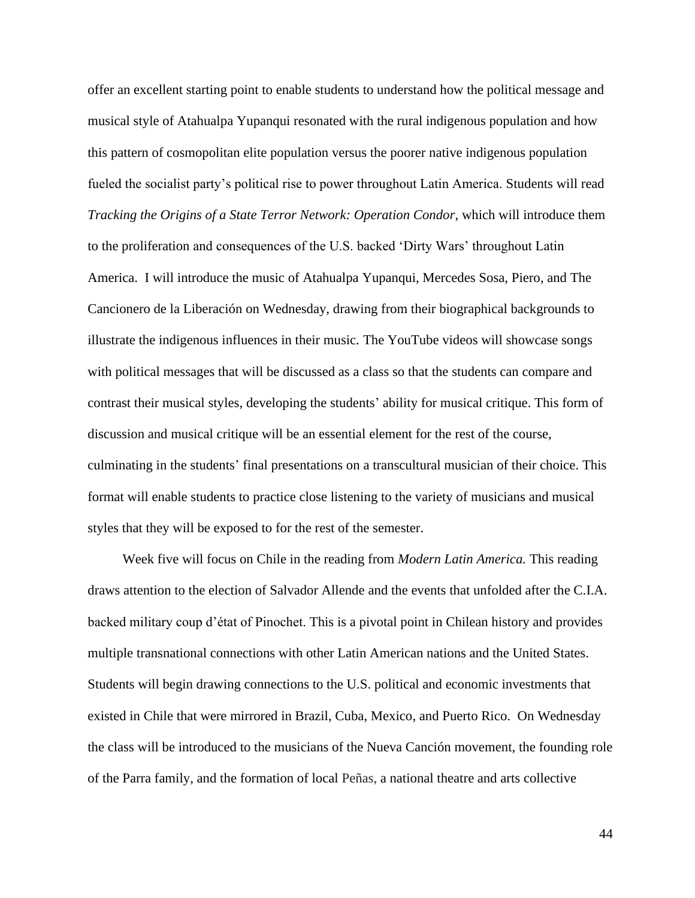offer an excellent starting point to enable students to understand how the political message and musical style of Atahualpa Yupanqui resonated with the rural indigenous population and how this pattern of cosmopolitan elite population versus the poorer native indigenous population fueled the socialist party's political rise to power throughout Latin America. Students will read *Tracking the Origins of a State Terror Network: Operation Condor*, which will introduce them to the proliferation and consequences of the U.S. backed 'Dirty Wars' throughout Latin America. I will introduce the music of Atahualpa Yupanqui, Mercedes Sosa, Piero, and The Cancionero de la Liberación on Wednesday, drawing from their biographical backgrounds to illustrate the indigenous influences in their music. The YouTube videos will showcase songs with political messages that will be discussed as a class so that the students can compare and contrast their musical styles, developing the students' ability for musical critique. This form of discussion and musical critique will be an essential element for the rest of the course, culminating in the students' final presentations on a transcultural musician of their choice. This format will enable students to practice close listening to the variety of musicians and musical styles that they will be exposed to for the rest of the semester.

Week five will focus on Chile in the reading from *Modern Latin America.* This reading draws attention to the election of Salvador Allende and the events that unfolded after the C.I.A. backed military coup d'état of Pinochet. This is a pivotal point in Chilean history and provides multiple transnational connections with other Latin American nations and the United States. Students will begin drawing connections to the U.S. political and economic investments that existed in Chile that were mirrored in Brazil, Cuba, Mexico, and Puerto Rico. On Wednesday the class will be introduced to the musicians of the Nueva Canción movement, the founding role of the Parra family, and the formation of local Peñas, a national theatre and arts collective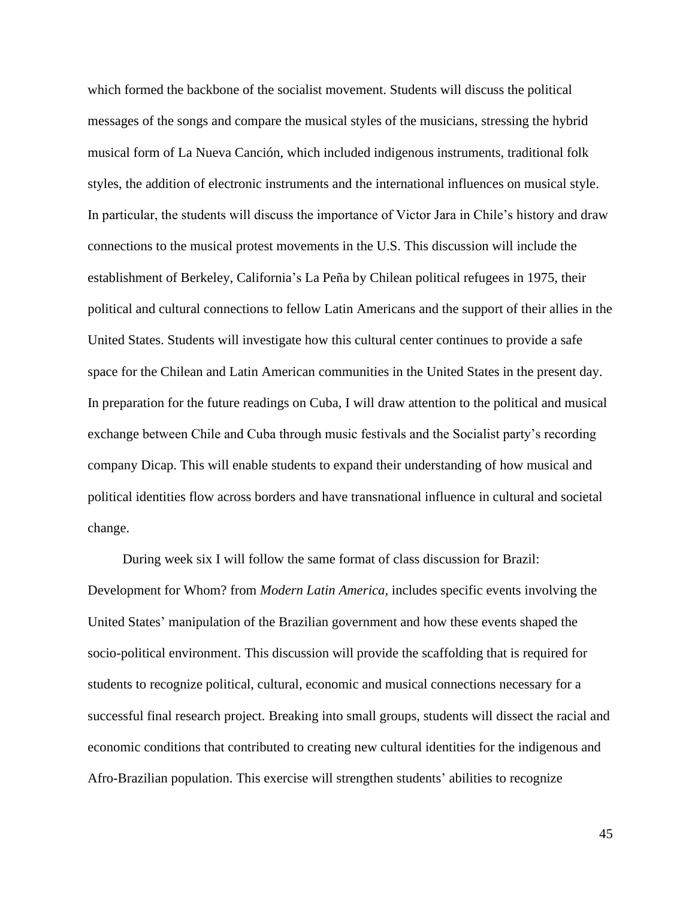which formed the backbone of the socialist movement. Students will discuss the political messages of the songs and compare the musical styles of the musicians, stressing the hybrid musical form of La Nueva Canción, which included indigenous instruments, traditional folk styles, the addition of electronic instruments and the international influences on musical style. In particular, the students will discuss the importance of Victor Jara in Chile's history and draw connections to the musical protest movements in the U.S. This discussion will include the establishment of Berkeley, California's La Peña by Chilean political refugees in 1975, their political and cultural connections to fellow Latin Americans and the support of their allies in the United States. Students will investigate how this cultural center continues to provide a safe space for the Chilean and Latin American communities in the United States in the present day. In preparation for the future readings on Cuba, I will draw attention to the political and musical exchange between Chile and Cuba through music festivals and the Socialist party's recording company Dicap. This will enable students to expand their understanding of how musical and political identities flow across borders and have transnational influence in cultural and societal change.

During week six I will follow the same format of class discussion for Brazil: Development for Whom? from *Modern Latin America,* includes specific events involving the United States' manipulation of the Brazilian government and how these events shaped the socio-political environment. This discussion will provide the scaffolding that is required for students to recognize political, cultural, economic and musical connections necessary for a successful final research project. Breaking into small groups, students will dissect the racial and economic conditions that contributed to creating new cultural identities for the indigenous and Afro-Brazilian population. This exercise will strengthen students' abilities to recognize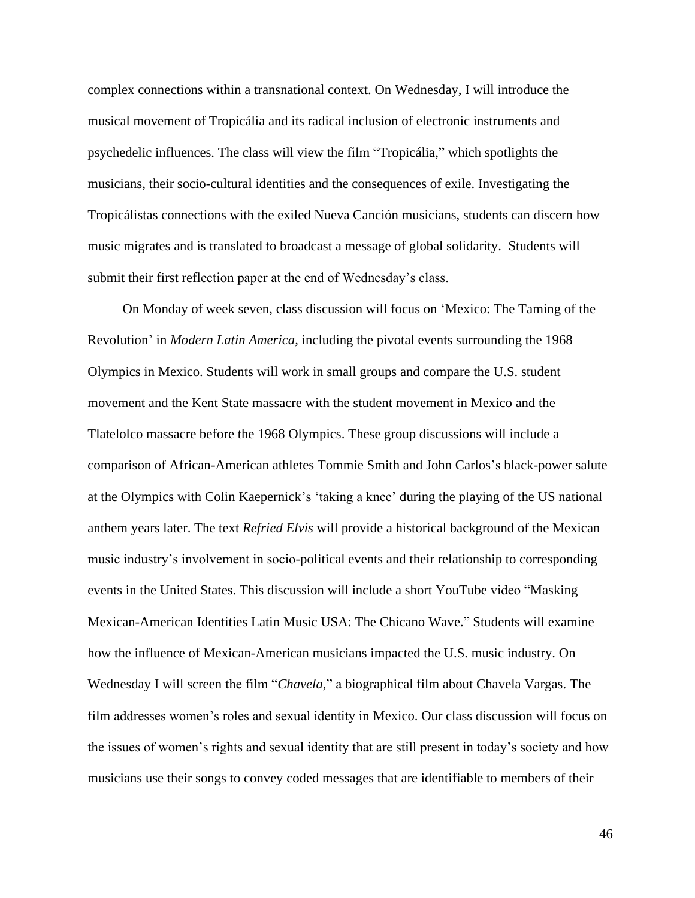complex connections within a transnational context. On Wednesday, I will introduce the musical movement of Tropicália and its radical inclusion of electronic instruments and psychedelic influences. The class will view the film "Tropicália," which spotlights the musicians, their socio-cultural identities and the consequences of exile. Investigating the Tropicálistas connections with the exiled Nueva Canción musicians, students can discern how music migrates and is translated to broadcast a message of global solidarity. Students will submit their first reflection paper at the end of Wednesday's class.

On Monday of week seven, class discussion will focus on 'Mexico: The Taming of the Revolution' in *Modern Latin America,* including the pivotal events surrounding the 1968 Olympics in Mexico. Students will work in small groups and compare the U.S. student movement and the Kent State massacre with the student movement in Mexico and the Tlatelolco massacre before the 1968 Olympics. These group discussions will include a comparison of African-American athletes Tommie Smith and John Carlos's black-power salute at the Olympics with Colin Kaepernick's 'taking a knee' during the playing of the US national anthem years later. The text *Refried Elvis* will provide a historical background of the Mexican music industry's involvement in socio-political events and their relationship to corresponding events in the United States. This discussion will include a short YouTube video "Masking Mexican-American Identities Latin Music USA: The Chicano Wave." Students will examine how the influence of Mexican-American musicians impacted the U.S. music industry. On Wednesday I will screen the film "*Chavela,*" a biographical film about Chavela Vargas. The film addresses women's roles and sexual identity in Mexico. Our class discussion will focus on the issues of women's rights and sexual identity that are still present in today's society and how musicians use their songs to convey coded messages that are identifiable to members of their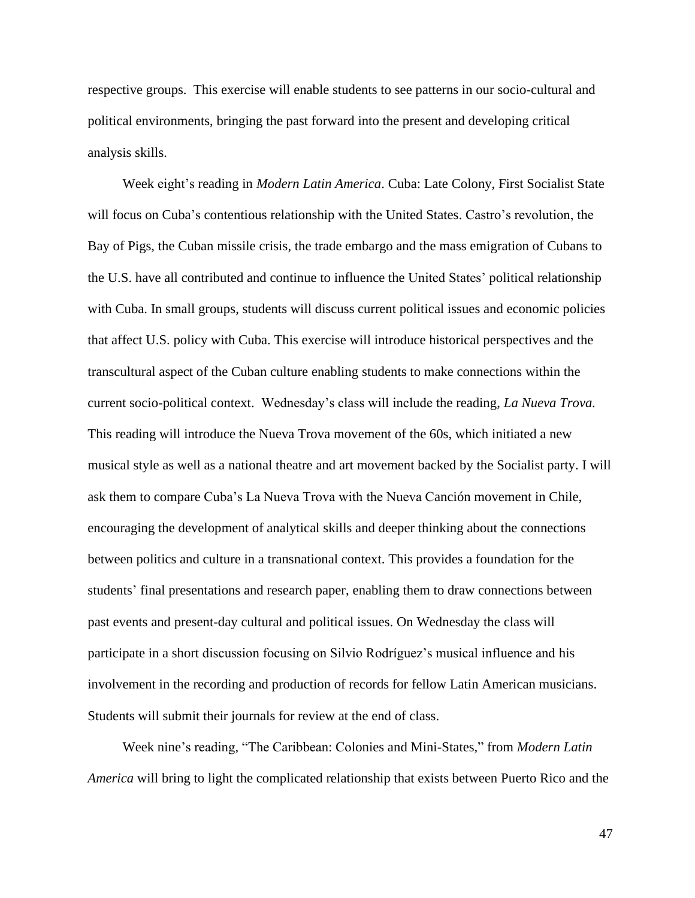respective groups. This exercise will enable students to see patterns in our socio-cultural and political environments, bringing the past forward into the present and developing critical analysis skills.

Week eight's reading in *Modern Latin America*. Cuba: Late Colony, First Socialist State will focus on Cuba's contentious relationship with the United States. Castro's revolution, the Bay of Pigs, the Cuban missile crisis, the trade embargo and the mass emigration of Cubans to the U.S. have all contributed and continue to influence the United States' political relationship with Cuba. In small groups, students will discuss current political issues and economic policies that affect U.S. policy with Cuba. This exercise will introduce historical perspectives and the transcultural aspect of the Cuban culture enabling students to make connections within the current socio-political context. Wednesday's class will include the reading, *La Nueva Trova.* This reading will introduce the Nueva Trova movement of the 60s, which initiated a new musical style as well as a national theatre and art movement backed by the Socialist party. I will ask them to compare Cuba's La Nueva Trova with the Nueva Canción movement in Chile, encouraging the development of analytical skills and deeper thinking about the connections between politics and culture in a transnational context. This provides a foundation for the students' final presentations and research paper, enabling them to draw connections between past events and present-day cultural and political issues. On Wednesday the class will participate in a short discussion focusing on Silvio Rodríguez's musical influence and his involvement in the recording and production of records for fellow Latin American musicians. Students will submit their journals for review at the end of class.

Week nine's reading, "The Caribbean: Colonies and Mini-States," from *Modern Latin America* will bring to light the complicated relationship that exists between Puerto Rico and the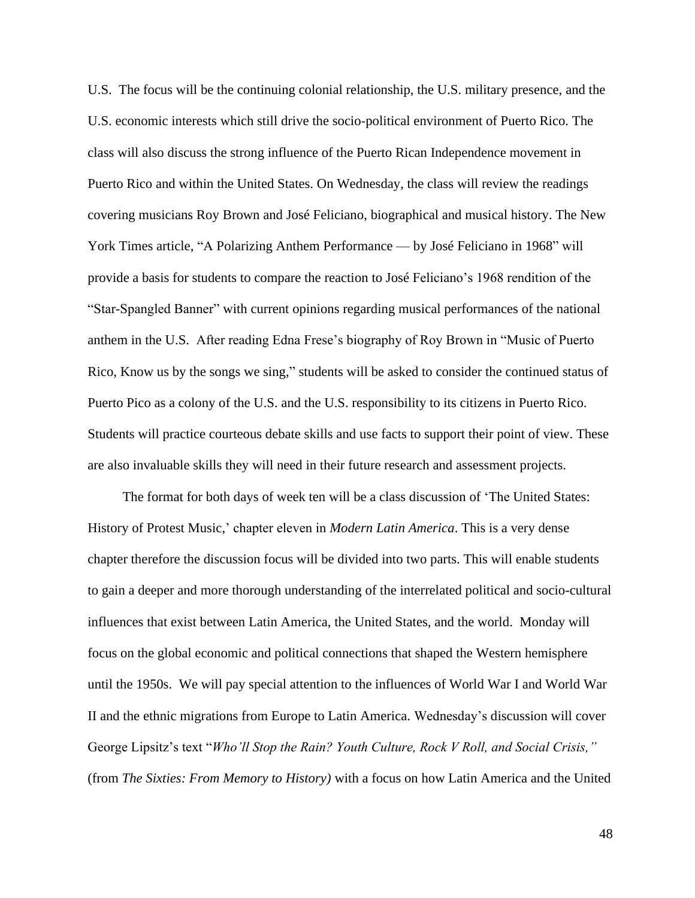U.S. The focus will be the continuing colonial relationship, the U.S. military presence, and the U.S. economic interests which still drive the socio-political environment of Puerto Rico. The class will also discuss the strong influence of the Puerto Rican Independence movement in Puerto Rico and within the United States. On Wednesday, the class will review the readings covering musicians Roy Brown and José Feliciano, biographical and musical history. The New York Times article, "A Polarizing Anthem Performance — by José Feliciano in 1968" will provide a basis for students to compare the reaction to José Feliciano's 1968 rendition of the "Star-Spangled Banner" with current opinions regarding musical performances of the national anthem in the U.S. After reading Edna Frese's biography of Roy Brown in "Music of Puerto Rico, Know us by the songs we sing," students will be asked to consider the continued status of Puerto Pico as a colony of the U.S. and the U.S. responsibility to its citizens in Puerto Rico. Students will practice courteous debate skills and use facts to support their point of view. These are also invaluable skills they will need in their future research and assessment projects.

The format for both days of week ten will be a class discussion of 'The United States: History of Protest Music,' chapter eleven in *Modern Latin America*. This is a very dense chapter therefore the discussion focus will be divided into two parts. This will enable students to gain a deeper and more thorough understanding of the interrelated political and socio-cultural influences that exist between Latin America, the United States, and the world. Monday will focus on the global economic and political connections that shaped the Western hemisphere until the 1950s. We will pay special attention to the influences of World War I and World War II and the ethnic migrations from Europe to Latin America. Wednesday's discussion will cover George Lipsitz's text "*Who'll Stop the Rain? Youth Culture, Rock V Roll, and Social Crisis,"* (from *The Sixties: From Memory to History)* with a focus on how Latin America and the United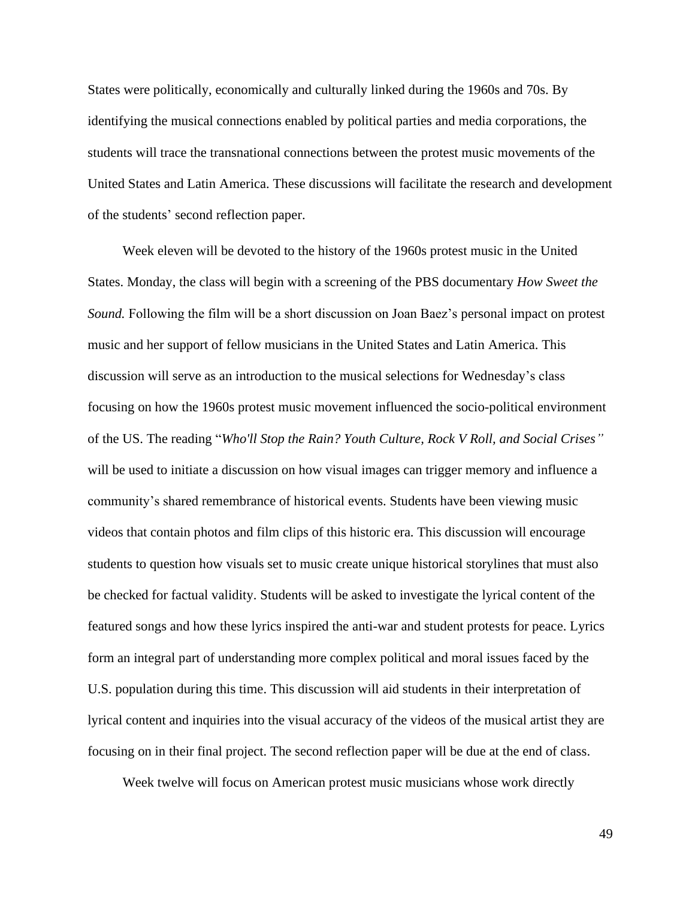States were politically, economically and culturally linked during the 1960s and 70s. By identifying the musical connections enabled by political parties and media corporations, the students will trace the transnational connections between the protest music movements of the United States and Latin America. These discussions will facilitate the research and development of the students' second reflection paper.

Week eleven will be devoted to the history of the 1960s protest music in the United States. Monday, the class will begin with a screening of the PBS documentary *How Sweet the Sound.* Following the film will be a short discussion on Joan Baez's personal impact on protest music and her support of fellow musicians in the United States and Latin America. This discussion will serve as an introduction to the musical selections for Wednesday's class focusing on how the 1960s protest music movement influenced the socio-political environment of the US. The reading "*Who'll Stop the Rain? Youth Culture, Rock V Roll, and Social Crises"* will be used to initiate a discussion on how visual images can trigger memory and influence a community's shared remembrance of historical events. Students have been viewing music videos that contain photos and film clips of this historic era. This discussion will encourage students to question how visuals set to music create unique historical storylines that must also be checked for factual validity. Students will be asked to investigate the lyrical content of the featured songs and how these lyrics inspired the anti-war and student protests for peace. Lyrics form an integral part of understanding more complex political and moral issues faced by the U.S. population during this time. This discussion will aid students in their interpretation of lyrical content and inquiries into the visual accuracy of the videos of the musical artist they are focusing on in their final project. The second reflection paper will be due at the end of class.

Week twelve will focus on American protest music musicians whose work directly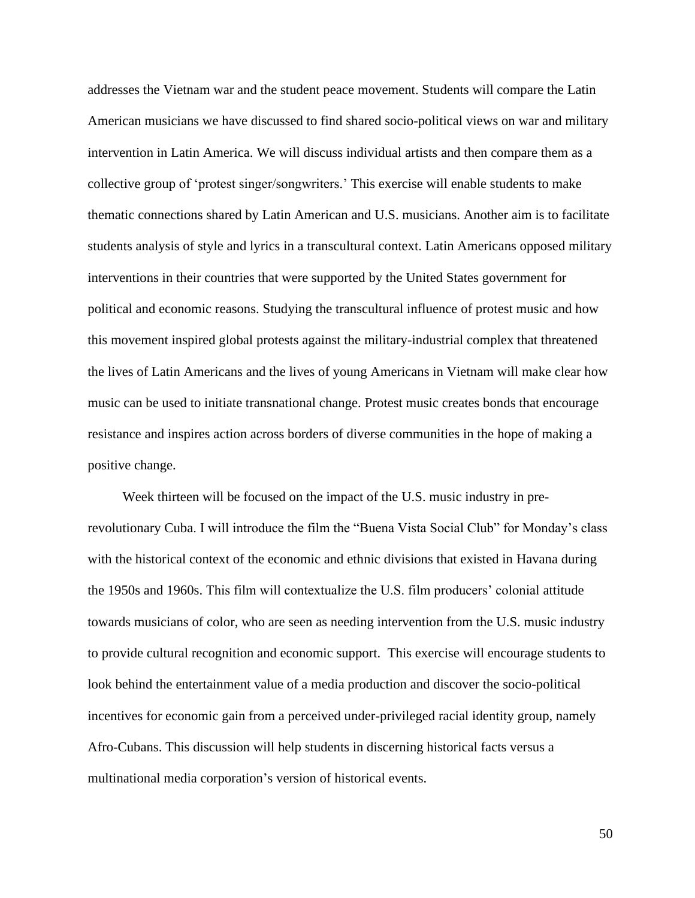addresses the Vietnam war and the student peace movement. Students will compare the Latin American musicians we have discussed to find shared socio-political views on war and military intervention in Latin America. We will discuss individual artists and then compare them as a collective group of 'protest singer/songwriters.' This exercise will enable students to make thematic connections shared by Latin American and U.S. musicians. Another aim is to facilitate students analysis of style and lyrics in a transcultural context. Latin Americans opposed military interventions in their countries that were supported by the United States government for political and economic reasons. Studying the transcultural influence of protest music and how this movement inspired global protests against the military-industrial complex that threatened the lives of Latin Americans and the lives of young Americans in Vietnam will make clear how music can be used to initiate transnational change. Protest music creates bonds that encourage resistance and inspires action across borders of diverse communities in the hope of making a positive change.

Week thirteen will be focused on the impact of the U.S. music industry in prerevolutionary Cuba. I will introduce the film the "Buena Vista Social Club" for Monday's class with the historical context of the economic and ethnic divisions that existed in Havana during the 1950s and 1960s. This film will contextualize the U.S. film producers' colonial attitude towards musicians of color, who are seen as needing intervention from the U.S. music industry to provide cultural recognition and economic support. This exercise will encourage students to look behind the entertainment value of a media production and discover the socio-political incentives for economic gain from a perceived under-privileged racial identity group, namely Afro-Cubans. This discussion will help students in discerning historical facts versus a multinational media corporation's version of historical events.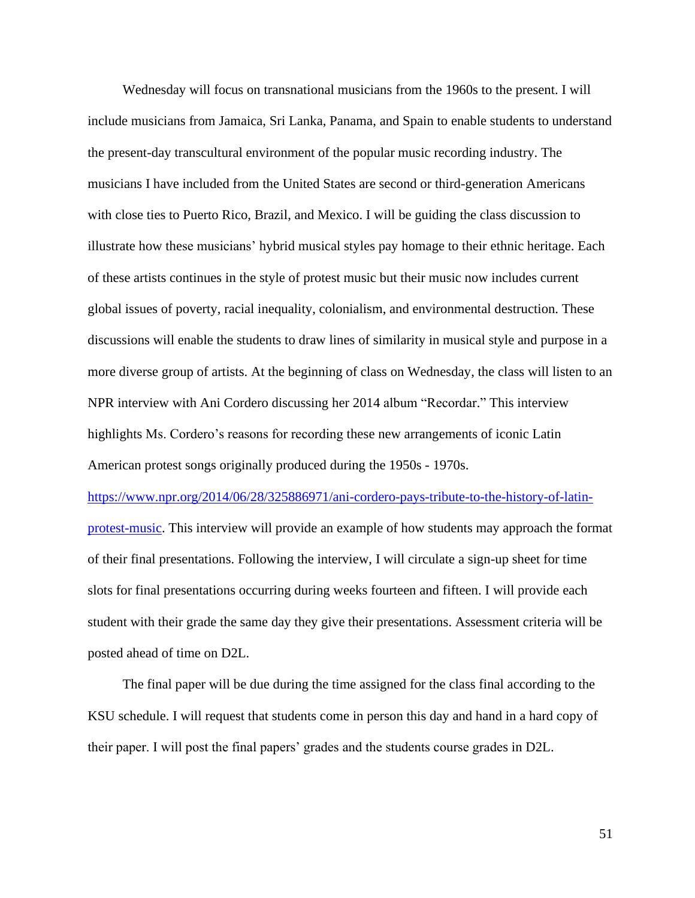Wednesday will focus on transnational musicians from the 1960s to the present. I will include musicians from Jamaica, Sri Lanka, Panama, and Spain to enable students to understand the present-day transcultural environment of the popular music recording industry. The musicians I have included from the United States are second or third-generation Americans with close ties to Puerto Rico, Brazil, and Mexico. I will be guiding the class discussion to illustrate how these musicians' hybrid musical styles pay homage to their ethnic heritage. Each of these artists continues in the style of protest music but their music now includes current global issues of poverty, racial inequality, colonialism, and environmental destruction. These discussions will enable the students to draw lines of similarity in musical style and purpose in a more diverse group of artists. At the beginning of class on Wednesday, the class will listen to an NPR interview with Ani Cordero discussing her 2014 album "Recordar." This interview highlights Ms. Cordero's reasons for recording these new arrangements of iconic Latin American protest songs originally produced during the 1950s - 1970s.

[https://www.npr.org/2014/06/28/325886971/ani-cordero-pays-tribute-to-the-history-of-latin](https://www.npr.org/2014/06/28/325886971/ani-cordero-pays-tribute-to-the-history-of-latin-protest-music)[protest-music.](https://www.npr.org/2014/06/28/325886971/ani-cordero-pays-tribute-to-the-history-of-latin-protest-music) This interview will provide an example of how students may approach the format of their final presentations. Following the interview, I will circulate a sign-up sheet for time slots for final presentations occurring during weeks fourteen and fifteen. I will provide each student with their grade the same day they give their presentations. Assessment criteria will be posted ahead of time on D2L.

The final paper will be due during the time assigned for the class final according to the KSU schedule. I will request that students come in person this day and hand in a hard copy of their paper. I will post the final papers' grades and the students course grades in D2L.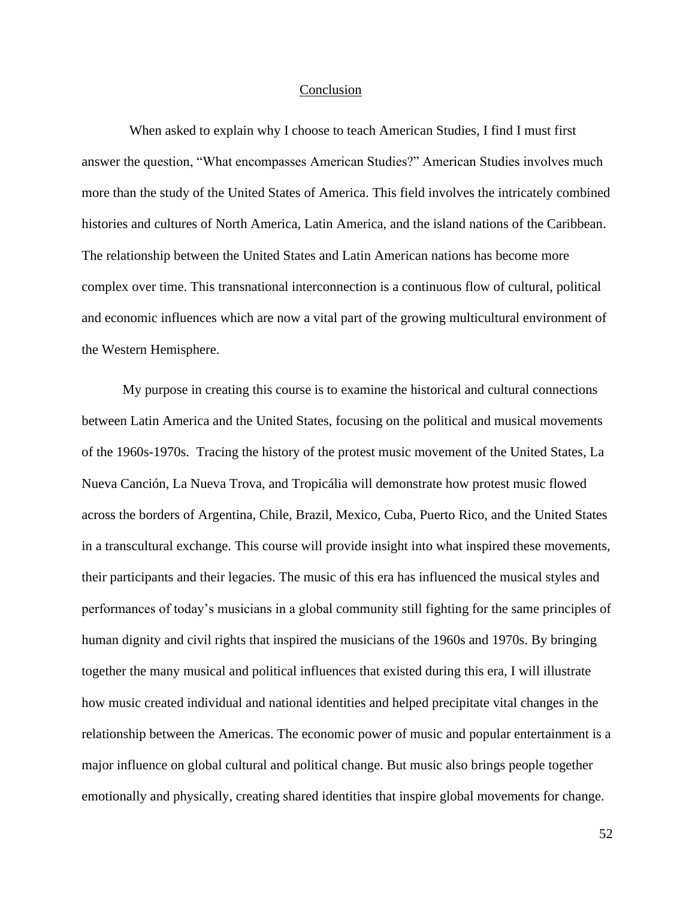#### Conclusion

 When asked to explain why I choose to teach American Studies, I find I must first answer the question, "What encompasses American Studies?" American Studies involves much more than the study of the United States of America. This field involves the intricately combined histories and cultures of North America, Latin America, and the island nations of the Caribbean. The relationship between the United States and Latin American nations has become more complex over time. This transnational interconnection is a continuous flow of cultural, political and economic influences which are now a vital part of the growing multicultural environment of the Western Hemisphere.

My purpose in creating this course is to examine the historical and cultural connections between Latin America and the United States, focusing on the political and musical movements of the 1960s-1970s. Tracing the history of the protest music movement of the United States, La Nueva Canción, La Nueva Trova, and Tropicália will demonstrate how protest music flowed across the borders of Argentina, Chile, Brazil, Mexico, Cuba, Puerto Rico, and the United States in a transcultural exchange. This course will provide insight into what inspired these movements, their participants and their legacies. The music of this era has influenced the musical styles and performances of today's musicians in a global community still fighting for the same principles of human dignity and civil rights that inspired the musicians of the 1960s and 1970s. By bringing together the many musical and political influences that existed during this era, I will illustrate how music created individual and national identities and helped precipitate vital changes in the relationship between the Americas. The economic power of music and popular entertainment is a major influence on global cultural and political change. But music also brings people together emotionally and physically, creating shared identities that inspire global movements for change.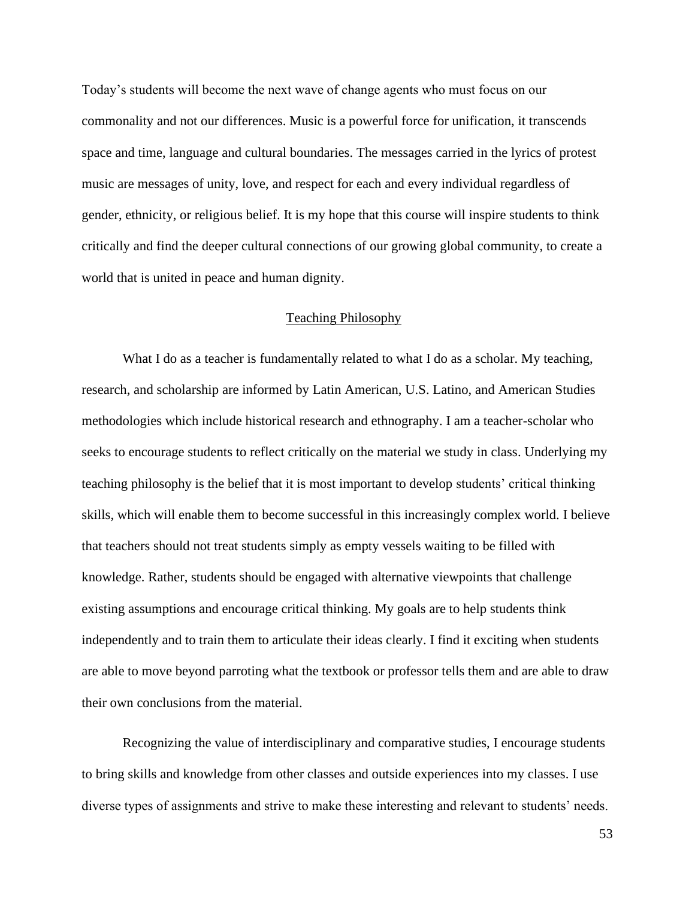Today's students will become the next wave of change agents who must focus on our commonality and not our differences. Music is a powerful force for unification, it transcends space and time, language and cultural boundaries. The messages carried in the lyrics of protest music are messages of unity, love, and respect for each and every individual regardless of gender, ethnicity, or religious belief. It is my hope that this course will inspire students to think critically and find the deeper cultural connections of our growing global community, to create a world that is united in peace and human dignity.

#### Teaching Philosophy

What I do as a teacher is fundamentally related to what I do as a scholar. My teaching, research, and scholarship are informed by Latin American, U.S. Latino, and American Studies methodologies which include historical research and ethnography. I am a teacher-scholar who seeks to encourage students to reflect critically on the material we study in class. Underlying my teaching philosophy is the belief that it is most important to develop students' critical thinking skills, which will enable them to become successful in this increasingly complex world. I believe that teachers should not treat students simply as empty vessels waiting to be filled with knowledge. Rather, students should be engaged with alternative viewpoints that challenge existing assumptions and encourage critical thinking. My goals are to help students think independently and to train them to articulate their ideas clearly. I find it exciting when students are able to move beyond parroting what the textbook or professor tells them and are able to draw their own conclusions from the material.

Recognizing the value of interdisciplinary and comparative studies, I encourage students to bring skills and knowledge from other classes and outside experiences into my classes. I use diverse types of assignments and strive to make these interesting and relevant to students' needs.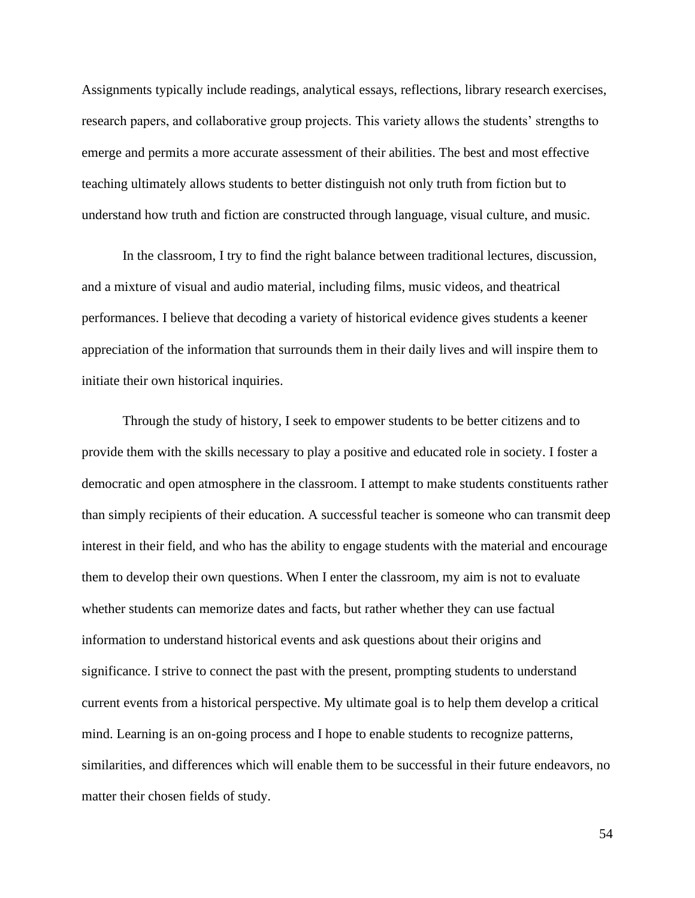Assignments typically include readings, analytical essays, reflections, library research exercises, research papers, and collaborative group projects. This variety allows the students' strengths to emerge and permits a more accurate assessment of their abilities. The best and most effective teaching ultimately allows students to better distinguish not only truth from fiction but to understand how truth and fiction are constructed through language, visual culture, and music.

In the classroom, I try to find the right balance between traditional lectures, discussion, and a mixture of visual and audio material, including films, music videos, and theatrical performances. I believe that decoding a variety of historical evidence gives students a keener appreciation of the information that surrounds them in their daily lives and will inspire them to initiate their own historical inquiries.

Through the study of history, I seek to empower students to be better citizens and to provide them with the skills necessary to play a positive and educated role in society. I foster a democratic and open atmosphere in the classroom. I attempt to make students constituents rather than simply recipients of their education. A successful teacher is someone who can transmit deep interest in their field, and who has the ability to engage students with the material and encourage them to develop their own questions. When I enter the classroom, my aim is not to evaluate whether students can memorize dates and facts, but rather whether they can use factual information to understand historical events and ask questions about their origins and significance. I strive to connect the past with the present, prompting students to understand current events from a historical perspective. My ultimate goal is to help them develop a critical mind. Learning is an on-going process and I hope to enable students to recognize patterns, similarities, and differences which will enable them to be successful in their future endeavors, no matter their chosen fields of study.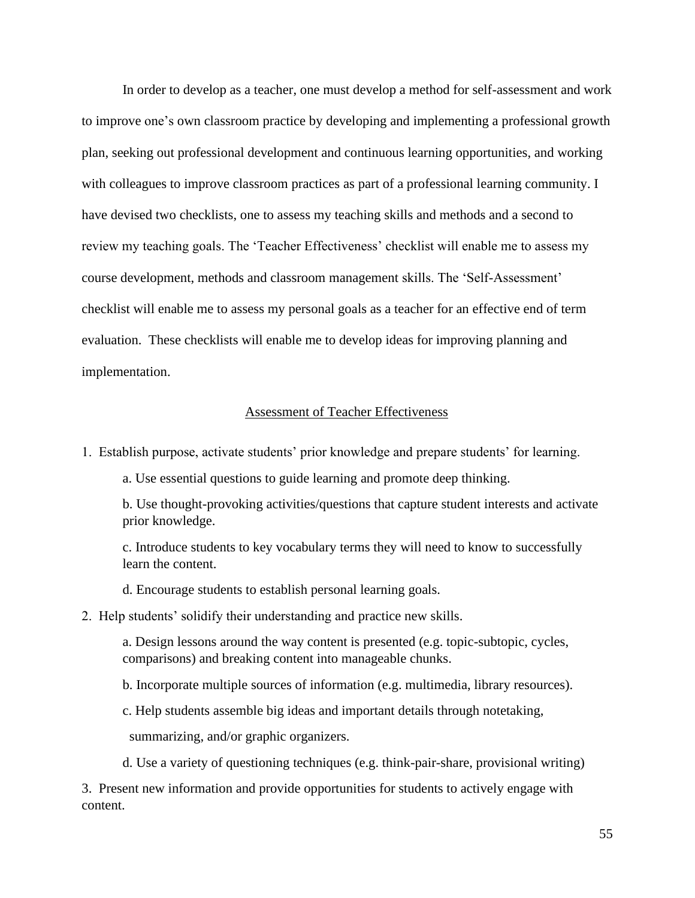In order to develop as a teacher, one must develop a method for self-assessment and work to improve one's own classroom practice by developing and implementing a professional growth plan, seeking out professional development and continuous learning opportunities, and working with colleagues to improve classroom practices as part of a professional learning community. I have devised two checklists, one to assess my teaching skills and methods and a second to review my teaching goals. The 'Teacher Effectiveness' checklist will enable me to assess my course development, methods and classroom management skills. The 'Self-Assessment' checklist will enable me to assess my personal goals as a teacher for an effective end of term evaluation. These checklists will enable me to develop ideas for improving planning and implementation.

#### Assessment of Teacher Effectiveness

1. Establish purpose, activate students' prior knowledge and prepare students' for learning.

a. Use essential questions to guide learning and promote deep thinking.

b. Use thought-provoking activities/questions that capture student interests and activate prior knowledge.

c. Introduce students to key vocabulary terms they will need to know to successfully learn the content.

d. Encourage students to establish personal learning goals.

#### 2. Help students' solidify their understanding and practice new skills.

a. Design lessons around the way content is presented (e.g. topic-subtopic, cycles, comparisons) and breaking content into manageable chunks.

b. Incorporate multiple sources of information (e.g. multimedia, library resources).

c. Help students assemble big ideas and important details through notetaking,

summarizing, and/or graphic organizers.

d. Use a variety of questioning techniques (e.g. think-pair-share, provisional writing)

3. Present new information and provide opportunities for students to actively engage with content.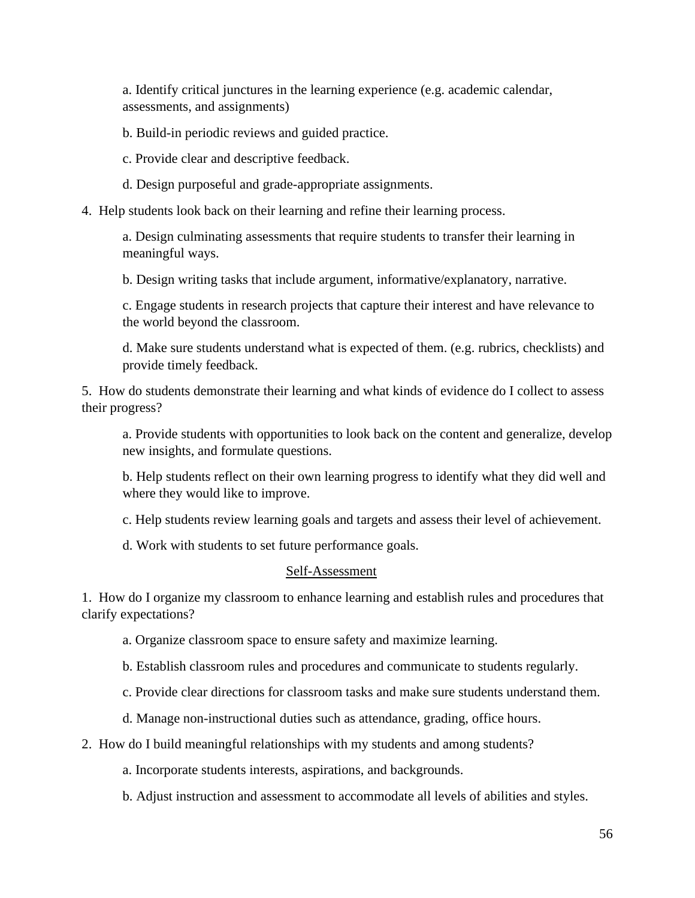a. Identify critical junctures in the learning experience (e.g. academic calendar, assessments, and assignments)

b. Build-in periodic reviews and guided practice.

c. Provide clear and descriptive feedback.

d. Design purposeful and grade-appropriate assignments.

4. Help students look back on their learning and refine their learning process.

a. Design culminating assessments that require students to transfer their learning in meaningful ways.

b. Design writing tasks that include argument, informative/explanatory, narrative.

c. Engage students in research projects that capture their interest and have relevance to the world beyond the classroom.

d. Make sure students understand what is expected of them. (e.g. rubrics, checklists) and provide timely feedback.

5. How do students demonstrate their learning and what kinds of evidence do I collect to assess their progress?

a. Provide students with opportunities to look back on the content and generalize, develop new insights, and formulate questions.

b. Help students reflect on their own learning progress to identify what they did well and where they would like to improve.

c. Help students review learning goals and targets and assess their level of achievement.

d. Work with students to set future performance goals.

#### Self-Assessment

1. How do I organize my classroom to enhance learning and establish rules and procedures that clarify expectations?

a. Organize classroom space to ensure safety and maximize learning.

b. Establish classroom rules and procedures and communicate to students regularly.

c. Provide clear directions for classroom tasks and make sure students understand them.

d. Manage non-instructional duties such as attendance, grading, office hours.

2. How do I build meaningful relationships with my students and among students?

a. Incorporate students interests, aspirations, and backgrounds.

b. Adjust instruction and assessment to accommodate all levels of abilities and styles.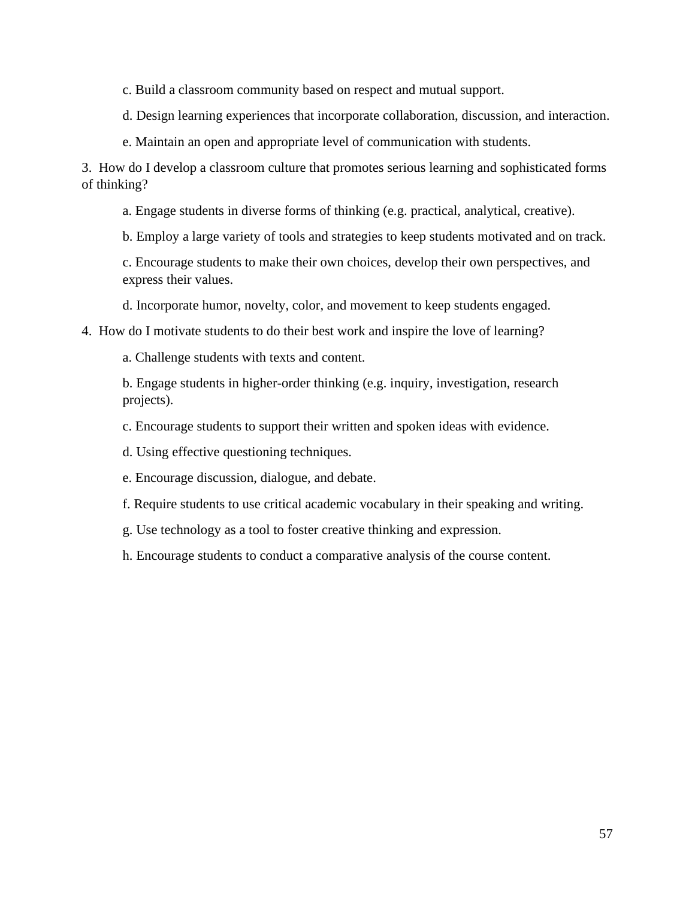c. Build a classroom community based on respect and mutual support.

d. Design learning experiences that incorporate collaboration, discussion, and interaction.

e. Maintain an open and appropriate level of communication with students.

3. How do I develop a classroom culture that promotes serious learning and sophisticated forms of thinking?

a. Engage students in diverse forms of thinking (e.g. practical, analytical, creative).

b. Employ a large variety of tools and strategies to keep students motivated and on track.

c. Encourage students to make their own choices, develop their own perspectives, and express their values.

d. Incorporate humor, novelty, color, and movement to keep students engaged.

4. How do I motivate students to do their best work and inspire the love of learning?

a. Challenge students with texts and content.

b. Engage students in higher-order thinking (e.g. inquiry, investigation, research projects).

c. Encourage students to support their written and spoken ideas with evidence.

d. Using effective questioning techniques.

e. Encourage discussion, dialogue, and debate.

f. Require students to use critical academic vocabulary in their speaking and writing.

g. Use technology as a tool to foster creative thinking and expression.

h. Encourage students to conduct a comparative analysis of the course content.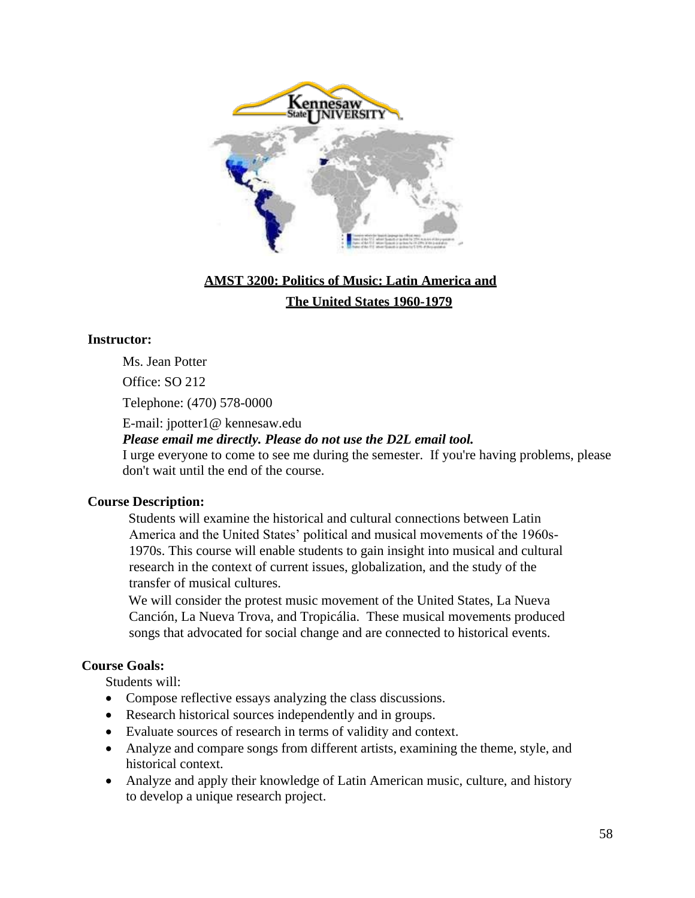

# **AMST 3200: Politics of Music: Latin America and The United States 1960-1979**

#### **Instructor:**

Ms. Jean Potter

Office: SO 212

Telephone: (470) 578-0000

E-mail: jpotter1@ kennesaw.edu

*Please email me directly. Please do not use the D2L email tool.* 

I urge everyone to come to see me during the semester. If you're having problems, please don't wait until the end of the course.

#### **Course Description:**

Students will examine the historical and cultural connections between Latin America and the United States' political and musical movements of the 1960s-1970s. This course will enable students to gain insight into musical and cultural research in the context of current issues, globalization, and the study of the transfer of musical cultures.

We will consider the protest music movement of the United States, La Nueva Canción, La Nueva Trova, and Tropicália. These musical movements produced songs that advocated for social change and are connected to historical events.

### **Course Goals:**

Students will:

- Compose reflective essays analyzing the class discussions.
- Research historical sources independently and in groups.
- Evaluate sources of research in terms of validity and context.
- Analyze and compare songs from different artists, examining the theme, style, and historical context.
- Analyze and apply their knowledge of Latin American music, culture, and history to develop a unique research project.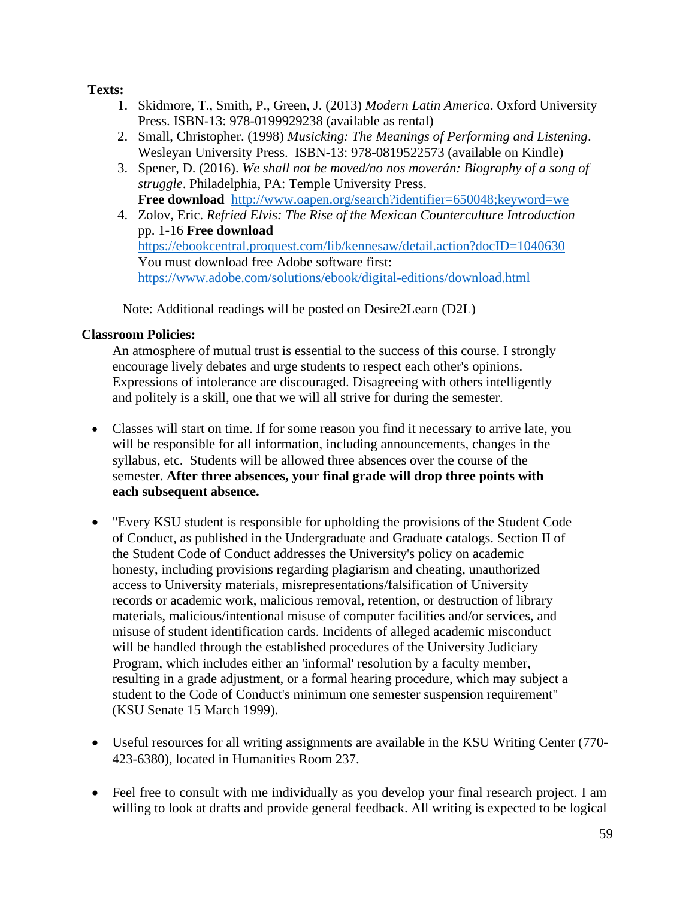## **Texts:**

- 1. Skidmore, T., Smith, P., Green, J. (2013) *Modern Latin America*. Oxford University Press. ISBN-13: 978-0199929238 (available as rental)
- 2. Small, Christopher. (1998) *Musicking: The Meanings of Performing and Listening*. Wesleyan University Press. ISBN-13: 978-0819522573 (available on Kindle)
- 3. Spener, D. (2016). *We shall not be moved/no nos moverán: Biography of a song of struggle*. Philadelphia, PA: Temple University Press. **Free download** <http://www.oapen.org/search?identifier=650048;keyword=we>
- 4. Zolov, Eric. *Refried Elvis: The Rise of the Mexican Counterculture Introduction*  pp. 1-16 **Free download** <https://ebookcentral.proquest.com/lib/kennesaw/detail.action?docID=1040630> You must download free Adobe software first: <https://www.adobe.com/solutions/ebook/digital-editions/download.html>

Note: Additional readings will be posted on Desire2Learn (D2L)

## **Classroom Policies:**

An atmosphere of mutual trust is essential to the success of this course. I strongly encourage lively debates and urge students to respect each other's opinions. Expressions of intolerance are discouraged. Disagreeing with others intelligently and politely is a skill, one that we will all strive for during the semester.

- Classes will start on time. If for some reason you find it necessary to arrive late, you will be responsible for all information, including announcements, changes in the syllabus, etc. Students will be allowed three absences over the course of the semester. **After three absences, your final grade will drop three points with each subsequent absence.**
- "Every KSU student is responsible for upholding the provisions of the Student Code of Conduct, as published in the Undergraduate and Graduate catalogs. Section II of the Student Code of Conduct addresses the University's policy on academic honesty, including provisions regarding plagiarism and cheating, unauthorized access to University materials, misrepresentations/falsification of University records or academic work, malicious removal, retention, or destruction of library materials, malicious/intentional misuse of computer facilities and/or services, and misuse of student identification cards. Incidents of alleged academic misconduct will be handled through the established procedures of the University Judiciary Program, which includes either an 'informal' resolution by a faculty member, resulting in a grade adjustment, or a formal hearing procedure, which may subject a student to the Code of Conduct's minimum one semester suspension requirement" (KSU Senate 15 March 1999).
- Useful resources for all writing assignments are available in the KSU Writing Center (770-423-6380), located in Humanities Room 237.
- Feel free to consult with me individually as you develop your final research project. I am willing to look at drafts and provide general feedback. All writing is expected to be logical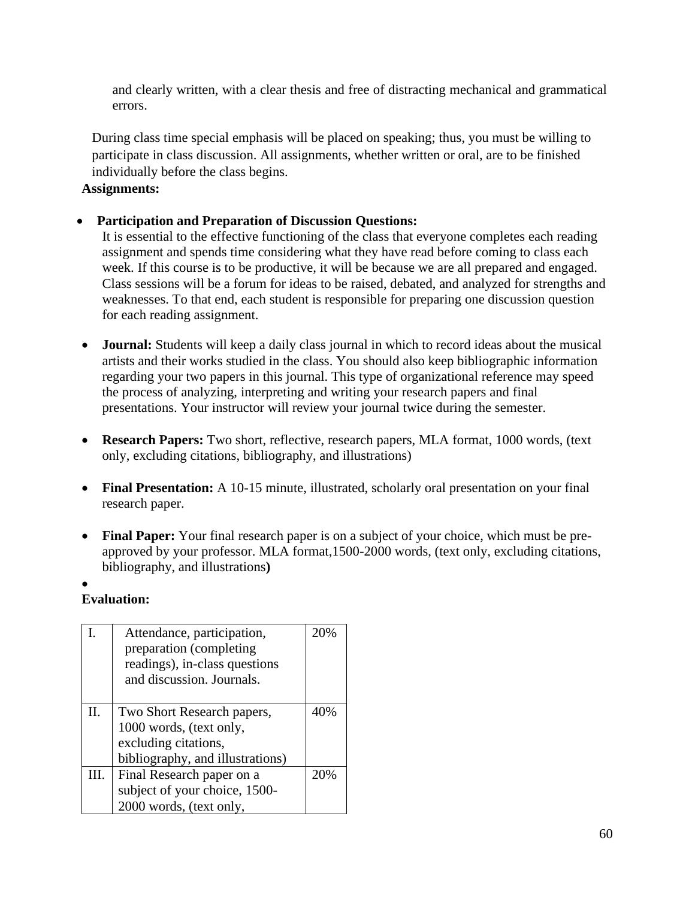and clearly written, with a clear thesis and free of distracting mechanical and grammatical errors.

During class time special emphasis will be placed on speaking; thus, you must be willing to participate in class discussion. All assignments, whether written or oral, are to be finished individually before the class begins.

### **Assignments:**

• **Participation and Preparation of Discussion Questions:**

It is essential to the effective functioning of the class that everyone completes each reading assignment and spends time considering what they have read before coming to class each week. If this course is to be productive, it will be because we are all prepared and engaged. Class sessions will be a forum for ideas to be raised, debated, and analyzed for strengths and weaknesses. To that end, each student is responsible for preparing one discussion question for each reading assignment.

- **Journal:** Students will keep a daily class journal in which to record ideas about the musical artists and their works studied in the class. You should also keep bibliographic information regarding your two papers in this journal. This type of organizational reference may speed the process of analyzing, interpreting and writing your research papers and final presentations. Your instructor will review your journal twice during the semester.
- **Research Papers:** Two short, reflective, research papers, MLA format, 1000 words, (text only, excluding citations, bibliography, and illustrations)
- **Final Presentation:** A 10-15 minute, illustrated, scholarly oral presentation on your final research paper.
- **Final Paper:** Your final research paper is on a subject of your choice, which must be preapproved by your professor. MLA format,1500-2000 words, (text only, excluding citations, bibliography, and illustrations**)**

## •

### **Evaluation:**

|      | Attendance, participation,<br>preparation (completing)<br>readings), in-class questions<br>and discussion. Journals. | 20% |
|------|----------------------------------------------------------------------------------------------------------------------|-----|
| H.   | Two Short Research papers,                                                                                           | 40% |
|      | 1000 words, (text only,                                                                                              |     |
|      | excluding citations,                                                                                                 |     |
|      | bibliography, and illustrations)                                                                                     |     |
| III. | Final Research paper on a                                                                                            | 20% |
|      | subject of your choice, 1500-                                                                                        |     |
|      | 2000 words, (text only,                                                                                              |     |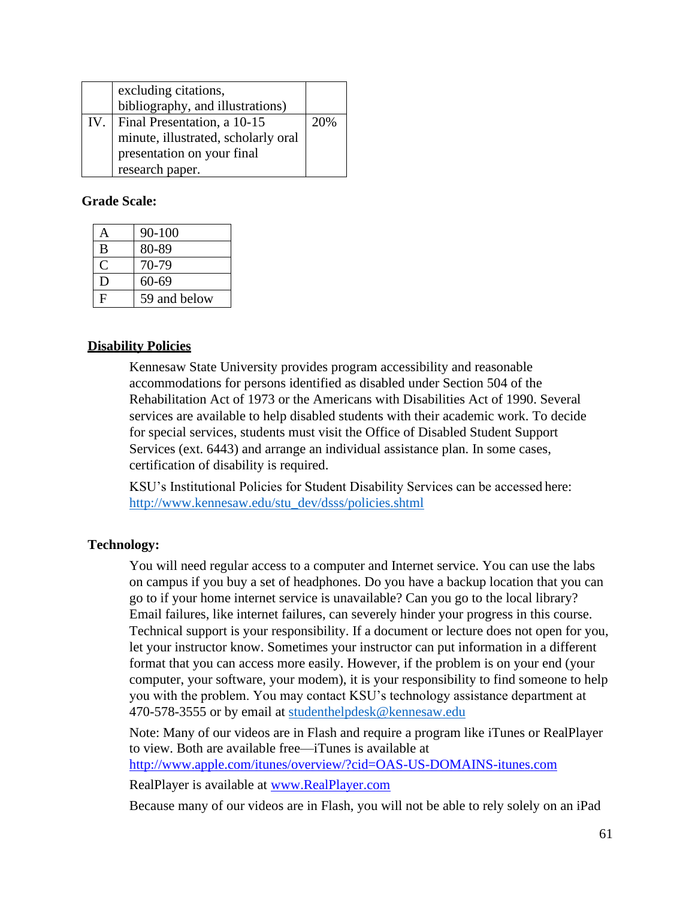|     | excluding citations,<br>bibliography, and illustrations) |     |
|-----|----------------------------------------------------------|-----|
| IV. | Final Presentation, a 10-15                              | 20% |
|     | minute, illustrated, scholarly oral                      |     |
|     | presentation on your final                               |     |
|     | research paper.                                          |     |

#### **Grade Scale:**

| А | $90 - 100$   |
|---|--------------|
| B | 80-89        |
| C | 70-79        |
| D | 60-69        |
| F | 59 and below |

#### **Disability Policies**

Kennesaw State University provides program accessibility and reasonable accommodations for persons identified as disabled under Section 504 of the Rehabilitation Act of 1973 or the Americans with Disabilities Act of 1990. Several services are available to help disabled students with their academic work. To decide for special services, students must visit the Office of Disabled Student Support Services (ext. 6443) and arrange an individual assistance plan. In some cases, certification of disability is required.

KSU's Institutional Policies for Student Disability Services can be accessed here: [http://www.kennesaw.edu/stu\\_dev/dsss/policies.shtml](http://www.kennesaw.edu/stu_dev/dsss/policies.shtml)

### **Technology:**

You will need regular access to a computer and Internet service. You can use the labs on campus if you buy a set of headphones. Do you have a backup location that you can go to if your home internet service is unavailable? Can you go to the local library? Email failures, like internet failures, can severely hinder your progress in this course. Technical support is your responsibility. If a document or lecture does not open for you, let your instructor know. Sometimes your instructor can put information in a different format that you can access more easily. However, if the problem is on your end (your computer, your software, your modem), it is your responsibility to find someone to help you with the problem. You may contact KSU's technology assistance department at 470-578-3555 or by email at [studenthelpdesk@kennesaw.edu](mailto:studenthelpdesk@kennesaw.edu)

Note: Many of our videos are in Flash and require a program like iTunes or RealPlayer to view. Both are available free—iTunes is available at <http://www.apple.com/itunes/overview/?cid=OAS-US-DOMAINS-itunes.com>

RealPlayer is available at [www.RealPlayer.com](http://www.realplayer.com/)

Because many of our videos are in Flash, you will not be able to rely solely on an iPad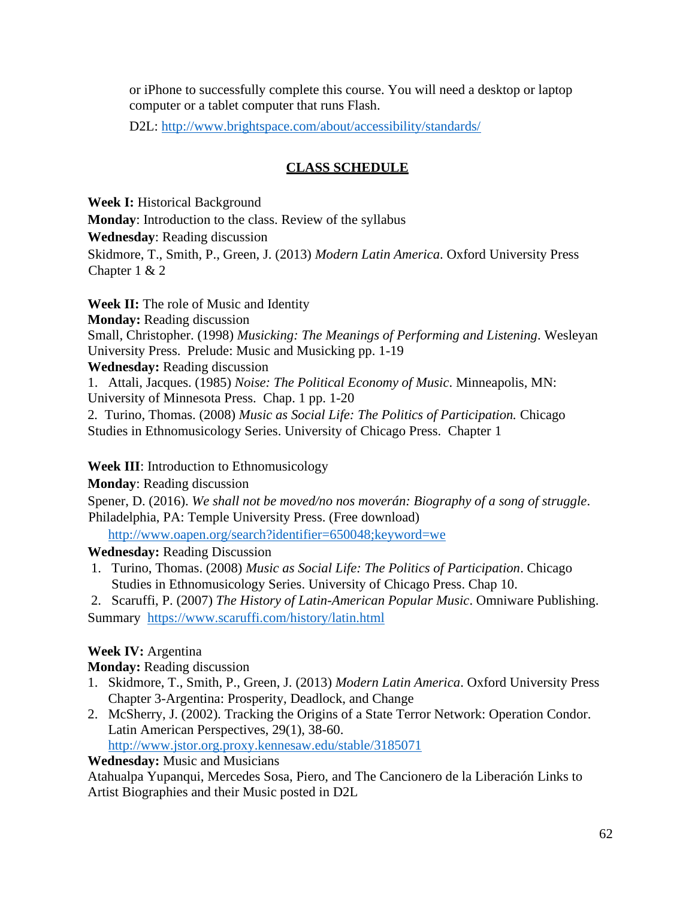or iPhone to successfully complete this course. You will need a desktop or laptop computer or a tablet computer that runs Flash.

D2L:<http://www.brightspace.com/about/accessibility/standards/>

## **CLASS SCHEDULE**

**Week I:** Historical Background **Monday**: Introduction to the class. Review of the syllabus **Wednesday**: Reading discussion Skidmore, T., Smith, P., Green, J. (2013) *Modern Latin America*. Oxford University Press Chapter 1 & 2

**Week II:** The role of Music and Identity **Monday:** Reading discussion Small, Christopher. (1998) *Musicking: The Meanings of Performing and Listening*. Wesleyan University Press. Prelude: Music and Musicking pp. 1-19 **Wednesday:** Reading discussion 1. Attali, Jacques. (1985) *Noise: The Political Economy of Music*. Minneapolis, MN: University of Minnesota Press. Chap. 1 pp. 1-20 2*.* Turino, Thomas. (2008) *Music as Social Life: The Politics of Participation.* Chicago Studies in Ethnomusicology Series. University of Chicago Press. Chapter 1

### **Week III**: Introduction to Ethnomusicology

**Monday**: Reading discussion

Spener, D. (2016). *We shall not be moved/no nos moverán: Biography of a song of struggle*. Philadelphia, PA: Temple University Press. (Free download)

<http://www.oapen.org/search?identifier=650048;keyword=we>

## **Wednesday:** Reading Discussion

- 1. Turino, Thomas. (2008) *Music as Social Life: The Politics of Participation*. Chicago Studies in Ethnomusicology Series. University of Chicago Press. Chap 10.
- 2. Scaruffi, P. (2007) *The History of Latin-American Popular Music*. Omniware Publishing.

Summary <https://www.scaruffi.com/history/latin.html>

## **Week IV:** Argentina

**Monday:** Reading discussion

- 1. Skidmore, T., Smith, P., Green, J. (2013) *Modern Latin America*. Oxford University Press Chapter 3-Argentina: Prosperity, Deadlock, and Change
- 2. McSherry, J. (2002). Tracking the Origins of a State Terror Network: Operation Condor. Latin American Perspectives, 29(1), 38-60. <http://www.jstor.org.proxy.kennesaw.edu/stable/3185071>

**Wednesday:** Music and Musicians

Atahualpa Yupanqui, Mercedes Sosa, Piero, and The Cancionero de la Liberación Links to Artist Biographies and their Music posted in D2L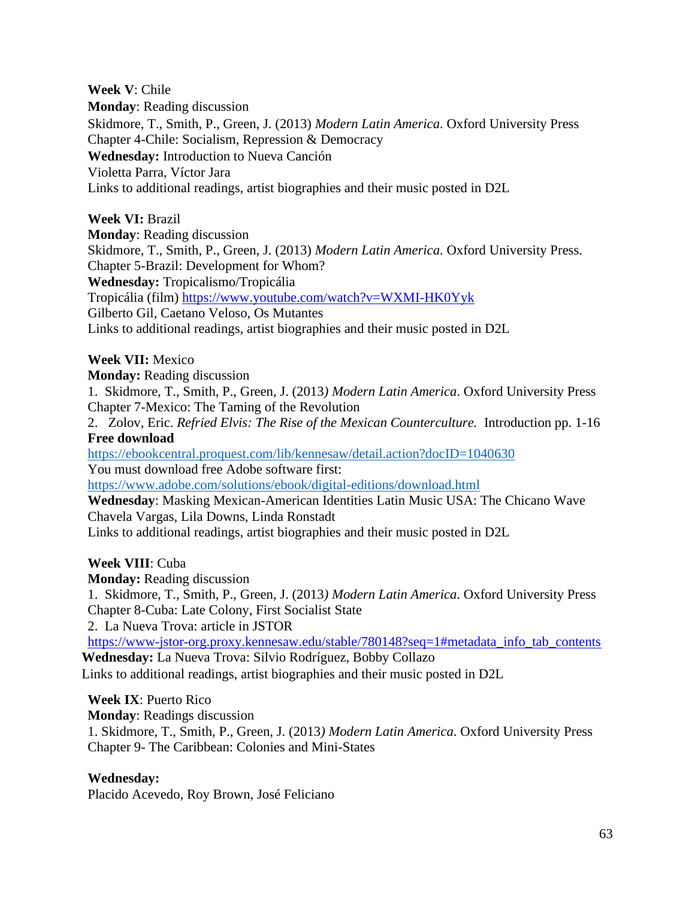**Week V**: Chile **Monday**: Reading discussion Skidmore, T., Smith, P., Green, J. (2013) *Modern Latin America*. Oxford University Press Chapter 4-Chile: Socialism, Repression & Democracy **Wednesday:** Introduction to Nueva Canción Violetta Parra, Víctor Jara Links to additional readings, artist biographies and their music posted in D2L

**Week VI:** Brazil **Monday**: Reading discussion Skidmore, T., Smith, P., Green, J. (2013) *Modern Latin America*. Oxford University Press. Chapter 5-Brazil: Development for Whom? **Wednesday:** Tropicalismo/Tropicália Tropicália (film)<https://www.youtube.com/watch?v=WXMI-HK0Yyk> Gilberto Gil, Caetano Veloso, Os Mutantes Links to additional readings, artist biographies and their music posted in D2L

#### **Week VII:** Mexico

**Monday:** Reading discussion 1. Skidmore, T., Smith, P., Green, J. (2013*) Modern Latin America*. Oxford University Press Chapter 7-Mexico: The Taming of the Revolution

2. Zolov, Eric. *Refried Elvis: The Rise of the Mexican Counterculture.* Introduction pp. 1-16 **Free download**

<https://ebookcentral.proquest.com/lib/kennesaw/detail.action?docID=1040630> You must download free Adobe software first:

<https://www.adobe.com/solutions/ebook/digital-editions/download.html>

**Wednesday**: Masking Mexican-American Identities Latin Music USA: The Chicano Wave Chavela Vargas, Lila Downs, Linda Ronstadt

Links to additional readings, artist biographies and their music posted in D2L

**Week VIII**: Cuba

**Monday:** Reading discussion

1. Skidmore, T., Smith, P., Green, J. (2013*) Modern Latin America*. Oxford University Press Chapter 8-Cuba: Late Colony, First Socialist State

2. La Nueva Trova: article in JSTOR

[https://www-jstor-org.proxy.kennesaw.edu/stable/780148?seq=1#metadata\\_info\\_tab\\_contents](https://www-jstor-org.proxy.kennesaw.edu/stable/780148?seq=1#metadata_info_tab_contents) **Wednesday:** La Nueva Trova: Silvio Rodríguez, Bobby Collazo

Links to additional readings, artist biographies and their music posted in D2L

**Week IX**: Puerto Rico

**Monday**: Readings discussion

1. Skidmore, T., Smith, P., Green, J. (2013*) Modern Latin America*. Oxford University Press Chapter 9- The Caribbean: Colonies and Mini-States

#### **Wednesday:**

Placido Acevedo, Roy Brown, José Feliciano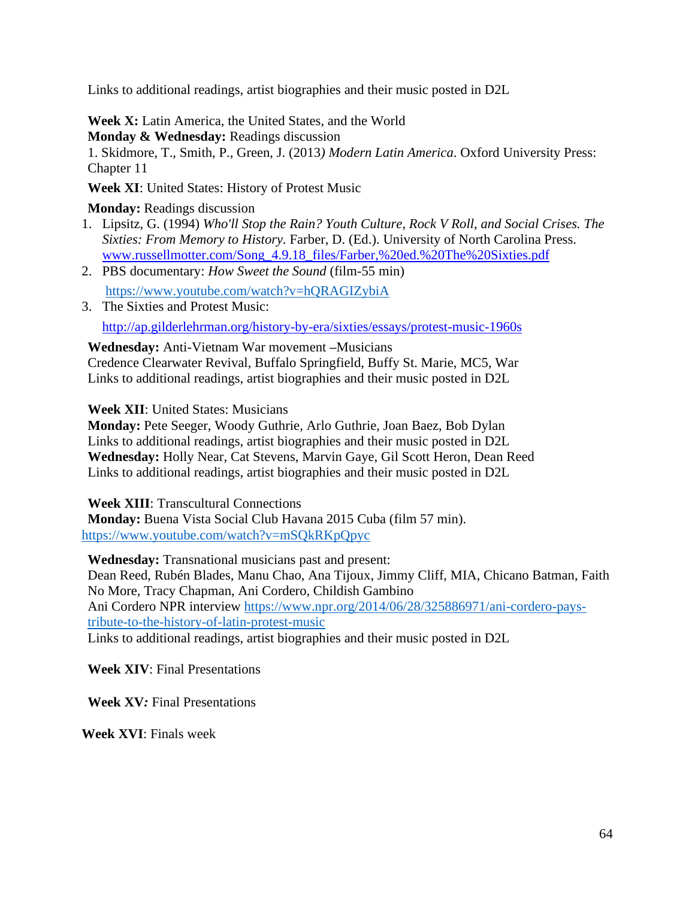Links to additional readings, artist biographies and their music posted in D2L

**Week X:** Latin America, the United States, and the World

**Monday & Wednesday:** Readings discussion

1. Skidmore, T., Smith, P., Green, J. (2013*) Modern Latin America*. Oxford University Press: Chapter 11

**Week XI**: United States: History of Protest Music

**Monday:** Readings discussion

- 1. Lipsitz, G. (1994) *Who'll Stop the Rain? Youth Culture, Rock V Roll, and Social Crises. The Sixties: From Memory to History.* Farber, D. (Ed.). University of North Carolina Press. [www.russellmotter.com/Song\\_4.9.18\\_files/Farber,%20ed.%20The%20Sixties.pdf](http://www.russellmotter.com/Song_4.9.18_files/Farber,%20ed.%20The%20Sixties.pdf)
- 2. PBS documentary: *How Sweet the Sound* (film-55 min) <https://www.youtube.com/watch?v=hQRAGIZybiA>
- 3. The Sixties and Protest Music: <http://ap.gilderlehrman.org/history-by-era/sixties/essays/protest-music-1960s>

**Wednesday:** Anti-Vietnam War movement **–**Musicians

Credence Clearwater Revival, Buffalo Springfield, Buffy St. Marie, MC5, War Links to additional readings, artist biographies and their music posted in D2L

**Week XII**: United States: Musicians

**Monday:** Pete Seeger, Woody Guthrie, Arlo Guthrie, Joan Baez, Bob Dylan Links to additional readings, artist biographies and their music posted in D2L **Wednesday:** Holly Near, Cat Stevens, Marvin Gaye, Gil Scott Heron, Dean Reed Links to additional readings, artist biographies and their music posted in D2L

**Week XIII**: Transcultural Connections

**Monday:** Buena Vista Social Club Havana 2015 Cuba (film 57 min). <https://www.youtube.com/watch?v=mSQkRKpQpyc>

**Wednesday:** Transnational musicians past and present:

Dean Reed, Rubén Blades, Manu Chao, Ana Tijoux, Jimmy Cliff, MIA, Chicano Batman, Faith No More, Tracy Chapman, Ani Cordero, Childish Gambino Ani Cordero NPR interview [https://www.npr.org/2014/06/28/325886971/ani-cordero-pays](https://www.npr.org/2014/06/28/325886971/ani-cordero-pays-tribute-to-the-history-of-latin-protest-music)[tribute-to-the-history-of-latin-protest-music](https://www.npr.org/2014/06/28/325886971/ani-cordero-pays-tribute-to-the-history-of-latin-protest-music) Links to additional readings, artist biographies and their music posted in D2L

**Week XIV**: Final Presentations

**Week XV***:* Final Presentations

**Week XVI**: Finals week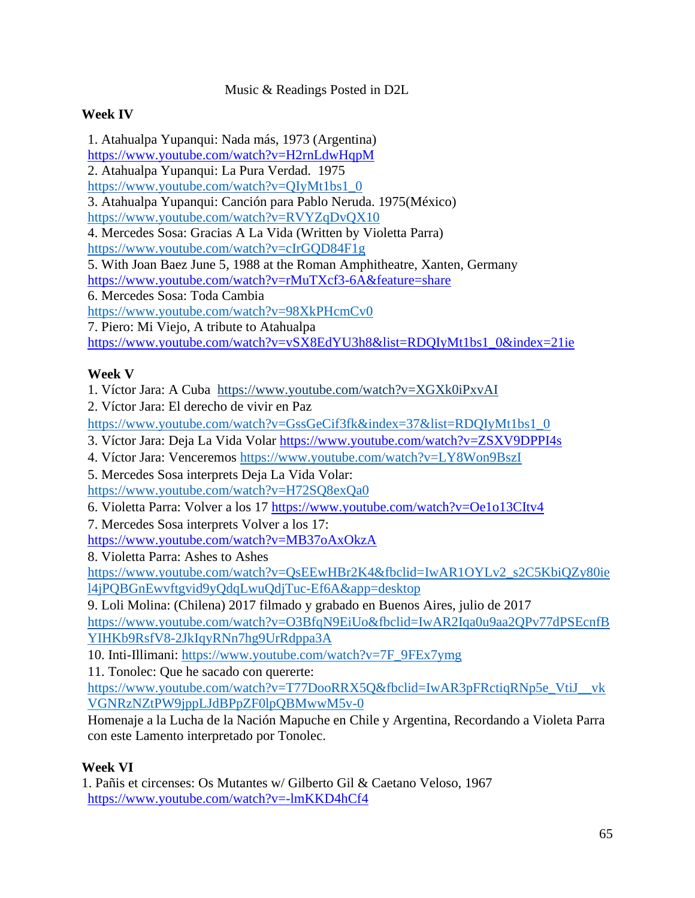Music & Readings Posted in D2L

## **Week IV**

1. Atahualpa Yupanqui: Nada más, 1973 (Argentina) <https://www.youtube.com/watch?v=H2rnLdwHqpM> 2. Atahualpa Yupanqui: La Pura Verdad. 1975 [https://www.youtube.com/watch?v=QIyMt1bs1\\_0](https://www.youtube.com/watch?v=QIyMt1bs1_0) 3. Atahualpa Yupanqui: Canción para Pablo Neruda. 1975(México) <https://www.youtube.com/watch?v=RVYZqDvQX10> 4. Mercedes Sosa: Gracias A La Vida (Written by Violetta Parra) <https://www.youtube.com/watch?v=cIrGQD84F1g> 5. With Joan Baez June 5, 1988 at the Roman Amphitheatre, Xanten, Germany <https://www.youtube.com/watch?v=rMuTXcf3-6A&feature=share> 6. Mercedes Sosa: Toda Cambia <https://www.youtube.com/watch?v=98XkPHcmCv0> 7. Piero: Mi Viejo, A tribute to Atahualpa https://www.youtube.com/watch?v=vSX8EdYU3h8&list=RDQIyMt1bs1\_0&index=21ie

## **Week V**

1. Víctor Jara: A Cuba <https://www.youtube.com/watch?v=XGXk0iPxvAI>

2. Víctor Jara: El derecho de vivir en Paz

[https://www.youtube.com/watch?v=GssGeCif3fk&index=37&list=RDQIyMt1bs1\\_0](https://www.youtube.com/watch?v=GssGeCif3fk&index=37&list=RDQIyMt1bs1_0)

3. Víctor Jara: Deja La Vida Volar<https://www.youtube.com/watch?v=ZSXV9DPPI4s>

4. Víctor Jara: Venceremos<https://www.youtube.com/watch?v=LY8Won9BszI>

5. Mercedes Sosa interprets Deja La Vida Volar: <https://www.youtube.com/watch?v=H72SQ8exQa0>

6. Violetta Parra: Volver a los 17<https://www.youtube.com/watch?v=Oe1o13CItv4>

7. Mercedes Sosa interprets Volver a los 17:

<https://www.youtube.com/watch?v=MB37oAxOkzA>

8. Violetta Parra: Ashes to Ashes

[https://www.youtube.com/watch?v=QsEEwHBr2K4&fbclid=IwAR1OYLv2\\_s2C5KbiQZy80ie](https://www.youtube.com/watch?v=QsEEwHBr2K4&fbclid=IwAR1OYLv2_s2C5KbiQZy80iel4jPQBGnEwvftgvid9yQdqLwuQdjTuc-Ef6A&app=desktop) [l4jPQBGnEwvftgvid9yQdqLwuQdjTuc-Ef6A&app=desktop](https://www.youtube.com/watch?v=QsEEwHBr2K4&fbclid=IwAR1OYLv2_s2C5KbiQZy80iel4jPQBGnEwvftgvid9yQdqLwuQdjTuc-Ef6A&app=desktop)

9. Loli Molina: (Chilena) 2017 filmado y grabado en Buenos Aires, julio de 2017

[https://www.youtube.com/watch?v=O3BfqN9EiUo&fbclid=IwAR2Iqa0u9aa2QPv77dPSEcnfB](https://www.youtube.com/watch?v=O3BfqN9EiUo&fbclid=IwAR2Iqa0u9aa2QPv77dPSEcnfBYIHKb9RsfV8-2JkIqyRNn7hg9UrRdppa3A) [YIHKb9RsfV8-2JkIqyRNn7hg9UrRdppa3A](https://www.youtube.com/watch?v=O3BfqN9EiUo&fbclid=IwAR2Iqa0u9aa2QPv77dPSEcnfBYIHKb9RsfV8-2JkIqyRNn7hg9UrRdppa3A)

10. Inti-Illimani: [https://www.youtube.com/watch?v=7F\\_9FEx7ymg](https://www.youtube.com/watch?v=7F_9FEx7ymg)

11. Tonolec: Que he sacado con quererte:

[https://www.youtube.com/watch?v=T77DooRRX5Q&fbclid=IwAR3pFRctiqRNp5e\\_VtiJ\\_\\_vk](https://www.youtube.com/watch?v=T77DooRRX5Q&fbclid=IwAR3pFRctiqRNp5e_VtiJ__vkVGNRzNZtPW9jppLJdBPpZF0lpQBMwwM5v-0) [VGNRzNZtPW9jppLJdBPpZF0lpQBMwwM5v-0](https://www.youtube.com/watch?v=T77DooRRX5Q&fbclid=IwAR3pFRctiqRNp5e_VtiJ__vkVGNRzNZtPW9jppLJdBPpZF0lpQBMwwM5v-0)

Homenaje a la Lucha de la Nación Mapuche en Chile y Argentina, Recordando a Violeta Parra con este Lamento interpretado por Tonolec.

## **Week VI**

1. Pañis et circenses: Os Mutantes w/ Gilberto Gil & Caetano Veloso, 1967 <https://www.youtube.com/watch?v=-lmKKD4hCf4>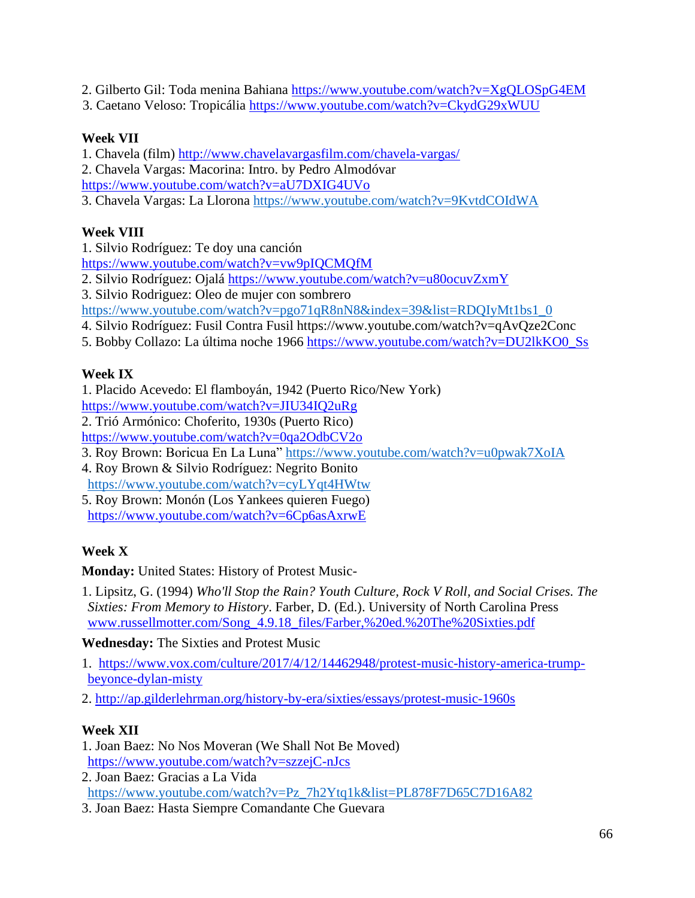2. Gilberto Gil: Toda menina Bahiana<https://www.youtube.com/watch?v=XgQLOSpG4EM>

3. Caetano Veloso: Tropicália<https://www.youtube.com/watch?v=CkydG29xWUU>

## **Week VII**

1. Chavela (film)<http://www.chavelavargasfilm.com/chavela-vargas/>

2. Chavela Vargas: Macorina: Intro. by Pedro Almodóvar

<https://www.youtube.com/watch?v=aU7DXIG4UVo>

3. Chavela Vargas: La Llorona<https://www.youtube.com/watch?v=9KvtdCOIdWA>

## **Week VIII**

1. Silvio Rodríguez: Te doy una canción

<https://www.youtube.com/watch?v=vw9pIQCMQfM>

2. Silvio Rodríguez: Ojalá<https://www.youtube.com/watch?v=u80ocuvZxmY>

3. Silvio Rodriguez: Oleo de mujer con sombrero

[https://www.youtube.com/watch?v=pgo71qR8nN8&index=39&list=RDQIyMt1bs1\\_0](https://www.youtube.com/watch?v=pgo71qR8nN8&index=39&list=RDQIyMt1bs1_0)

4. Silvio Rodríguez: Fusil Contra Fusil https://www.youtube.com/watch?v=qAvQze2Conc

5. Bobby Collazo: La última noche 1966 [https://www.youtube.com/watch?v=DU2lkKO0\\_Ss](https://www.youtube.com/watch?v=DU2lkKO0_Ss)

## **Week IX**

1. Placido Acevedo: El flamboyán, 1942 (Puerto Rico/New York)

<https://www.youtube.com/watch?v=JIU34IQ2uRg>

2. Trió Armónico: Choferito, 1930s (Puerto Rico)

<https://www.youtube.com/watch?v=0qa2OdbCV2o>

3. Roy Brown: Boricua En La Luna"<https://www.youtube.com/watch?v=u0pwak7XoIA>

4. Roy Brown & Silvio Rodríguez: Negrito Bonito <https://www.youtube.com/watch?v=cyLYqt4HWtw>

5. Roy Brown: Monón (Los Yankees quieren Fuego) <https://www.youtube.com/watch?v=6Cp6asAxrwE>

# **Week X**

**Monday:** United States: History of Protest Music-

1. Lipsitz, G. (1994) *Who'll Stop the Rain? Youth Culture, Rock V Roll, and Social Crises. The Sixties: From Memory to History*. Farber, D. (Ed.). University of North Carolina Press [www.russellmotter.com/Song\\_4.9.18\\_files/Farber,%20ed.%20The%20Sixties.pdf](http://www.russellmotter.com/Song_4.9.18_files/Farber,%20ed.%20The%20Sixties.pdf)

**Wednesday:** The Sixties and Protest Music

- 1. [https://www.vox.com/culture/2017/4/12/14462948/protest-music-history-america-trump](https://www.vox.com/culture/2017/4/12/14462948/protest-music-history-america-trump-beyonce-dylan-misty)[beyonce-dylan-misty](https://www.vox.com/culture/2017/4/12/14462948/protest-music-history-america-trump-beyonce-dylan-misty)
- 2.<http://ap.gilderlehrman.org/history-by-era/sixties/essays/protest-music-1960s>

## **Week XII**

- 1. Joan Baez: No Nos Moveran (We Shall Not Be Moved) <https://www.youtube.com/watch?v=szzejC-nJcs>
- 2. Joan Baez: Gracias a La Vida [https://www.youtube.com/watch?v=Pz\\_7h2Ytq1k&list=PL878F7D65C7D16A82](https://www.youtube.com/watch?v=Pz_7h2Ytq1k&list=PL878F7D65C7D16A82)
- 3. Joan Baez: Hasta Siempre Comandante Che Guevara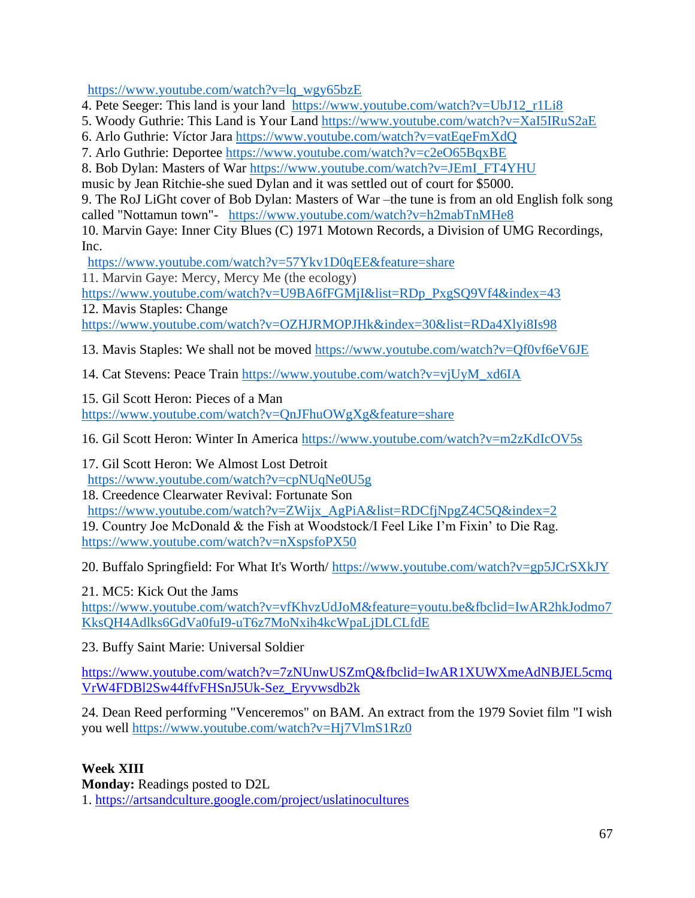https://www.youtube.com/watch?v=lq\_wgy65bzE

4. Pete Seeger: This land is your land [https://www.youtube.com/watch?v=UbJ12\\_r1Li8](https://www.youtube.com/watch?v=UbJ12_r1Li8)

- 5. Woody Guthrie: This Land is Your Land<https://www.youtube.com/watch?v=XaI5IRuS2aE>
- 6. Arlo Guthrie: Víctor Jara<https://www.youtube.com/watch?v=vatEqeFmXdQ>
- 7. Arlo Guthrie: Deportee<https://www.youtube.com/watch?v=c2eO65BqxBE>
- 8. Bob Dylan: Masters of War [https://www.youtube.com/watch?v=JEmI\\_FT4YHU](https://www.youtube.com/watch?v=JEmI_FT4YHU)
- music by Jean Ritchie-she sued Dylan and it was settled out of court for \$5000.

9. The RoJ LiGht cover of Bob Dylan: Masters of War –the tune is from an old English folk song called "Nottamun town"- <https://www.youtube.com/watch?v=h2mabTnMHe8>

10. Marvin Gaye: Inner City Blues (C) 1971 Motown Records, a Division of UMG Recordings, Inc.

<https://www.youtube.com/watch?v=57Ykv1D0qEE&feature=share>

11. Marvin Gaye: Mercy, Mercy Me (the ecology)

[https://www.youtube.com/watch?v=U9BA6fFGMjI&list=RDp\\_PxgSQ9Vf4&index=43](https://www.youtube.com/watch?v=U9BA6fFGMjI&list=RDp_PxgSQ9Vf4&index=43)

12. Mavis Staples: Change

<https://www.youtube.com/watch?v=OZHJRMOPJHk&index=30&list=RDa4Xlyi8Is98>

13. Mavis Staples: We shall not be moved<https://www.youtube.com/watch?v=Qf0vf6eV6JE>

14. Cat Stevens: Peace Train [https://www.youtube.com/watch?v=vjUyM\\_xd6IA](https://www.youtube.com/watch?v=vjUyM_xd6IA)

15. Gil Scott Heron: Pieces of a Man <https://www.youtube.com/watch?v=QnJFhuOWgXg&feature=share>

16. Gil Scott Heron: Winter In America<https://www.youtube.com/watch?v=m2zKdIcOV5s>

17. Gil Scott Heron: We Almost Lost Detroit <https://www.youtube.com/watch?v=cpNUqNe0U5g>

18. Creedence Clearwater Revival: Fortunate Son [https://www.youtube.com/watch?v=ZWijx\\_AgPiA&list=RDCfjNpgZ4C5Q&index=2](https://www.youtube.com/watch?v=ZWijx_AgPiA&list=RDCfjNpgZ4C5Q&index=2)

19. Country Joe McDonald & the Fish at Woodstock/I Feel Like I'm Fixin' to Die Rag. <https://www.youtube.com/watch?v=nXspsfoPX50>

20. Buffalo Springfield: For What It's Worth/<https://www.youtube.com/watch?v=gp5JCrSXkJY>

21. MC5: Kick Out the Jams

[https://www.youtube.com/watch?v=vfKhvzUdJoM&feature=youtu.be&fbclid=IwAR2hkJodmo7](https://www.youtube.com/watch?v=vfKhvzUdJoM&feature=youtu.be&fbclid=IwAR2hkJodmo7KksQH4Adlks6GdVa0fuI9-uT6z7MoNxih4kcWpaLjDLCLfdE) [KksQH4Adlks6GdVa0fuI9-uT6z7MoNxih4kcWpaLjDLCLfdE](https://www.youtube.com/watch?v=vfKhvzUdJoM&feature=youtu.be&fbclid=IwAR2hkJodmo7KksQH4Adlks6GdVa0fuI9-uT6z7MoNxih4kcWpaLjDLCLfdE)

23. Buffy Saint Marie: Universal Soldier

[https://www.youtube.com/watch?v=7zNUnwUSZmQ&fbclid=IwAR1XUWXmeAdNBJEL5cmq](https://www.youtube.com/watch?v=7zNUnwUSZmQ&fbclid=IwAR1XUWXmeAdNBJEL5cmqVrW4FDBl2Sw44ffvFHSnJ5Uk-Sez_Eryvwsdb2k) [VrW4FDBl2Sw44ffvFHSnJ5Uk-Sez\\_Eryvwsdb2k](https://www.youtube.com/watch?v=7zNUnwUSZmQ&fbclid=IwAR1XUWXmeAdNBJEL5cmqVrW4FDBl2Sw44ffvFHSnJ5Uk-Sez_Eryvwsdb2k)

24. Dean Reed performing "Venceremos" on BAM. An extract from the 1979 Soviet film "I wish you well https://www.youtube.com/watch?v=Hj7VlmS1Rz0

## **Week XIII**

**Monday:** Readings posted to D2L 1.<https://artsandculture.google.com/project/uslatinocultures>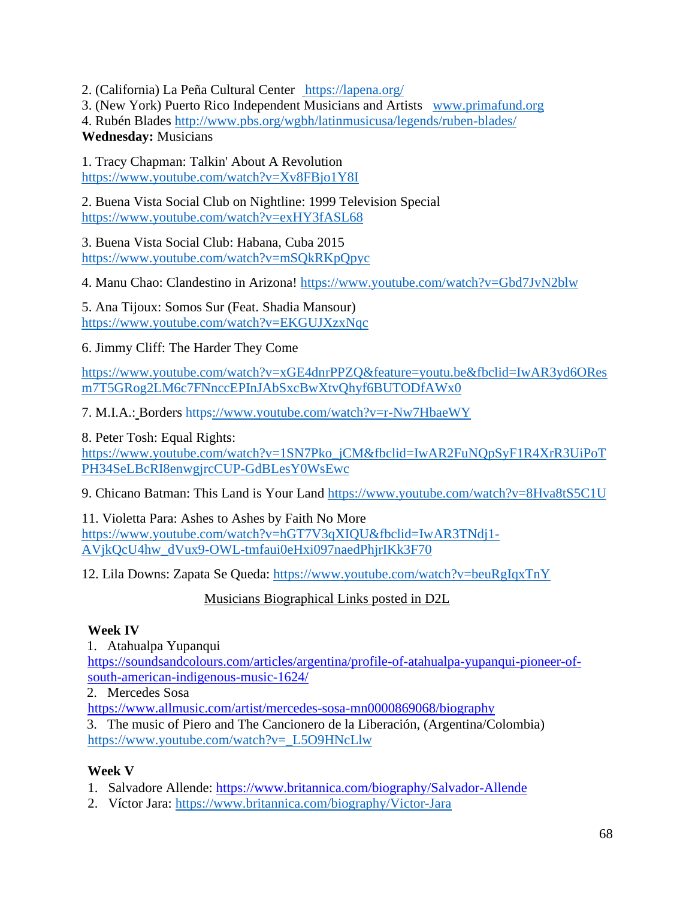2. (California) La Peña Cultural Center <https://lapena.org/>

3. (New York) Puerto Rico Independent Musicians and Artists [www.primafund.org](http://www.primafund.org/)

4. Rubén Blades<http://www.pbs.org/wgbh/latinmusicusa/legends/ruben-blades/> **Wednesday:** Musicians

1. Tracy Chapman: Talkin' About A Revolution <https://www.youtube.com/watch?v=Xv8FBjo1Y8I>

2. Buena Vista Social Club on Nightline: 1999 Television Special <https://www.youtube.com/watch?v=exHY3fASL68>

3. Buena Vista Social Club: Habana, Cuba 2015 <https://www.youtube.com/watch?v=mSQkRKpQpyc>

4. Manu Chao: Clandestino in Arizona!<https://www.youtube.com/watch?v=Gbd7JvN2blw>

5. Ana Tijoux: Somos Sur (Feat. Shadia Mansour) <https://www.youtube.com/watch?v=EKGUJXzxNqc>

6. Jimmy Cliff: The Harder They Come

[https://www.youtube.com/watch?v=xGE4dnrPPZQ&feature=youtu.be&fbclid=IwAR3yd6ORes](https://www.youtube.com/watch?v=xGE4dnrPPZQ&feature=youtu.be&fbclid=IwAR3yd6OResm7T5GRog2LM6c7FNnccEPInJAbSxcBwXtvQhyf6BUTODfAWx0) [m7T5GRog2LM6c7FNnccEPInJAbSxcBwXtvQhyf6BUTODfAWx0](https://www.youtube.com/watch?v=xGE4dnrPPZQ&feature=youtu.be&fbclid=IwAR3yd6OResm7T5GRog2LM6c7FNnccEPInJAbSxcBwXtvQhyf6BUTODfAWx0)

7. M.I.A.: Borders https://www.youtube.com/watch?v=r-Nw7HbaeWY

8. Peter Tosh: Equal Rights:

[https://www.youtube.com/watch?v=1SN7Pko\\_jCM&fbclid=IwAR2FuNQpSyF1R4XrR3UiPoT](https://www.youtube.com/watch?v=1SN7Pko_jCM&fbclid=IwAR2FuNQpSyF1R4XrR3UiPoTPH34SeLBcRI8enwgjrcCUP-GdBLesY0WsEwc) [PH34SeLBcRI8enwgjrcCUP-GdBLesY0WsEwc](https://www.youtube.com/watch?v=1SN7Pko_jCM&fbclid=IwAR2FuNQpSyF1R4XrR3UiPoTPH34SeLBcRI8enwgjrcCUP-GdBLesY0WsEwc)

9. Chicano Batman: This Land is Your Land<https://www.youtube.com/watch?v=8Hva8tS5C1U>

11. Violetta Para: Ashes to Ashes by Faith No More [https://www.youtube.com/watch?v=hGT7V3qXIQU&fbclid=IwAR3TNdj1-](https://www.youtube.com/watch?v=hGT7V3qXIQU&fbclid=IwAR3TNdj1-AVjkQcU4hw_dVux9-OWL-tmfaui0eHxi097naedPhjrIKk3F70) [AVjkQcU4hw\\_dVux9-OWL-tmfaui0eHxi097naedPhjrIKk3F70](https://www.youtube.com/watch?v=hGT7V3qXIQU&fbclid=IwAR3TNdj1-AVjkQcU4hw_dVux9-OWL-tmfaui0eHxi097naedPhjrIKk3F70)

12. Lila Downs: Zapata Se Queda:<https://www.youtube.com/watch?v=beuRgIqxTnY>

## Musicians Biographical Links posted in D2L

## **Week IV**

1. Atahualpa Yupanqui

[https://soundsandcolours.com/articles/argentina/profile-of-atahualpa-yupanqui-pioneer-of](https://soundsandcolours.com/articles/argentina/profile-of-atahualpa-yupanqui-pioneer-of-south-american-indigenous-music-1624/)[south-american-indigenous-music-1624/](https://soundsandcolours.com/articles/argentina/profile-of-atahualpa-yupanqui-pioneer-of-south-american-indigenous-music-1624/)

2. Mercedes Sosa

<https://www.allmusic.com/artist/mercedes-sosa-mn0000869068/biography>

3. The music of Piero and The Cancionero de la Liberación, (Argentina/Colombia) [https://www.youtube.com/watch?v=\\_L5O9HNcLlw](https://www.youtube.com/watch?v=_L5O9HNcLlw)

## **Week V**

1. Salvadore Allende:<https://www.britannica.com/biography/Salvador-Allende>

2. Víctor Jara:<https://www.britannica.com/biography/Victor-Jara>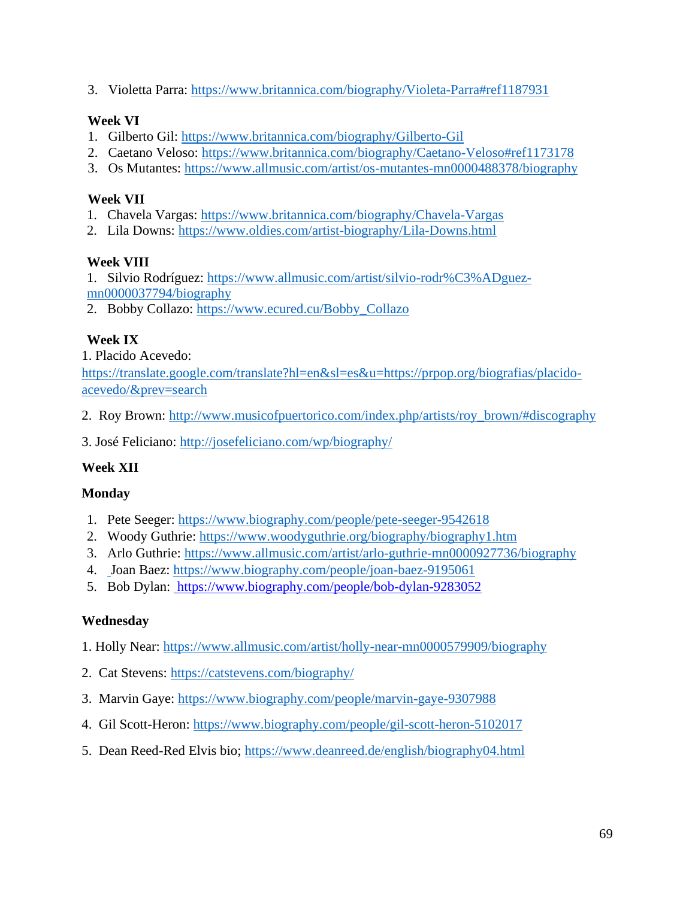3. Violetta Parra:<https://www.britannica.com/biography/Violeta-Parra#ref1187931>

## **Week VI**

- 1. Gilberto Gil:<https://www.britannica.com/biography/Gilberto-Gil>
- 2. Caetano Veloso:<https://www.britannica.com/biography/Caetano-Veloso#ref1173178>
- 3. Os Mutantes:<https://www.allmusic.com/artist/os-mutantes-mn0000488378/biography>

### **Week VII**

- 1. Chavela Vargas:<https://www.britannica.com/biography/Chavela-Vargas>
- 2. Lila Downs:<https://www.oldies.com/artist-biography/Lila-Downs.html>

### **Week VIII**

1. Silvio Rodríguez: [https://www.allmusic.com/artist/silvio-rodr%C3%ADguez](https://www.allmusic.com/artist/silvio-rodr%C3%ADguez-mn0000037794/biography)[mn0000037794/biography](https://www.allmusic.com/artist/silvio-rodr%C3%ADguez-mn0000037794/biography)

2. Bobby Collazo: [https://www.ecured.cu/Bobby\\_Collazo](https://www.ecured.cu/Bobby_Collazo)

### **Week IX**

1. Placido Acevedo:

[https://translate.google.com/translate?hl=en&sl=es&u=https://prpop.org/biografias/placido](https://translate.google.com/translate?hl=en&sl=es&u=https://prpop.org/biografias/placido-acevedo/&prev=search)[acevedo/&prev=search](https://translate.google.com/translate?hl=en&sl=es&u=https://prpop.org/biografias/placido-acevedo/&prev=search)

2. Roy Brown: [http://www.musicofpuertorico.com/index.php/artists/roy\\_brown/#discography](http://www.musicofpuertorico.com/index.php/artists/roy_brown/#discography)

3. José Feliciano:<http://josefeliciano.com/wp/biography/>

## **Week XII**

### **Monday**

- 1. Pete Seeger:<https://www.biography.com/people/pete-seeger-9542618>
- 2. Woody Guthrie:<https://www.woodyguthrie.org/biography/biography1.htm>
- 3. Arlo Guthrie:<https://www.allmusic.com/artist/arlo-guthrie-mn0000927736/biography>
- 4. Joan Baez:<https://www.biography.com/people/joan-baez-9195061>
- 5. Bob Dylan: <https://www.biography.com/people/bob-dylan-9283052>

### **Wednesday**

- 1. Holly Near:<https://www.allmusic.com/artist/holly-near-mn0000579909/biography>
- 2. Cat Stevens:<https://catstevens.com/biography/>
- 3. Marvin Gaye:<https://www.biography.com/people/marvin-gaye-9307988>
- 4. Gil Scott-Heron:<https://www.biography.com/people/gil-scott-heron-5102017>
- 5. Dean Reed-Red Elvis bio;<https://www.deanreed.de/english/biography04.html>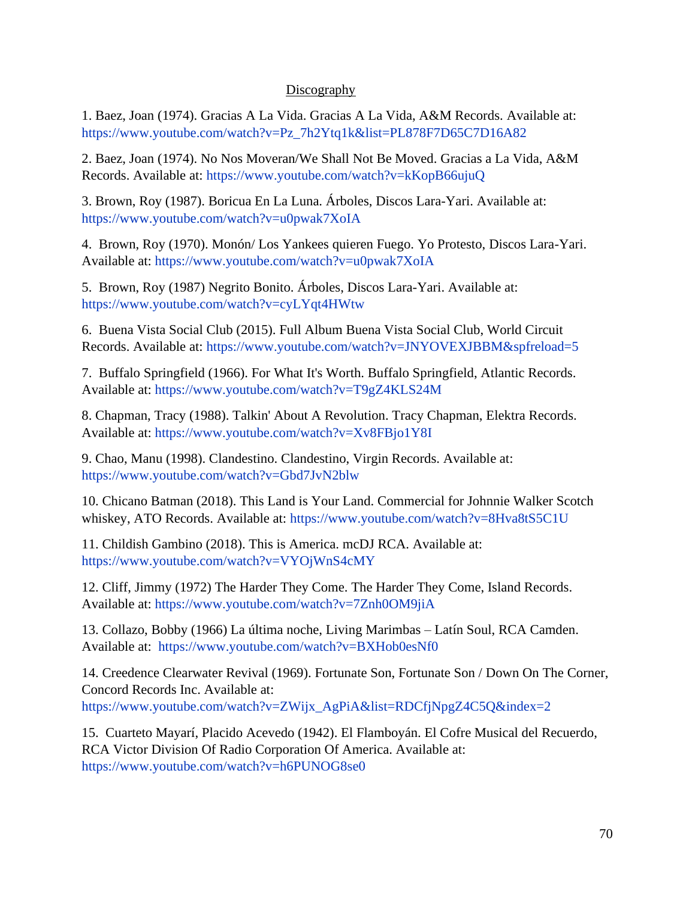#### **Discography**

1. Baez, Joan (1974). Gracias A La Vida. Gracias A La Vida, A&M Records. Available at: [https://www.youtube.com/watch?v=Pz\\_7h2Ytq1k&list=PL878F7D65C7D16A82](https://www.youtube.com/watch?v=Pz_7h2Ytq1k&list=PL878F7D65C7D16A82)

2. Baez, Joan (1974). No Nos Moveran/We Shall Not Be Moved. Gracias a La Vida, A&M Records. Available at:<https://www.youtube.com/watch?v=kKopB66ujuQ>

3. Brown, Roy (1987). Boricua En La Luna. Árboles, Discos Lara-Yari. Available at: <https://www.youtube.com/watch?v=u0pwak7XoIA>

4. Brown, Roy (1970). Monón/ Los Yankees quieren Fuego. Yo Protesto, Discos Lara-Yari. Available at:<https://www.youtube.com/watch?v=u0pwak7XoIA>

5. Brown, Roy (1987) Negrito Bonito. Árboles, Discos Lara-Yari. Available at: <https://www.youtube.com/watch?v=cyLYqt4HWtw>

6. Buena Vista Social Club (2015). Full Album Buena Vista Social Club, World Circuit Records. Available at:<https://www.youtube.com/watch?v=JNYOVEXJBBM&spfreload=5>

7. Buffalo Springfield (1966). For What It's Worth. Buffalo Springfield, Atlantic Records. Available at:<https://www.youtube.com/watch?v=T9gZ4KLS24M>

8. Chapman, Tracy (1988). Talkin' About A Revolution. Tracy Chapman, Elektra Records. Available at:<https://www.youtube.com/watch?v=Xv8FBjo1Y8I>

9. Chao, Manu (1998). Clandestino. Clandestino, Virgin Records. Available at: <https://www.youtube.com/watch?v=Gbd7JvN2blw>

10. Chicano Batman (2018). This Land is Your Land. Commercial for Johnnie Walker Scotch whiskey, ATO Records. Available at:<https://www.youtube.com/watch?v=8Hva8tS5C1U>

11. Childish Gambino (2018). This is America. mcDJ RCA. Available at: <https://www.youtube.com/watch?v=VYOjWnS4cMY>

12. Cliff, Jimmy (1972) The Harder They Come. The Harder They Come, Island Records. Available at:<https://www.youtube.com/watch?v=7Znh0OM9jiA>

13. Collazo, Bobby (1966) La última noche, Living Marimbas – Latín Soul, RCA Camden. Available at: <https://www.youtube.com/watch?v=BXHob0esNf0>

14. Creedence Clearwater Revival (1969). Fortunate Son, Fortunate Son / Down On The Corner, Concord Records Inc. Available at: [https://www.youtube.com/watch?v=ZWijx\\_AgPiA&list=RDCfjNpgZ4C5Q&index=2](https://www.youtube.com/watch?v=ZWijx_AgPiA&list=RDCfjNpgZ4C5Q&index=2)

15. Cuarteto Mayarí, Placido Acevedo (1942). El Flamboyán. El Cofre Musical del Recuerdo, RCA Victor Division Of Radio Corporation Of America. Available at: <https://www.youtube.com/watch?v=h6PUNOG8se0>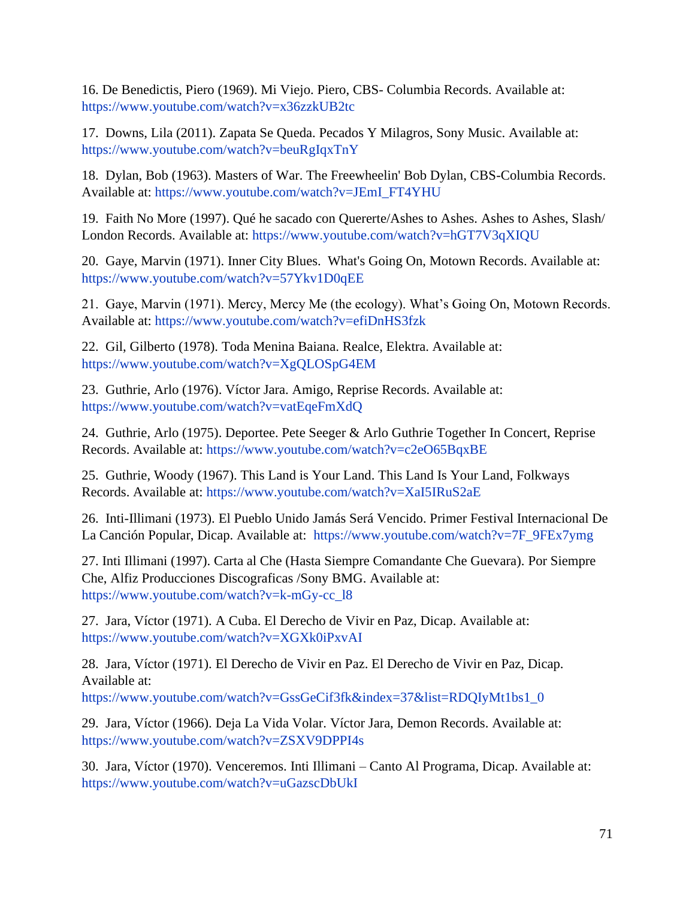16. De Benedictis, Piero (1969). Mi Viejo. Piero, CBS- Columbia Records. Available at: <https://www.youtube.com/watch?v=x36zzkUB2tc>

17. Downs, Lila (2011). Zapata Se Queda. Pecados Y Milagros, Sony Music. Available at: <https://www.youtube.com/watch?v=beuRgIqxTnY>

18. Dylan, Bob (1963). Masters of War. The Freewheelin' Bob Dylan, CBS-Columbia Records. Available at: [https://www.youtube.com/watch?v=JEmI\\_FT4YHU](https://www.youtube.com/watch?v=JEmI_FT4YHU)

19. Faith No More (1997). Qué he sacado con Quererte/Ashes to Ashes. Ashes to Ashes, Slash/ London Records. Available at:<https://www.youtube.com/watch?v=hGT7V3qXIQU>

20. Gaye, Marvin (1971). Inner City Blues. What's Going On, Motown Records. Available at: <https://www.youtube.com/watch?v=57Ykv1D0qEE>

21. Gaye, Marvin (1971). Mercy, Mercy Me (the ecology). What's Going On, Motown Records. Available at:<https://www.youtube.com/watch?v=efiDnHS3fzk>

22. Gil, Gilberto (1978). Toda Menina Baiana. Realce, Elektra. Available at: <https://www.youtube.com/watch?v=XgQLOSpG4EM>

23. Guthrie, Arlo (1976). Víctor Jara. Amigo, Reprise Records. Available at: <https://www.youtube.com/watch?v=vatEqeFmXdQ>

24. Guthrie, Arlo (1975). Deportee. Pete Seeger & Arlo Guthrie Together In Concert, Reprise Records. Available at:<https://www.youtube.com/watch?v=c2eO65BqxBE>

25. Guthrie, Woody (1967). This Land is Your Land. This Land Is Your Land, Folkways Records. Available at:<https://www.youtube.com/watch?v=XaI5IRuS2aE>

26. Inti-Illimani (1973). El Pueblo Unido Jamás Será Vencido. Primer Festival Internacional De La Canción Popular, Dicap. Available at: [https://www.youtube.com/watch?v=7F\\_9FEx7ymg](https://www.youtube.com/watch?v=7F_9FEx7ymg)

27. Inti Illimani (1997). Carta al Che (Hasta Siempre Comandante Che Guevara). Por Siempre Che, Alfiz Producciones Discograficas /Sony BMG. Available at: [https://www.youtube.com/watch?v=k-mGy-cc\\_l8](https://www.youtube.com/watch?v=k-mGy-cc_l8)

27. Jara, Víctor (1971). A Cuba. El Derecho de Vivir en Paz, Dicap. Available at: <https://www.youtube.com/watch?v=XGXk0iPxvAI>

28. Jara, Víctor (1971). El Derecho de Vivir en Paz. El Derecho de Vivir en Paz, Dicap. Available at: [https://www.youtube.com/watch?v=GssGeCif3fk&index=37&list=RDQIyMt1bs1\\_0](https://www.youtube.com/watch?v=GssGeCif3fk&index=37&list=RDQIyMt1bs1_0)

29. Jara, Víctor (1966). Deja La Vida Volar. Víctor Jara, Demon Records. Available at: <https://www.youtube.com/watch?v=ZSXV9DPPI4s>

30. Jara, Víctor (1970). Venceremos. Inti Illimani – Canto Al Programa, Dicap. Available at: <https://www.youtube.com/watch?v=uGazscDbUkI>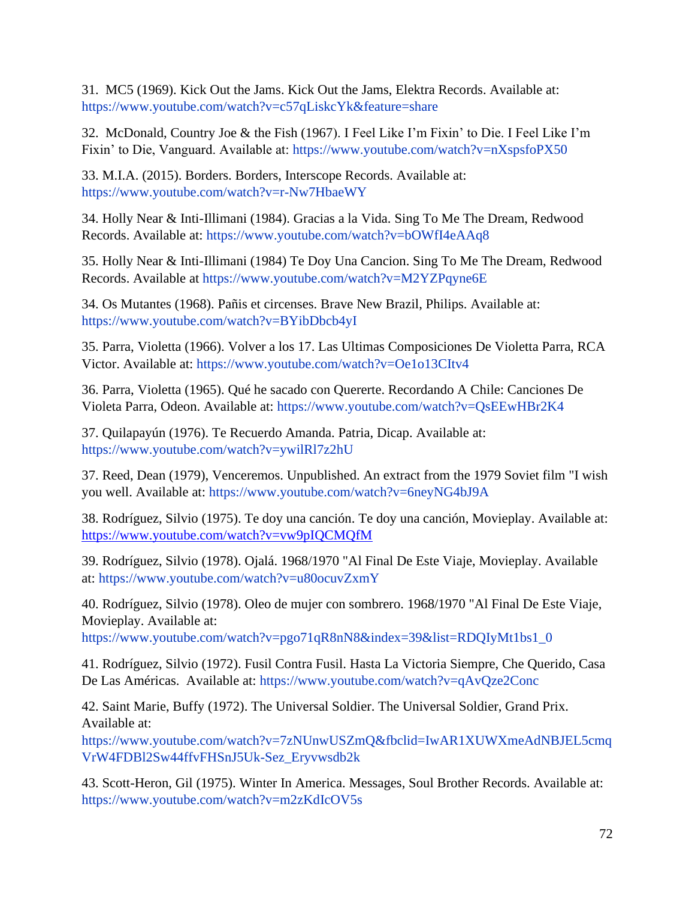31. MC5 (1969). Kick Out the Jams. Kick Out the Jams, Elektra Records. Available at: <https://www.youtube.com/watch?v=c57qLiskcYk&feature=share>

32. McDonald, Country Joe & the Fish (1967). I Feel Like I'm Fixin' to Die. I Feel Like I'm Fixin' to Die, Vanguard. Available at:<https://www.youtube.com/watch?v=nXspsfoPX50>

33. M.I.A. (2015). Borders. Borders, Interscope Records. Available at: <https://www.youtube.com/watch?v=r-Nw7HbaeWY>

34. Holly Near & Inti-Illimani (1984). Gracias a la Vida. Sing To Me The Dream, Redwood Records. Available at:<https://www.youtube.com/watch?v=bOWfI4eAAq8>

35. Holly Near & Inti-Illimani (1984) Te Doy Una Cancion. Sing To Me The Dream, Redwood Records. Available at<https://www.youtube.com/watch?v=M2YZPqyne6E>

34. Os Mutantes (1968). Pañis et circenses. Brave New Brazil, Philips. Available at: <https://www.youtube.com/watch?v=BYibDbcb4yI>

35. Parra, Violetta (1966). Volver a los 17. Las Ultimas Composiciones De Violetta Parra, RCA Victor. Available at: <https://www.youtube.com/watch?v=Oe1o13CItv4>

36. Parra, Violetta (1965). Qué he sacado con Quererte. Recordando A Chile: Canciones De Violeta Parra, Odeon. Available at:<https://www.youtube.com/watch?v=QsEEwHBr2K4>

37. Quilapayún (1976). Te Recuerdo Amanda. Patria, Dicap. Available at: <https://www.youtube.com/watch?v=ywilRl7z2hU>

37. Reed, Dean (1979), Venceremos. Unpublished. An extract from the 1979 Soviet film "I wish you well. Available at:<https://www.youtube.com/watch?v=6neyNG4bJ9A>

38. Rodríguez, Silvio (1975). Te doy una canción. Te doy una canción, Movieplay. Available at: <https://www.youtube.com/watch?v=vw9pIQCMQfM>

39. Rodríguez, Silvio (1978). Ojalá. 1968/1970 "Al Final De Este Viaje, Movieplay. Available at:<https://www.youtube.com/watch?v=u80ocuvZxmY>

40. Rodríguez, Silvio (1978). Oleo de mujer con sombrero. 1968/1970 "Al Final De Este Viaje, Movieplay. Available at:

[https://www.youtube.com/watch?v=pgo71qR8nN8&index=39&list=RDQIyMt1bs1\\_0](https://www.youtube.com/watch?v=pgo71qR8nN8&index=39&list=RDQIyMt1bs1_0)

41. Rodríguez, Silvio (1972). Fusil Contra Fusil. Hasta La Victoria Siempre, Che Querido, Casa De Las Américas. Available at:<https://www.youtube.com/watch?v=qAvQze2Conc>

42. Saint Marie, Buffy (1972). The Universal Soldier. The Universal Soldier, Grand Prix. Available at:

[https://www.youtube.com/watch?v=7zNUnwUSZmQ&fbclid=IwAR1XUWXmeAdNBJEL5cmq](https://www.youtube.com/watch?v=7zNUnwUSZmQ&fbclid=IwAR1XUWXmeAdNBJEL5cmqVrW4FDBl2Sw44ffvFHSnJ5Uk-Sez_Eryvwsdb2k) [VrW4FDBl2Sw44ffvFHSnJ5Uk-Sez\\_Eryvwsdb2k](https://www.youtube.com/watch?v=7zNUnwUSZmQ&fbclid=IwAR1XUWXmeAdNBJEL5cmqVrW4FDBl2Sw44ffvFHSnJ5Uk-Sez_Eryvwsdb2k)

43. Scott-Heron, Gil (1975). Winter In America. Messages, Soul Brother Records. Available at: <https://www.youtube.com/watch?v=m2zKdIcOV5s>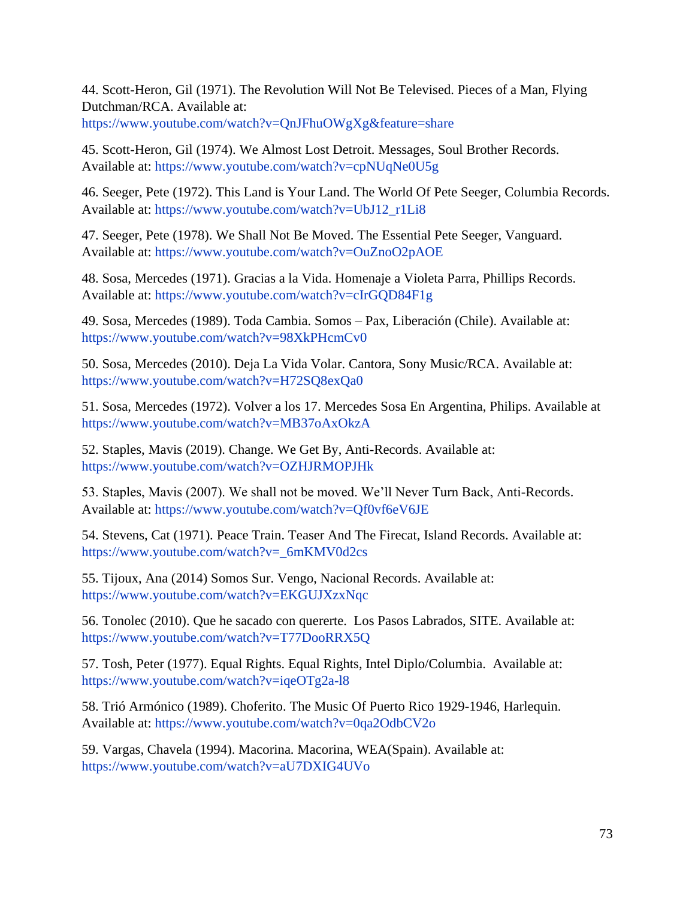44. Scott-Heron, Gil (1971). The Revolution Will Not Be Televised. Pieces of a Man, Flying Dutchman/RCA. Available at:

<https://www.youtube.com/watch?v=QnJFhuOWgXg&feature=share>

45. Scott-Heron, Gil (1974). We Almost Lost Detroit. Messages, Soul Brother Records. Available at:<https://www.youtube.com/watch?v=cpNUqNe0U5g>

46. Seeger, Pete (1972). This Land is Your Land. The World Of Pete Seeger, Columbia Records. Available at: [https://www.youtube.com/watch?v=UbJ12\\_r1Li8](https://www.youtube.com/watch?v=UbJ12_r1Li8)

47. Seeger, Pete (1978). We Shall Not Be Moved. The Essential Pete Seeger, Vanguard. Available at:<https://www.youtube.com/watch?v=OuZnoO2pAOE>

48. Sosa, Mercedes (1971). Gracias a la Vida. Homenaje a Violeta Parra, Phillips Records. Available at:<https://www.youtube.com/watch?v=cIrGQD84F1g>

49. Sosa, Mercedes (1989). Toda Cambia. Somos – Pax, Liberación (Chile). Available at: <https://www.youtube.com/watch?v=98XkPHcmCv0>

50. Sosa, Mercedes (2010). Deja La Vida Volar. Cantora, Sony Music/RCA. Available at: <https://www.youtube.com/watch?v=H72SQ8exQa0>

51. Sosa, Mercedes (1972). Volver a los 17. Mercedes Sosa En Argentina, Philips. Available at <https://www.youtube.com/watch?v=MB37oAxOkzA>

52. Staples, Mavis (2019). Change. We Get By, Anti-Records. Available at: <https://www.youtube.com/watch?v=OZHJRMOPJHk>

53. Staples, Mavis (2007). We shall not be moved. We'll Never Turn Back, Anti-Records. Available at:<https://www.youtube.com/watch?v=Qf0vf6eV6JE>

54. Stevens, Cat (1971). Peace Train. Teaser And The Firecat, Island Records. Available at: [https://www.youtube.com/watch?v=\\_6mKMV0d2cs](https://www.youtube.com/watch?v=_6mKMV0d2cs)

55. Tijoux, Ana (2014) Somos Sur. Vengo, Nacional Records. Available at: <https://www.youtube.com/watch?v=EKGUJXzxNqc>

56. Tonolec (2010). Que he sacado con quererte. Los Pasos Labrados, SITE. Available at: <https://www.youtube.com/watch?v=T77DooRRX5Q>

57. Tosh, Peter (1977). Equal Rights. Equal Rights, Intel Diplo/Columbia. Available at: <https://www.youtube.com/watch?v=iqeOTg2a-l8>

58. Trió Armónico (1989). Choferito. The Music Of Puerto Rico 1929-1946, Harlequin. Available at:<https://www.youtube.com/watch?v=0qa2OdbCV2o>

59. Vargas, Chavela (1994). Macorina. Macorina, WEA(Spain). Available at: <https://www.youtube.com/watch?v=aU7DXIG4UVo>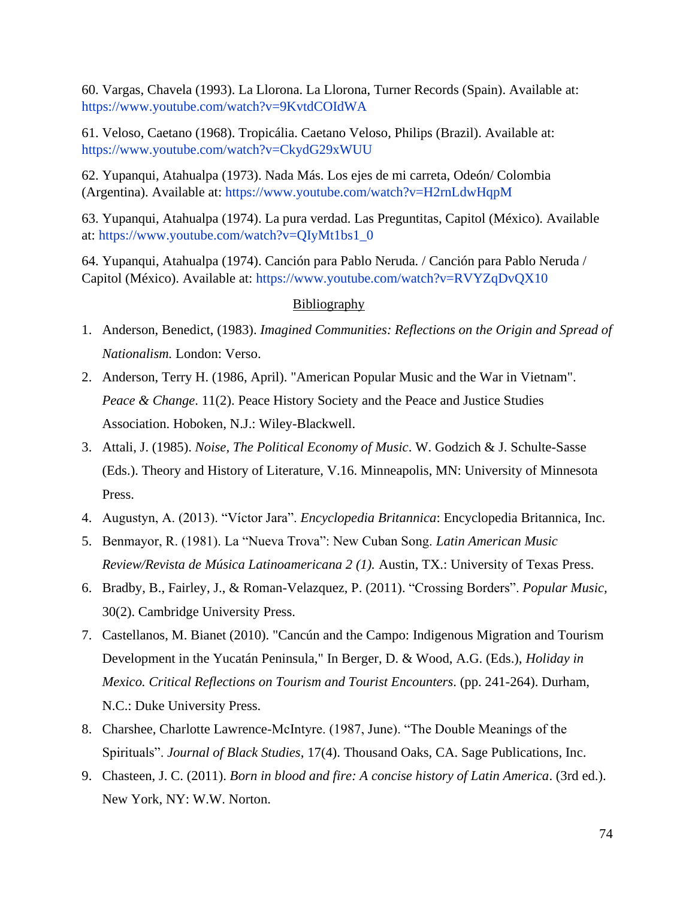60. Vargas, Chavela (1993). La Llorona. La Llorona, Turner Records (Spain). Available at: <https://www.youtube.com/watch?v=9KvtdCOIdWA>

61. Veloso, Caetano (1968). Tropicália. Caetano Veloso, Philips (Brazil). Available at: <https://www.youtube.com/watch?v=CkydG29xWUU>

62. Yupanqui, Atahualpa (1973). Nada Más. Los ejes de mi carreta, Odeón/ Colombia (Argentina). Available at:<https://www.youtube.com/watch?v=H2rnLdwHqpM>

63. Yupanqui, Atahualpa (1974). La pura verdad. Las Preguntitas, Capitol (México). Available at: [https://www.youtube.com/watch?v=QIyMt1bs1\\_0](https://www.youtube.com/watch?v=QIyMt1bs1_0)

64. Yupanqui, Atahualpa (1974). Canción para Pablo Neruda. / Canción para Pablo Neruda / Capitol (México). Available at:<https://www.youtube.com/watch?v=RVYZqDvQX10>

## Bibliography

- 1. Anderson, Benedict, (1983). *Imagined Communities: Reflections on the Origin and Spread of Nationalism.* London: Verso.
- 2. Anderson, Terry H. (1986, April). "American Popular Music and the War in Vietnam". *Peace & Change*. 11(2). Peace History Society and the Peace and Justice Studies Association. Hoboken, N.J.: Wiley-Blackwell.
- 3. Attali, J. (1985). *Noise, The Political Economy of Music*. W. Godzich & J. Schulte-Sasse (Eds.). Theory and History of Literature, V.16. Minneapolis, MN: University of Minnesota Press.
- 4. Augustyn, A. (2013). "Víctor Jara". *Encyclopedia Britannica*: Encyclopedia Britannica, Inc.
- 5. Benmayor, R. (1981). La "Nueva Trova": New Cuban Song. *Latin American Music Review/Revista de Música Latinoamericana 2 (1).* Austin, TX.: University of Texas Press.
- 6. Bradby, B., Fairley, J., & Roman-Velazquez, P. (2011). "Crossing Borders". *Popular Music,* 30(2). Cambridge University Press.
- 7. Castellanos, M. Bianet (2010). "Cancún and the Campo: Indigenous Migration and Tourism Development in the Yucatán Peninsula," In Berger, D. & Wood, A.G. (Eds.), *Holiday in Mexico. Critical Reflections on Tourism and Tourist Encounters*. (pp. 241-264). Durham, N.C.: Duke University Press.
- 8. Charshee, Charlotte Lawrence-McIntyre. (1987, June). "The Double Meanings of the Spirituals". *Journal of Black Studies*, 17(4). Thousand Oaks, CA. Sage Publications, Inc.
- 9. Chasteen, J. C. (2011). *Born in blood and fire: A concise history of Latin America*. (3rd ed.). New York, NY: W.W. Norton.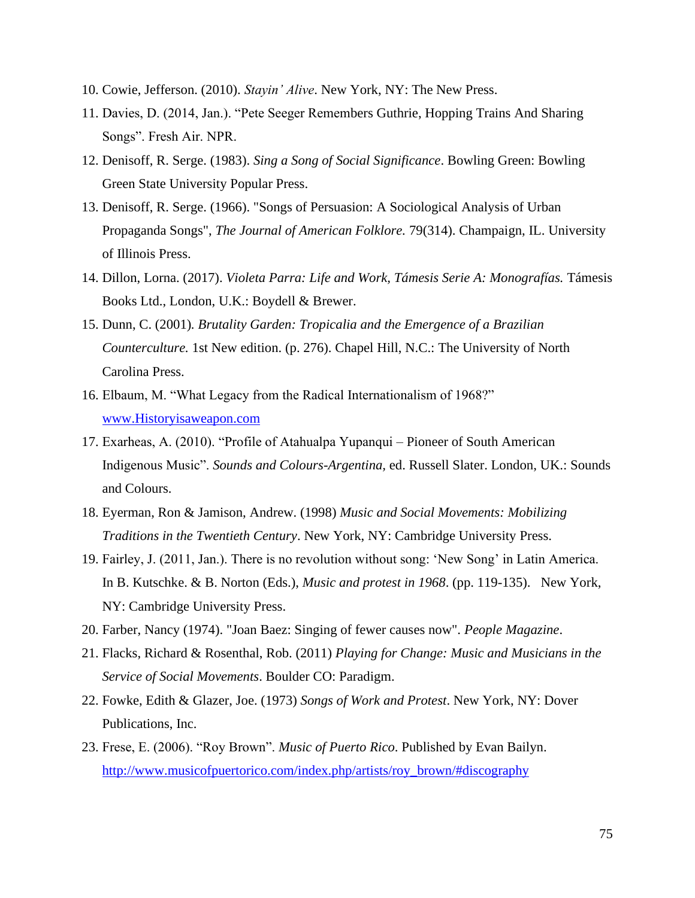- 10. Cowie, Jefferson. (2010). *Stayin' Alive*. New York, NY: The New Press.
- 11. Davies, D. (2014, Jan.). "Pete Seeger Remembers Guthrie, Hopping Trains And Sharing Songs". Fresh Air. NPR.
- 12. Denisoff, R. Serge. (1983). *Sing a Song of Social Significance*. Bowling Green: Bowling Green State University Popular Press.
- 13. Denisoff, R. Serge. (1966). "Songs of Persuasion: A Sociological Analysis of Urban Propaganda Songs", *The Journal of American Folklore.* 79(314). Champaign, IL. University of Illinois Press.
- 14. Dillon, Lorna. (2017). *Violeta Parra: Life and Work, Támesis Serie A: Monografías.* Támesis Books Ltd., London, U.K.: Boydell & Brewer.
- 15. Dunn, C. (2001)*. Brutality Garden: Tropicalia and the Emergence of a Brazilian Counterculture.* 1st New edition. (p. 276). Chapel Hill, N.C.: The University of North Carolina Press.
- 16. Elbaum, M. "What Legacy from the Radical Internationalism of 1968?" [www.Historyisaweapon.com](http://www.historyisaweapon.com/)
- 17. Exarheas, A. (2010). "Profile of Atahualpa Yupanqui Pioneer of South American Indigenous Music". *Sounds and Colours-Argentina,* ed. Russell Slater. London, UK.: Sounds and Colours.
- 18. Eyerman, Ron & Jamison, Andrew. (1998) *Music and Social Movements: Mobilizing Traditions in the Twentieth Century*. New York, NY: Cambridge University Press.
- 19. Fairley, J. (2011, Jan.). There is no revolution without song: 'New Song' in Latin America. In B. Kutschke. & B. Norton (Eds.), *Music and protest in 1968*. (pp. 119-135). New York, NY: Cambridge University Press.
- 20. Farber, Nancy (1974). "Joan Baez: Singing of fewer causes now". *People Magazine*.
- 21. Flacks, Richard & Rosenthal, Rob. (2011) *Playing for Change: Music and Musicians in the Service of Social Movements*. Boulder CO: Paradigm.
- 22. Fowke, Edith & Glazer, Joe. (1973) *Songs of Work and Protest*. New York, NY: Dover Publications, Inc.
- 23. Frese, E. (2006). "Roy Brown". *Music of Puerto Rico*. Published by Evan Bailyn. [http://www.musicofpuertorico.com/index.php/artists/roy\\_brown/#discography](http://www.musicofpuertorico.com/index.php/artists/roy_brown/#discography)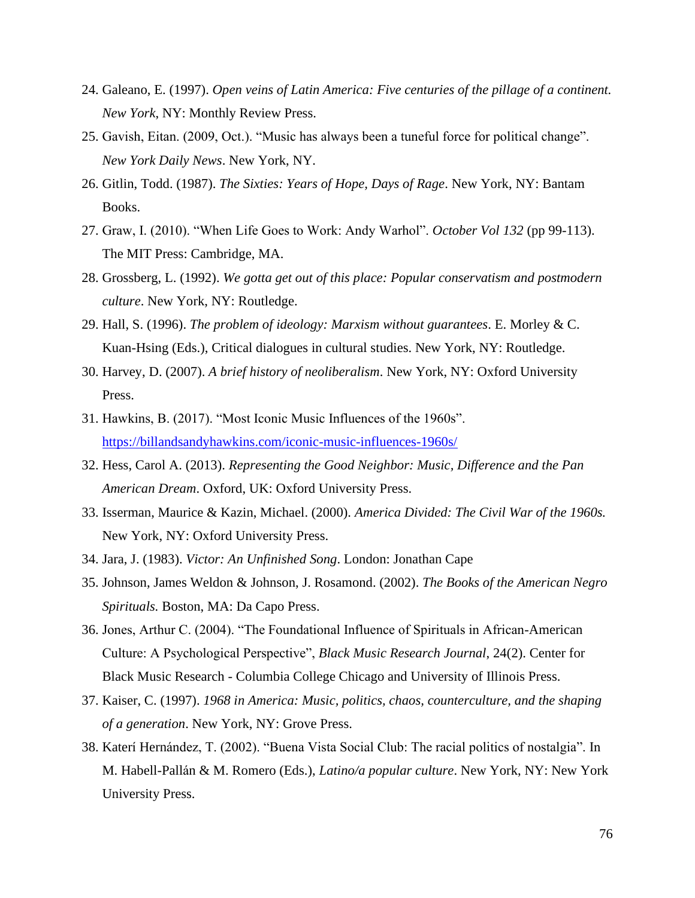- 24. Galeano, E. (1997). *Open veins of Latin America: Five centuries of the pillage of a continent. New York*, NY: Monthly Review Press.
- 25. Gavish, Eitan. (2009, Oct.). "Music has always been a tuneful force for political change". *New York Daily News*. New York, NY.
- 26. Gitlin, Todd. (1987). *The Sixties: Years of Hope, Days of Rage*. New York, NY: Bantam Books.
- 27. Graw, I. (2010). "When Life Goes to Work: Andy Warhol". *October Vol 132* (pp 99-113). The MIT Press: Cambridge, MA.
- 28. Grossberg, L. (1992). *We gotta get out of this place: Popular conservatism and postmodern culture*. New York, NY: Routledge.
- 29. Hall, S. (1996). *The problem of ideology: Marxism without guarantees*. E. Morley & C. Kuan-Hsing (Eds.), Critical dialogues in cultural studies. New York, NY: Routledge.
- 30. Harvey, D. (2007). *A brief history of neoliberalism*. New York, NY: Oxford University Press.
- 31. Hawkins, B. (2017). "Most Iconic Music Influences of the 1960s". <https://billandsandyhawkins.com/iconic-music-influences-1960s/>
- 32. Hess, Carol A. (2013). *Representing the Good Neighbor: Music, Difference and the Pan American Dream*. Oxford, UK: Oxford University Press.
- 33. Isserman, Maurice & Kazin, Michael. (2000). *America Divided: The Civil War of the 1960s.*  New York, NY: Oxford University Press.
- 34. Jara, J. (1983). *Victor: An Unfinished Song*. London: Jonathan Cape
- 35. Johnson, James Weldon & Johnson, J. Rosamond. (2002). *The Books of the American Negro Spirituals.* Boston, MA: Da Capo Press.
- 36. Jones, Arthur C. (2004). "The Foundational Influence of Spirituals in African-American Culture: A Psychological Perspective", *Black Music Research Journal*, 24(2). Center for Black Music Research - Columbia College Chicago and University of Illinois Press.
- 37. Kaiser, C. (1997). *1968 in America: Music, politics, chaos, counterculture, and the shaping of a generation*. New York, NY: Grove Press.
- 38. Katerí Hernández, T. (2002). "Buena Vista Social Club: The racial politics of nostalgia". In M. Habell-Pallán & M. Romero (Eds.), *Latino/a popular culture*. New York, NY: New York University Press.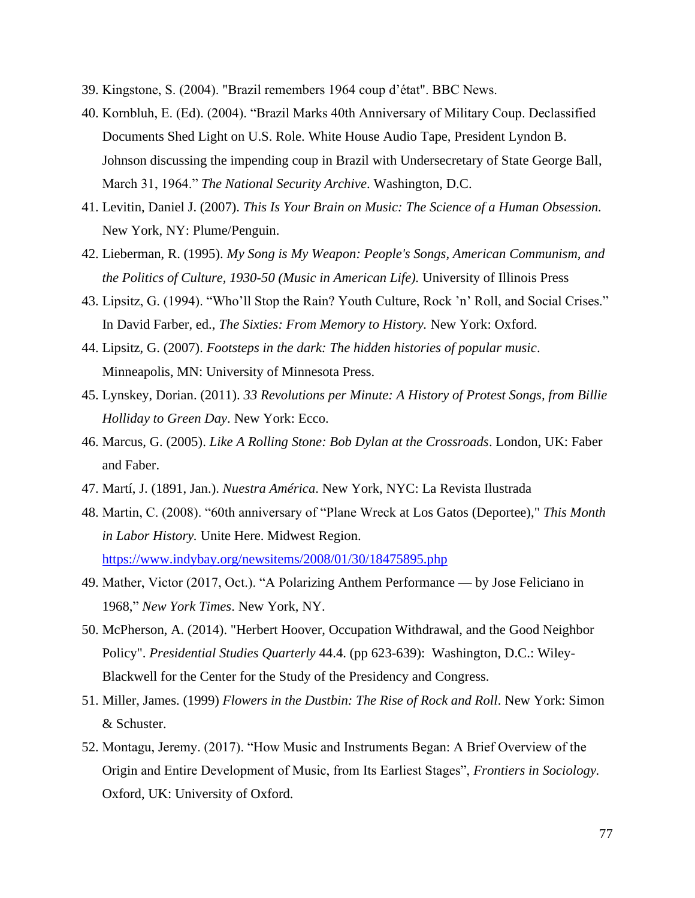- 39. Kingstone, S. (2004). "Brazil remembers 1964 coup d'état". BBC News.
- 40. Kornbluh, E. (Ed). (2004). "Brazil Marks 40th Anniversary of Military Coup. Declassified Documents Shed Light on U.S. Role. White House Audio Tape, President Lyndon B. Johnson discussing the impending coup in Brazil with Undersecretary of State George Ball, March 31, 1964." *The National Security Archive*. Washington, D.C.
- 41. Levitin, Daniel J. (2007). *This Is Your Brain on Music: The Science of a Human Obsession.*  New York, NY: Plume/Penguin.
- 42. Lieberman, R. (1995). *My Song is My Weapon: People's Songs, American Communism, and the Politics of Culture, 1930-50 (Music in American Life).* University of Illinois Press
- 43. Lipsitz, G. (1994). "Who'll Stop the Rain? Youth Culture, Rock 'n' Roll, and Social Crises." In David Farber, ed., *The Sixties: From Memory to History.* New York: Oxford.
- 44. Lipsitz, G. (2007). *Footsteps in the dark: The hidden histories of popular music*. Minneapolis, MN: University of Minnesota Press.
- 45. Lynskey, Dorian. (2011). *33 Revolutions per Minute: A History of Protest Songs, from Billie Holliday to Green Day*. New York: Ecco.
- 46. Marcus, G. (2005). *Like A Rolling Stone: Bob Dylan at the Crossroads*. London, UK: Faber and Faber.
- 47. Martí, J. (1891, Jan.). *Nuestra América*. New York, NYC: La Revista Ilustrada
- 48. Martin, C. (2008). "60th anniversary of "Plane Wreck at Los Gatos (Deportee)," *This Month in Labor History.* Unite Here. Midwest Region. <https://www.indybay.org/newsitems/2008/01/30/18475895.php>
- 49. Mather, Victor (2017, Oct.). "A Polarizing Anthem Performance by Jose Feliciano in 1968," *New York Times*. New York, NY.
- 50. McPherson, A. (2014). "Herbert Hoover, Occupation Withdrawal, and the Good Neighbor Policy". *Presidential Studies Quarterly* 44.4. (pp 623-639): Washington, D.C.: Wiley-Blackwell for the Center for the Study of the Presidency and Congress.
- 51. Miller, James. (1999) *Flowers in the Dustbin: The Rise of Rock and Roll*. New York: Simon & Schuster.
- 52. Montagu, Jeremy. (2017). "How Music and Instruments Began: A Brief Overview of the Origin and Entire Development of Music, from Its Earliest Stages", *Frontiers in Sociology.* Oxford, UK: University of Oxford.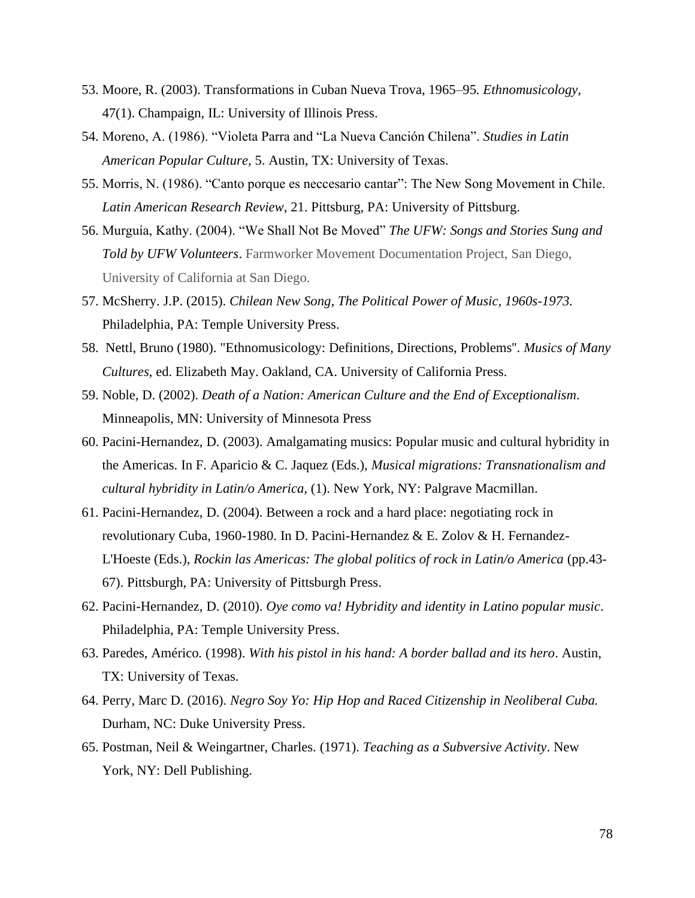- 53. Moore, R. (2003). Transformations in Cuban Nueva Trova, 1965–95*. Ethnomusicology,*  47(1). Champaign, IL: University of Illinois Press.
- 54. Moreno, A. (1986). "Violeta Parra and "La Nueva Canción Chilena". *Studies in Latin American Popular Culture,* 5. Austin, TX: University of Texas.
- 55. Morris, N. (1986). "Canto porque es neccesario cantar": The New Song Movement in Chile. *Latin American Research Review*, 21. Pittsburg, PA: University of Pittsburg.
- 56. Murguía, Kathy. (2004). "We Shall Not Be Moved" *The UFW: Songs and Stories Sung and Told by UFW Volunteers*. Farmworker Movement Documentation Project, San Diego, University of California at San Diego.
- 57. McSherry. J.P. (2015). *Chilean New Song, The Political Power of Music, 1960s-1973.* Philadelphia, PA: Temple University Press.
- 58. Nettl, Bruno (1980). "Ethnomusicology: Definitions, Directions, Problems''. *Musics of Many Cultures*, ed. Elizabeth May. Oakland, CA. University of California Press.
- 59. Noble, D. (2002). *Death of a Nation: American Culture and the End of Exceptionalism*. Minneapolis, MN: University of Minnesota Press
- 60. Pacini-Hernandez, D. (2003). Amalgamating musics: Popular music and cultural hybridity in the Americas. In F. Aparicio & C. Jaquez (Eds.), *Musical migrations: Transnationalism and cultural hybridity in Latin/o America,* (1). New York, NY: Palgrave Macmillan.
- 61. Pacini-Hernandez, D. (2004). Between a rock and a hard place: negotiating rock in revolutionary Cuba, 1960-1980. In D. Pacini-Hernandez & E. Zolov & H. Fernandez-L'Hoeste (Eds.), *Rockin las Americas: The global politics of rock in Latin/o America* (pp.43- 67). Pittsburgh, PA: University of Pittsburgh Press.
- 62. Pacini-Hernandez, D. (2010). *Oye como va! Hybridity and identity in Latino popular music*. Philadelphia, PA: Temple University Press.
- 63. Paredes, Américo*.* (1998). *With his pistol in his hand: A border ballad and its hero*. Austin, TX: University of Texas.
- 64. Perry, Marc D. (2016). *Negro Soy Yo: Hip Hop and Raced Citizenship in Neoliberal Cuba.* Durham, NC: Duke University Press.
- 65. Postman, Neil & Weingartner, Charles. (1971). *Teaching as a Subversive Activity*. New York, NY: Dell Publishing.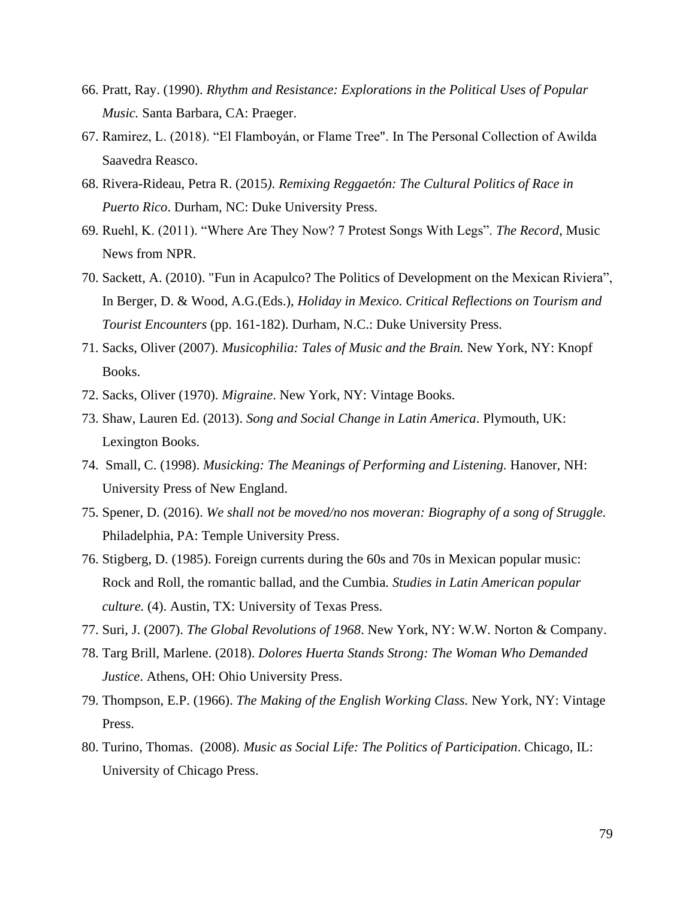- 66. Pratt, Ray. (1990). *Rhythm and Resistance: Explorations in the Political Uses of Popular Music.* Santa Barbara, CA: Praeger.
- 67. Ramirez, L. (2018). "El Flamboyán, or Flame Tree". In The Personal Collection of Awilda Saavedra Reasco.
- 68. Rivera-Rideau, Petra R. (2015*). Remixing Reggaetón: The Cultural Politics of Race in Puerto Rico*. Durham, NC: Duke University Press.
- 69. Ruehl, K. (2011). "Where Are They Now? 7 Protest Songs With Legs". *The Record*, Music News from NPR.
- 70. Sackett, A. (2010). "Fun in Acapulco? The Politics of Development on the Mexican Riviera", In Berger, D. & Wood, A.G.(Eds.), *Holiday in Mexico. Critical Reflections on Tourism and Tourist Encounters* (pp. 161-182). Durham, N.C.: Duke University Press.
- 71. Sacks, Oliver (2007). *Musicophilia: Tales of Music and the Brain.* New York, NY: Knopf Books.
- 72. Sacks, Oliver (1970). *Migraine*. New York, NY: Vintage Books.
- 73. Shaw, Lauren Ed. (2013). *Song and Social Change in Latin America*. Plymouth, UK: Lexington Books.
- 74. Small, C. (1998). *Musicking: The Meanings of Performing and Listening.* Hanover, NH: University Press of New England.
- 75. Spener, D. (2016). *We shall not be moved/no nos moveran: Biography of a song of Struggle.*  Philadelphia, PA: Temple University Press.
- 76. Stigberg, D. (1985). Foreign currents during the 60s and 70s in Mexican popular music: Rock and Roll, the romantic ballad, and the Cumbia*. Studies in Latin American popular culture.* (4). Austin, TX: University of Texas Press.
- 77. Suri, J. (2007). *The Global Revolutions of 1968*. New York, NY: W.W. Norton & Company.
- 78. Targ Brill, Marlene. (2018). *Dolores Huerta Stands Strong: The Woman Who Demanded Justice*. Athens, OH: Ohio University Press.
- 79. Thompson, E.P. (1966). *The Making of the English Working Class.* New York, NY: Vintage Press.
- 80. Turino, Thomas. (2008). *Music as Social Life: The Politics of Participation*. Chicago, IL: University of Chicago Press.